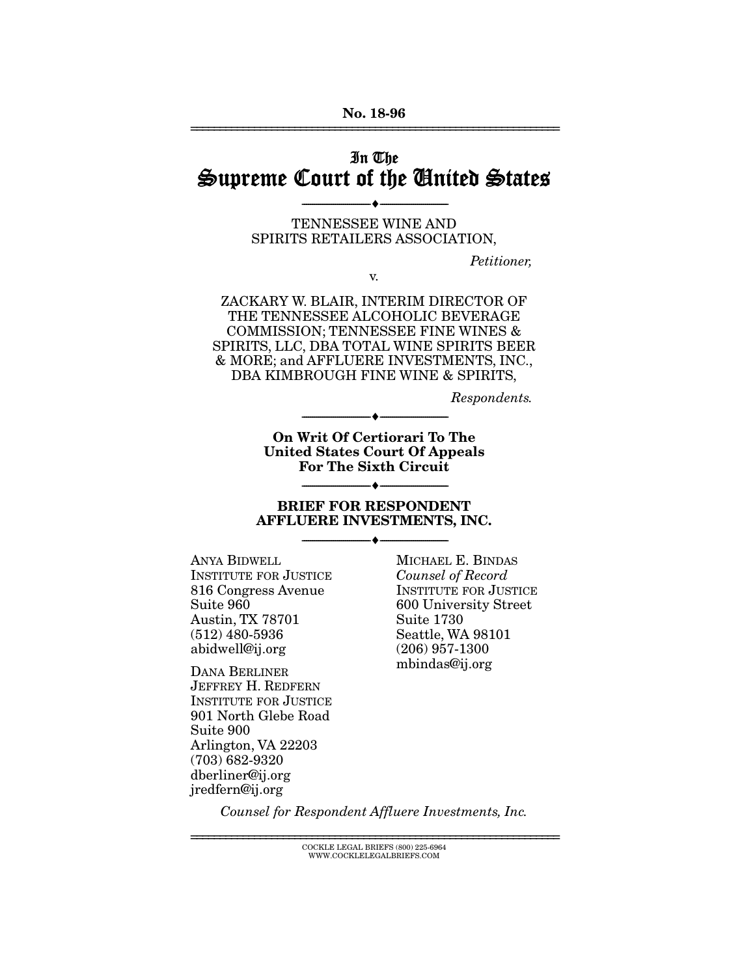# In The Supreme Court of the United States

TENNESSEE WINE AND SPIRITS RETAILERS ASSOCIATION,

v.

--------------------------------- ---------------------------------

*Petitioner,* 

ZACKARY W. BLAIR, INTERIM DIRECTOR OF THE TENNESSEE ALCOHOLIC BEVERAGE COMMISSION; TENNESSEE FINE WINES & SPIRITS, LLC, DBA TOTAL WINE SPIRITS BEER & MORE; and AFFLUERE INVESTMENTS, INC., DBA KIMBROUGH FINE WINE & SPIRITS,

*Respondents.* 

On Writ Of Certiorari To The United States Court Of Appeals For The Sixth Circuit

--------------------------------- ---------------------------------

#### BRIEF FOR RESPONDENT AFFLUERE INVESTMENTS, INC.

--------------------------------- ---------------------------------

--------------------------------- ---------------------------------

ANYA BIDWELL INSTITUTE FOR JUSTICE 816 Congress Avenue Suite 960 Austin, TX 78701 (512) 480-5936 abidwell@ij.org

DANA BERLINER JEFFREY H. REDFERN INSTITUTE FOR JUSTICE 901 North Glebe Road Suite 900 Arlington, VA 22203 (703) 682-9320 dberliner@ij.org jredfern@ij.org

MICHAEL E. BINDAS *Counsel of Record*  INSTITUTE FOR JUSTICE 600 University Street Suite 1730 Seattle, WA 98101 (206) 957-1300 mbindas@ij.org

*Counsel for Respondent Affluere Investments, Inc.* 

================================================================ COCKLE LEGAL BRIEFS (800) 225-6964 WWW.COCKLELEGALBRIEFS.COM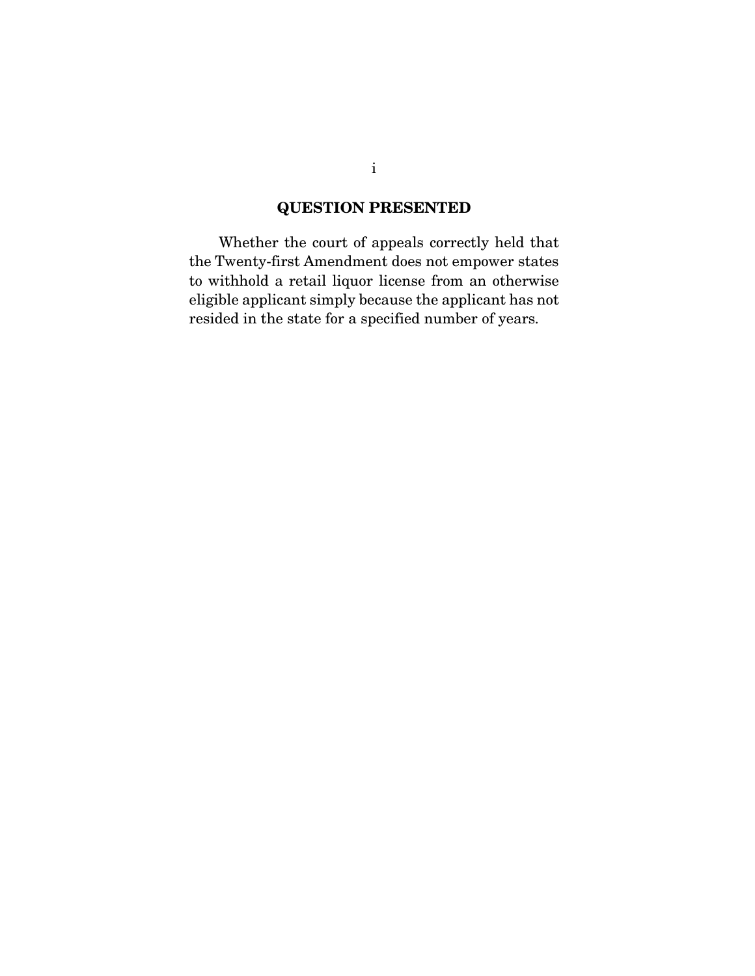### QUESTION PRESENTED

 Whether the court of appeals correctly held that the Twenty-first Amendment does not empower states to withhold a retail liquor license from an otherwise eligible applicant simply because the applicant has not resided in the state for a specified number of years.

i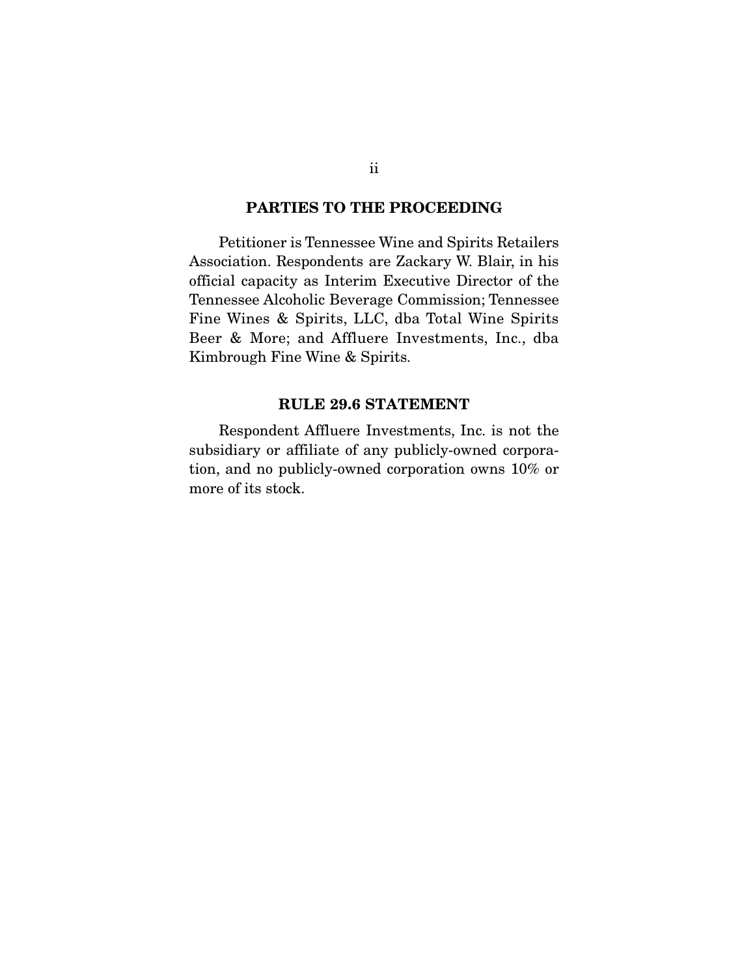#### PARTIES TO THE PROCEEDING

 Petitioner is Tennessee Wine and Spirits Retailers Association. Respondents are Zackary W. Blair, in his official capacity as Interim Executive Director of the Tennessee Alcoholic Beverage Commission; Tennessee Fine Wines & Spirits, LLC, dba Total Wine Spirits Beer & More; and Affluere Investments, Inc., dba Kimbrough Fine Wine & Spirits.

#### RULE 29.6 STATEMENT

 Respondent Affluere Investments, Inc. is not the subsidiary or affiliate of any publicly-owned corporation, and no publicly-owned corporation owns 10% or more of its stock.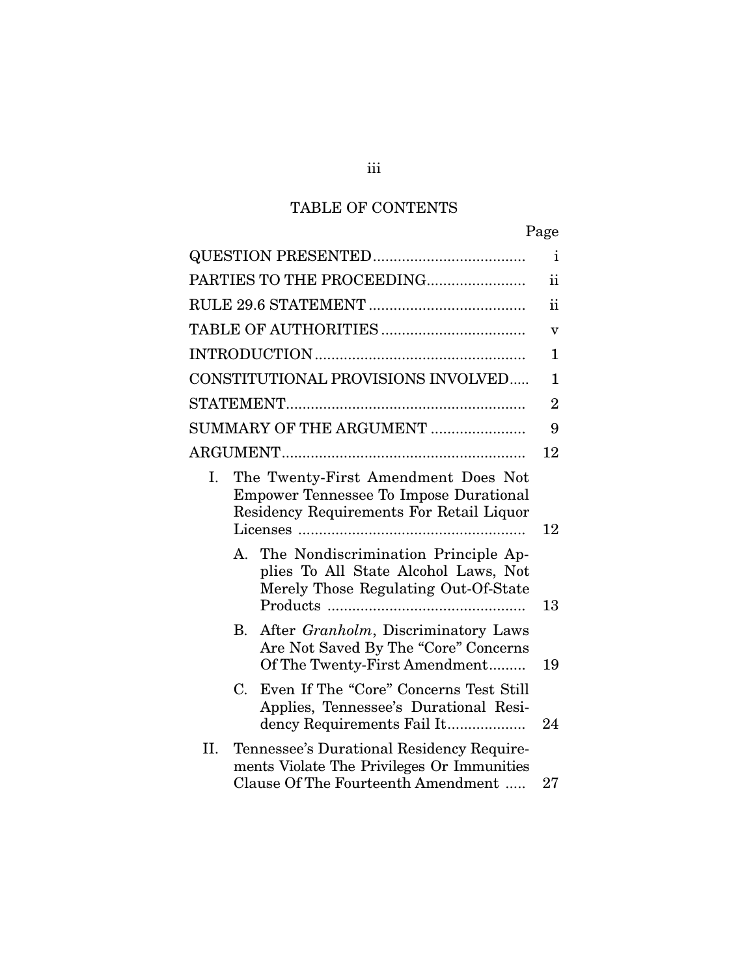# TABLE OF CONTENTS

|     |                      |                                                                                                                                  | Page            |
|-----|----------------------|----------------------------------------------------------------------------------------------------------------------------------|-----------------|
|     |                      |                                                                                                                                  | $\mathbf{i}$    |
|     |                      | PARTIES TO THE PROCEEDING                                                                                                        | $\ddot{\rm ii}$ |
|     |                      |                                                                                                                                  | $\mathbf{ii}$   |
|     |                      |                                                                                                                                  | v               |
|     |                      |                                                                                                                                  | 1               |
|     |                      | CONSTITUTIONAL PROVISIONS INVOLVED                                                                                               | $\mathbf{1}$    |
|     |                      |                                                                                                                                  | $\overline{2}$  |
|     |                      | SUMMARY OF THE ARGUMENT                                                                                                          | 9               |
|     |                      |                                                                                                                                  | 12              |
| Ι.  |                      | The Twenty-First Amendment Does Not<br><b>Empower Tennessee To Impose Durational</b><br>Residency Requirements For Retail Liquor | 12              |
|     | $\mathbf{A}_{\cdot}$ | The Nondiscrimination Principle Ap-<br>plies To All State Alcohol Laws, Not<br>Merely Those Regulating Out-Of-State              | 13              |
|     | В.                   | After Granholm, Discriminatory Laws<br>Are Not Saved By The "Core" Concerns<br>Of The Twenty-First Amendment                     | 19              |
|     | $C_{\cdot}$          | Even If The "Core" Concerns Test Still<br>Applies, Tennessee's Durational Resi-<br>dency Requirements Fail It                    | 24              |
| II. |                      | Tennessee's Durational Residency Require-<br>ments Violate The Privileges Or Immunities<br>Clause Of The Fourteenth Amendment    | 27              |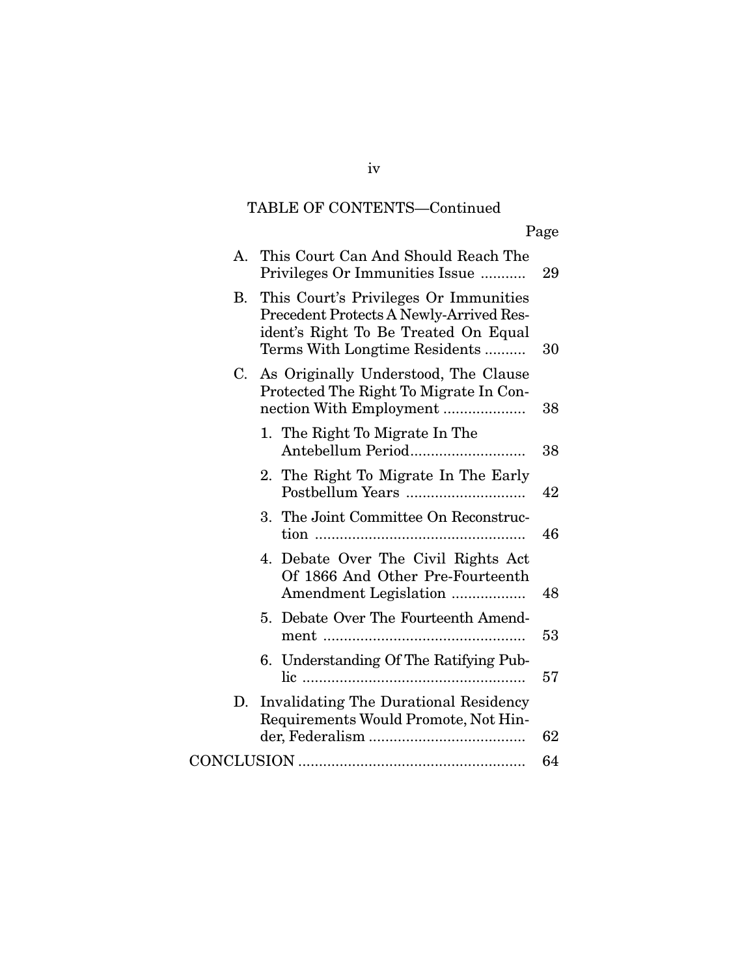# TABLE OF CONTENTS—Continued

| А. | This Court Can And Should Reach The<br>Privileges Or Immunities Issue                                                                                     | 29 |
|----|-----------------------------------------------------------------------------------------------------------------------------------------------------------|----|
| B. | This Court's Privileges Or Immunities<br>Precedent Protects A Newly-Arrived Res-<br>ident's Right To Be Treated On Equal<br>Terms With Longtime Residents | 30 |
| C. | As Originally Understood, The Clause<br>Protected The Right To Migrate In Con-<br>nection With Employment                                                 | 38 |
|    | 1. The Right To Migrate In The<br>Antebellum Period                                                                                                       | 38 |
|    | 2. The Right To Migrate In The Early<br>Postbellum Years                                                                                                  | 42 |
|    | 3. The Joint Committee On Reconstruc-                                                                                                                     | 46 |
|    | 4. Debate Over The Civil Rights Act<br>Of 1866 And Other Pre-Fourteenth<br>Amendment Legislation                                                          | 48 |
|    | 5. Debate Over The Fourteenth Amend-                                                                                                                      | 53 |
|    | 6. Understanding Of The Ratifying Pub-                                                                                                                    | 57 |
| D. | <b>Invalidating The Durational Residency</b><br>Requirements Would Promote, Not Hin-                                                                      |    |
|    |                                                                                                                                                           | 62 |
|    |                                                                                                                                                           | 64 |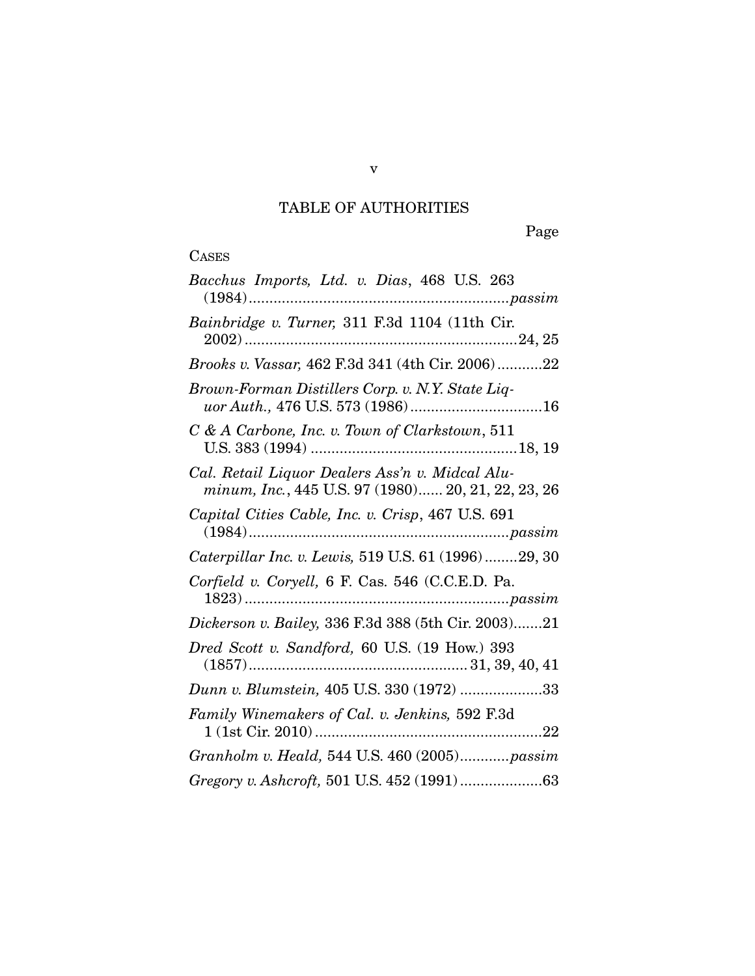# TABLE OF AUTHORITIES

Page

| Bacchus Imports, Ltd. v. Dias, 468 U.S. 263                                                           |
|-------------------------------------------------------------------------------------------------------|
| Bainbridge v. Turner, 311 F.3d 1104 (11th Cir.                                                        |
| <i>Brooks v. Vassar,</i> 462 F.3d 341 (4th Cir. 2006)22                                               |
| Brown-Forman Distillers Corp. v. N.Y. State Liq-                                                      |
| C & A Carbone, Inc. v. Town of Clarkstown, 511                                                        |
| Cal. Retail Liquor Dealers Ass'n v. Midcal Alu-<br>minum, Inc., 445 U.S. 97 (1980) 20, 21, 22, 23, 26 |
| Capital Cities Cable, Inc. v. Crisp, 467 U.S. 691                                                     |
| Caterpillar Inc. v. Lewis, 519 U.S. 61 (1996)29, 30                                                   |
| Corfield v. Coryell, 6 F. Cas. 546 (C.C.E.D. Pa.                                                      |
| Dickerson v. Bailey, 336 F.3d 388 (5th Cir. 2003)21                                                   |
| Dred Scott v. Sandford, 60 U.S. (19 How.) 393                                                         |
| Dunn v. Blumstein, 405 U.S. 330 (1972) 33                                                             |
| Family Winemakers of Cal. v. Jenkins, 592 F.3d                                                        |
| Granholm v. Heald, 544 U.S. 460 (2005) passim                                                         |
|                                                                                                       |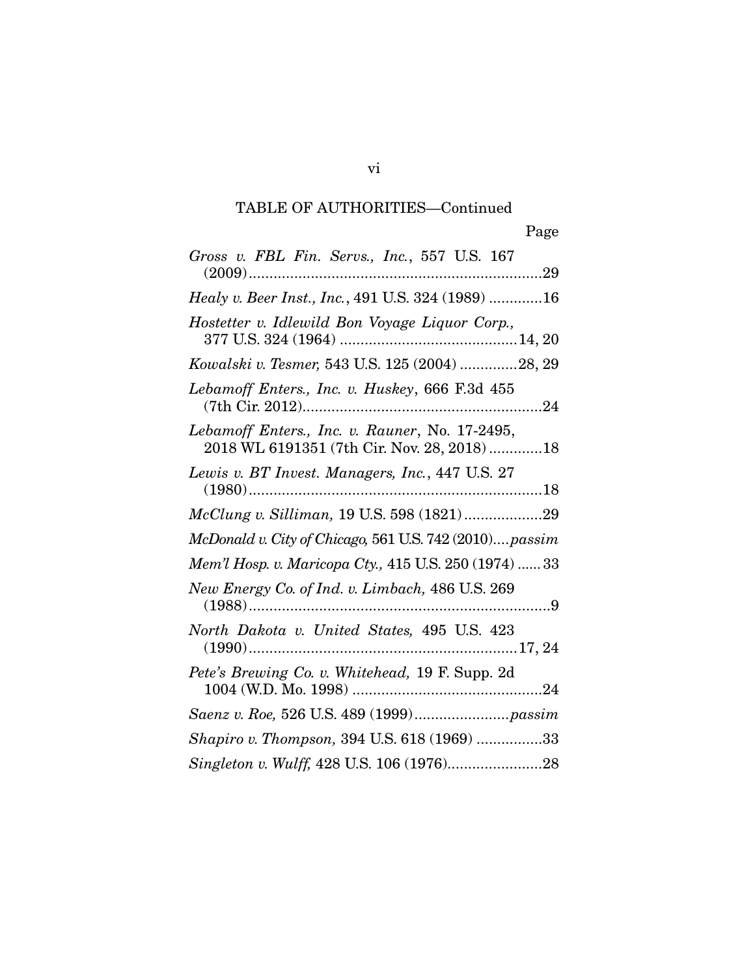| Gross v. FBL Fin. Servs., Inc., 557 U.S. 167                                                  |
|-----------------------------------------------------------------------------------------------|
| Healy v. Beer Inst., Inc., 491 U.S. 324 (1989) 16                                             |
| Hostetter v. Idlewild Bon Voyage Liquor Corp.,                                                |
| Kowalski v. Tesmer, 543 U.S. 125 (2004) 28, 29                                                |
| Lebamoff Enters., Inc. v. Huskey, 666 F.3d 455                                                |
| Lebamoff Enters., Inc. v. Rauner, No. 17-2495,<br>2018 WL 6191351 (7th Cir. Nov. 28, 2018) 18 |
| Lewis v. BT Invest. Managers, Inc., 447 U.S. 27                                               |
|                                                                                               |
| McDonald v. City of Chicago, 561 U.S. 742 (2010) passim                                       |
| Mem'l Hosp. v. Maricopa Cty., 415 U.S. 250 (1974)  33                                         |
| New Energy Co. of Ind. v. Limbach, 486 U.S. 269                                               |
| North Dakota v. United States, 495 U.S. 423                                                   |
| Pete's Brewing Co. v. Whitehead, 19 F. Supp. 2d                                               |
|                                                                                               |
| Shapiro v. Thompson, 394 U.S. 618 (1969) 33                                                   |
|                                                                                               |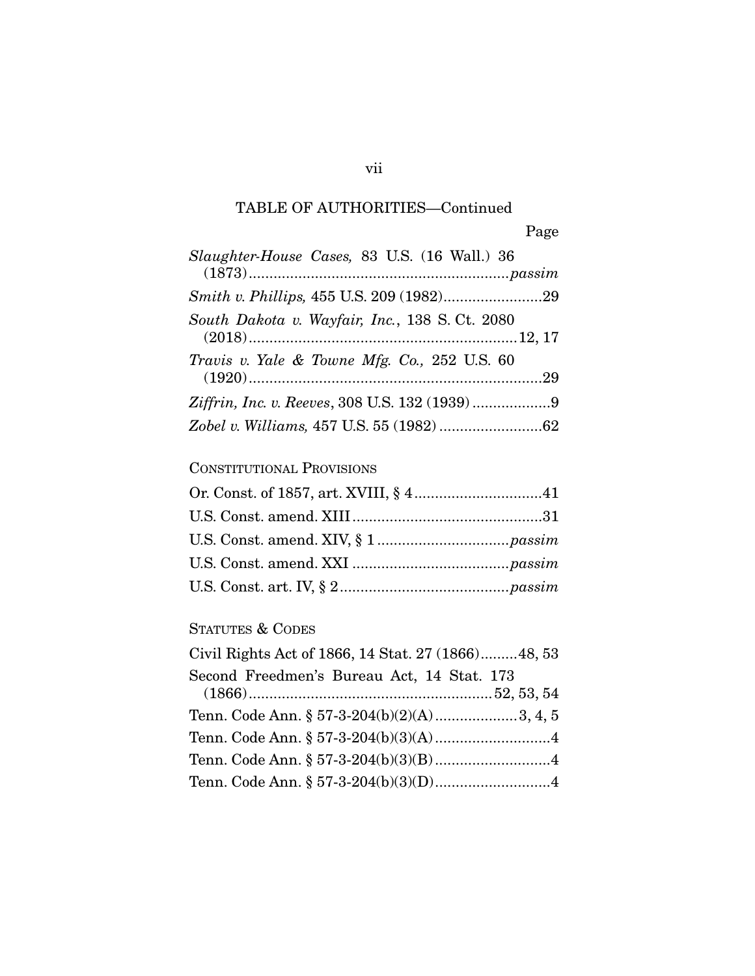| Slaughter-House Cases, 83 U.S. (16 Wall.) 36   |
|------------------------------------------------|
|                                                |
| South Dakota v. Wayfair, Inc., 138 S. Ct. 2080 |
| Travis v. Yale & Towne Mfg. Co., 252 U.S. 60   |
|                                                |
|                                                |

### CONSTITUTIONAL PROVISIONS

## STATUTES & CODES

| Civil Rights Act of 1866, 14 Stat. 27 (1866)48, 53 |  |
|----------------------------------------------------|--|
| Second Freedmen's Bureau Act, 14 Stat. 173         |  |
| Tenn. Code Ann. § 57-3-204(b)(2)(A)3, 4, 5         |  |
|                                                    |  |
|                                                    |  |
|                                                    |  |

### vii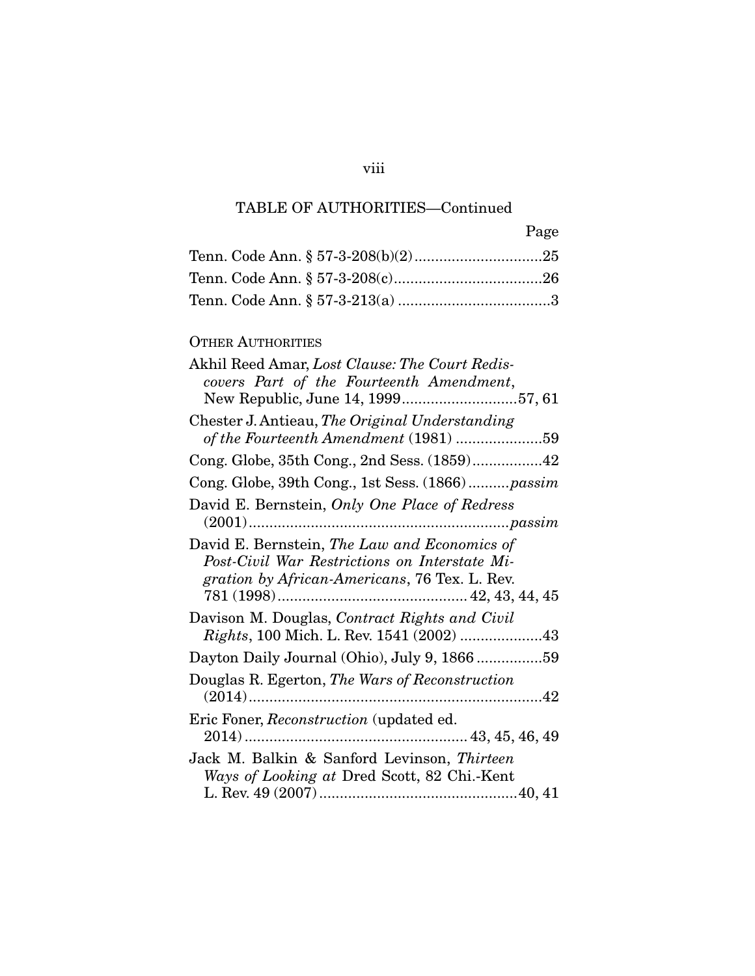| Page |
|------|
|      |
|      |
|      |

### OTHER AUTHORITIES

| Akhil Reed Amar, Lost Clause: The Court Redis-<br>covers Part of the Fourteenth Amendment,                                                     |
|------------------------------------------------------------------------------------------------------------------------------------------------|
| New Republic, June 14, 199957, 61                                                                                                              |
| Chester J. Antieau, The Original Understanding<br>of the Fourteenth Amendment (1981) 59                                                        |
|                                                                                                                                                |
| Cong. Globe, 39th Cong., 1st Sess. (1866)passim                                                                                                |
| David E. Bernstein, Only One Place of Redress                                                                                                  |
| David E. Bernstein, The Law and Economics of<br>Post-Civil War Restrictions on Interstate Mi-<br>gration by African-Americans, 76 Tex. L. Rev. |
| Davison M. Douglas, Contract Rights and Civil<br>Rights, 100 Mich. L. Rev. 1541 (2002) 43                                                      |
| Dayton Daily Journal (Ohio), July 9, 1866 59                                                                                                   |
| Douglas R. Egerton, The Wars of Reconstruction                                                                                                 |
| Eric Foner, Reconstruction (updated ed.                                                                                                        |
| Jack M. Balkin & Sanford Levinson, Thirteen<br>Ways of Looking at Dred Scott, 82 Chi.-Kent                                                     |

viii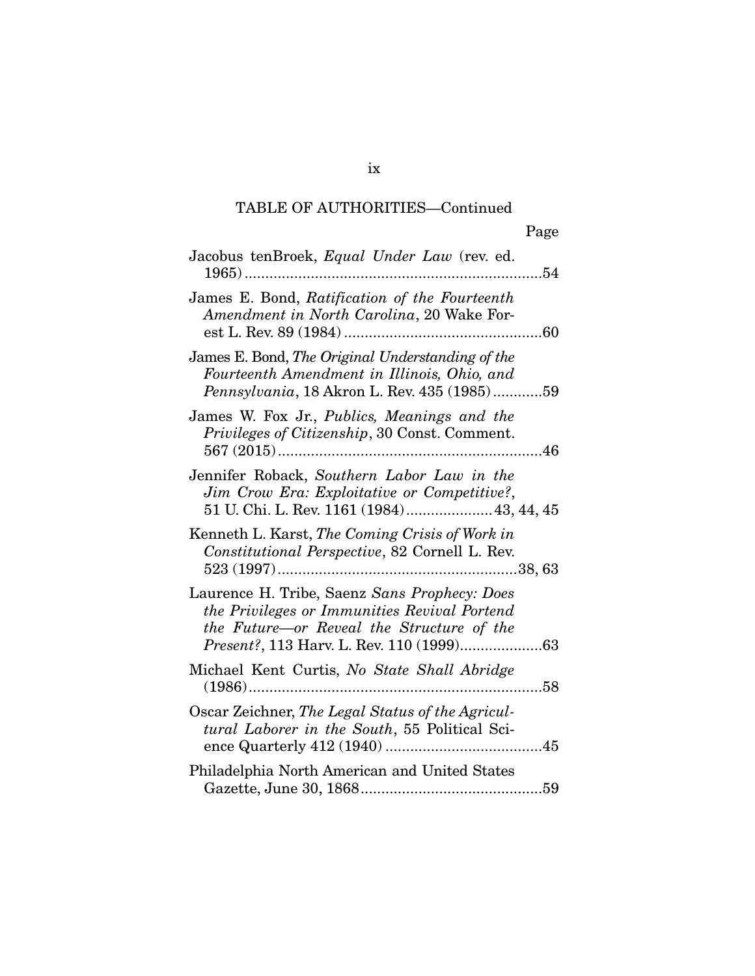| Jacobus tenBroek, Equal Under Law (rev. ed.<br>. 54                                                                                            |
|------------------------------------------------------------------------------------------------------------------------------------------------|
| James E. Bond, Ratification of the Fourteenth<br>Amendment in North Carolina, 20 Wake For-                                                     |
| James E. Bond, The Original Understanding of the<br>Fourteenth Amendment in Illinois, Ohio, and<br>Pennsylvania, 18 Akron L. Rev. 435 (1985)59 |
| James W. Fox Jr., Publics, Meanings and the<br>Privileges of Citizenship, 30 Const. Comment.                                                   |
| Jennifer Roback, Southern Labor Law in the<br>Jim Crow Era: Exploitative or Competitive?,<br>51 U. Chi. L. Rev. 1161 (1984) 43, 44, 45         |
| Kenneth L. Karst, The Coming Crisis of Work in<br>Constitutional Perspective, 82 Cornell L. Rev.                                               |
| Laurence H. Tribe, Saenz Sans Prophecy: Does<br>the Privileges or Immunities Revival Portend<br>the Future-or Reveal the Structure of the      |
| Michael Kent Curtis, No State Shall Abridge<br>58                                                                                              |
| Oscar Zeichner, The Legal Status of the Agricul-<br>tural Laborer in the South, 55 Political Sci-                                              |
| Philadelphia North American and United States                                                                                                  |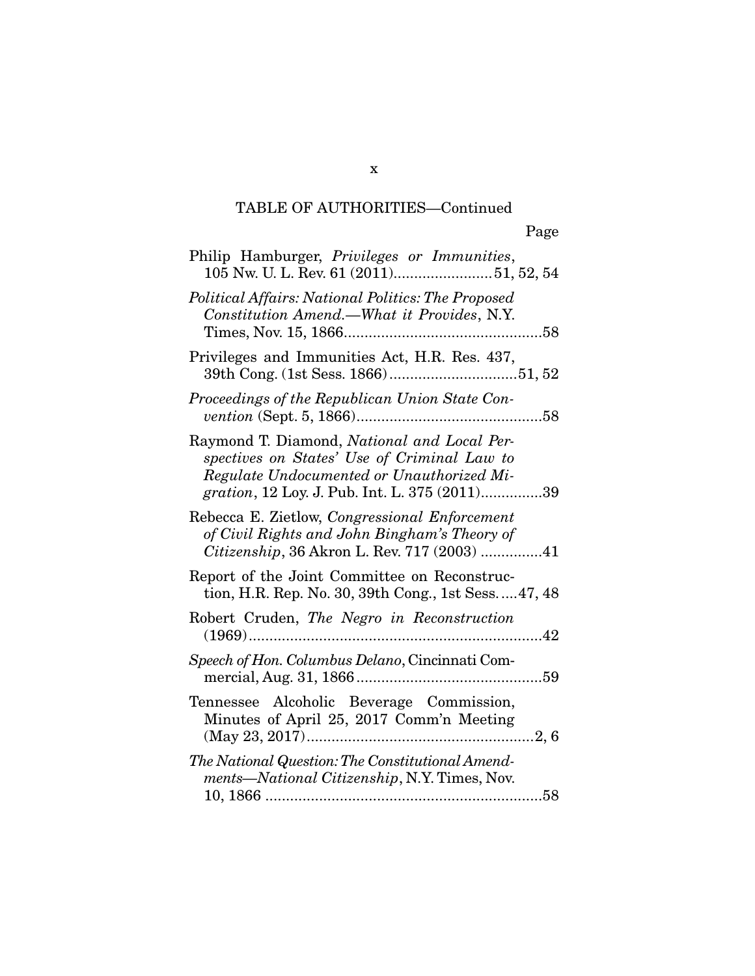| Philip Hamburger, Privileges or Immunities,<br>105 Nw. U. L. Rev. 61 (2011)51, 52, 54                                                                                                    |
|------------------------------------------------------------------------------------------------------------------------------------------------------------------------------------------|
| Political Affairs: National Politics: The Proposed<br>Constitution Amend.-What it Provides, N.Y.                                                                                         |
| Privileges and Immunities Act, H.R. Res. 437,                                                                                                                                            |
| Proceedings of the Republican Union State Con-                                                                                                                                           |
| Raymond T. Diamond, National and Local Per-<br>spectives on States' Use of Criminal Law to<br>Regulate Undocumented or Unauthorized Mi-<br>gration, 12 Loy. J. Pub. Int. L. 375 (2011)39 |
| Rebecca E. Zietlow, Congressional Enforcement<br>of Civil Rights and John Bingham's Theory of<br>Citizenship, 36 Akron L. Rev. 717 (2003) 41                                             |
| Report of the Joint Committee on Reconstruc-<br>tion, H.R. Rep. No. 30, 39th Cong., 1st Sess.  47, 48                                                                                    |
| Robert Cruden, The Negro in Reconstruction                                                                                                                                               |
| Speech of Hon. Columbus Delano, Cincinnati Com-                                                                                                                                          |
| Tennessee Alcoholic Beverage Commission,<br>Minutes of April 25, 2017 Comm'n Meeting                                                                                                     |
| The National Question: The Constitutional Amend-<br>ments—National Citizenship, N.Y. Times, Nov.                                                                                         |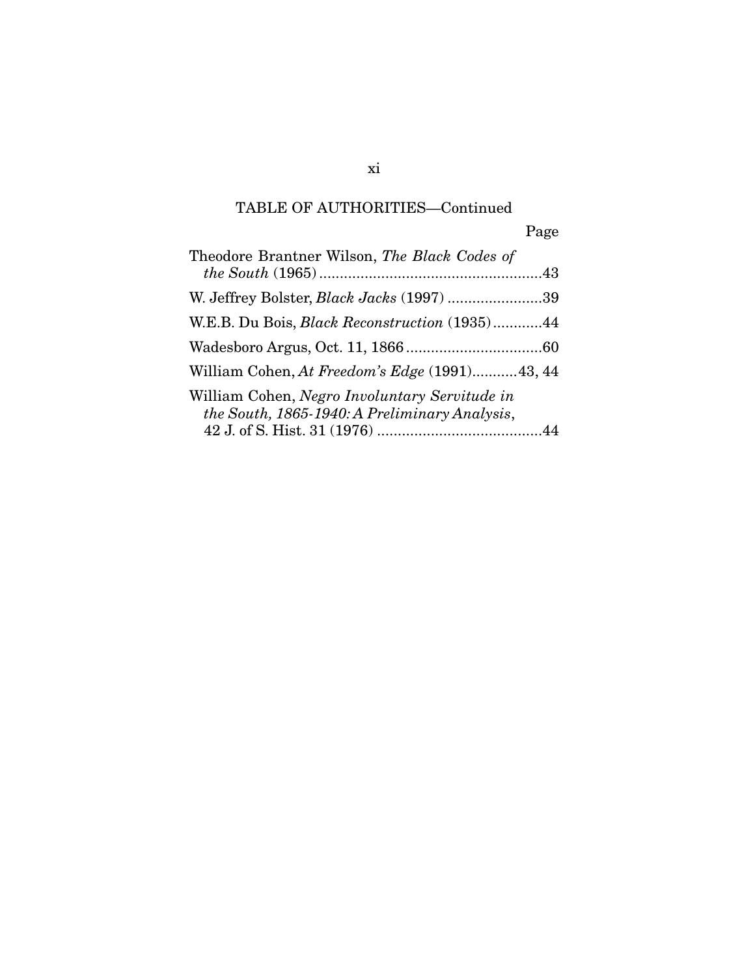Page

| Theodore Brantner Wilson, The Black Codes of                                                   |  |
|------------------------------------------------------------------------------------------------|--|
| W. Jeffrey Bolster, <i>Black Jacks</i> (1997) 39                                               |  |
| W.E.B. Du Bois, <i>Black Reconstruction</i> (1935)44                                           |  |
|                                                                                                |  |
| William Cohen, At Freedom's Edge (1991)43, 44                                                  |  |
| William Cohen, Negro Involuntary Servitude in<br>the South, 1865-1940: A Preliminary Analysis, |  |

xi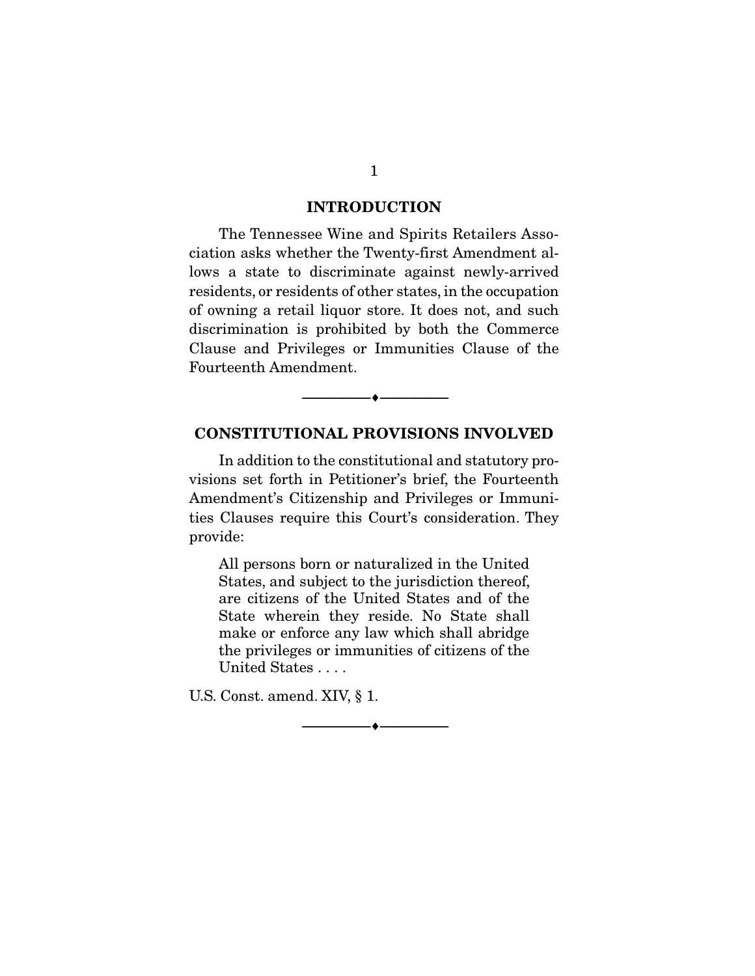#### INTRODUCTION

 The Tennessee Wine and Spirits Retailers Association asks whether the Twenty-first Amendment allows a state to discriminate against newly-arrived residents, or residents of other states, in the occupation of owning a retail liquor store. It does not, and such discrimination is prohibited by both the Commerce Clause and Privileges or Immunities Clause of the Fourteenth Amendment.

#### CONSTITUTIONAL PROVISIONS INVOLVED

--------------------------------- ---------------------------------

 In addition to the constitutional and statutory provisions set forth in Petitioner's brief, the Fourteenth Amendment's Citizenship and Privileges or Immunities Clauses require this Court's consideration. They provide:

All persons born or naturalized in the United States, and subject to the jurisdiction thereof, are citizens of the United States and of the State wherein they reside. No State shall make or enforce any law which shall abridge the privileges or immunities of citizens of the United States . . . .

--------------------------------- ---------------------------------

U.S. Const. amend. XIV, § 1.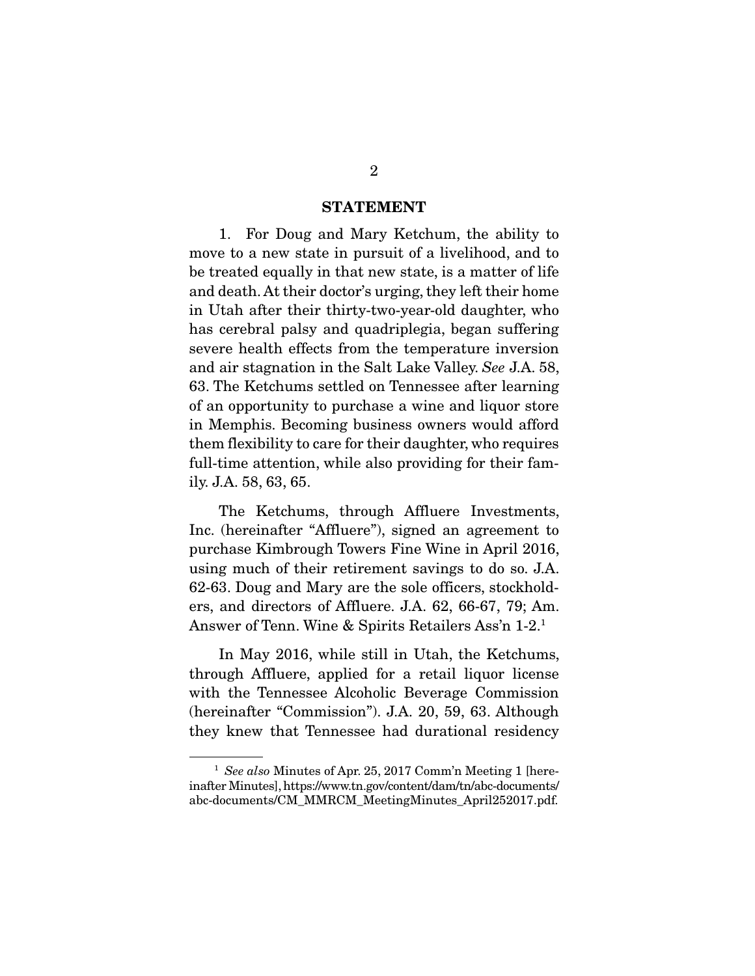#### STATEMENT

 1. For Doug and Mary Ketchum, the ability to move to a new state in pursuit of a livelihood, and to be treated equally in that new state, is a matter of life and death. At their doctor's urging, they left their home in Utah after their thirty-two-year-old daughter, who has cerebral palsy and quadriplegia, began suffering severe health effects from the temperature inversion and air stagnation in the Salt Lake Valley. *See* J.A. 58, 63. The Ketchums settled on Tennessee after learning of an opportunity to purchase a wine and liquor store in Memphis. Becoming business owners would afford them flexibility to care for their daughter, who requires full-time attention, while also providing for their family. J.A. 58, 63, 65.

 The Ketchums, through Affluere Investments, Inc. (hereinafter "Affluere"), signed an agreement to purchase Kimbrough Towers Fine Wine in April 2016, using much of their retirement savings to do so. J.A. 62-63. Doug and Mary are the sole officers, stockholders, and directors of Affluere. J.A. 62, 66-67, 79; Am. Answer of Tenn. Wine & Spirits Retailers Ass'n 1-2.1

 In May 2016, while still in Utah, the Ketchums, through Affluere, applied for a retail liquor license with the Tennessee Alcoholic Beverage Commission (hereinafter "Commission"). J.A. 20, 59, 63. Although they knew that Tennessee had durational residency

<sup>1</sup> *See also* Minutes of Apr. 25, 2017 Comm'n Meeting 1 [hereinafter Minutes], https://www.tn.gov/content/dam/tn/abc-documents/ abc-documents/CM\_MMRCM\_MeetingMinutes\_April252017.pdf.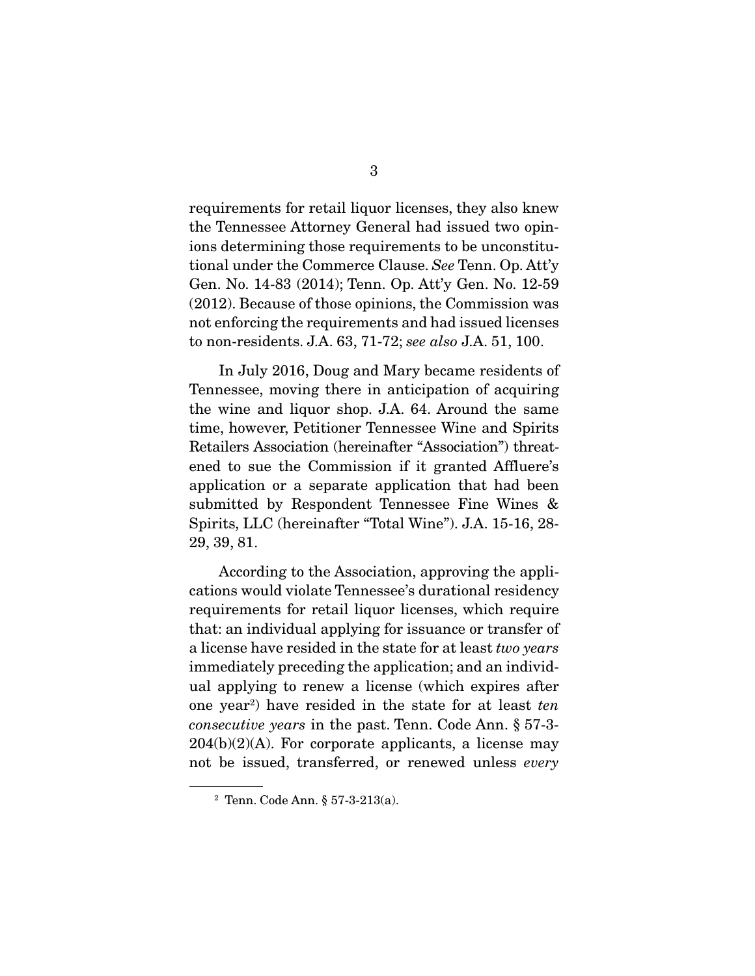requirements for retail liquor licenses, they also knew the Tennessee Attorney General had issued two opinions determining those requirements to be unconstitutional under the Commerce Clause. *See* Tenn. Op. Att'y Gen. No. 14-83 (2014); Tenn. Op. Att'y Gen. No. 12-59 (2012). Because of those opinions, the Commission was not enforcing the requirements and had issued licenses to non-residents. J.A. 63, 71-72; *see also* J.A. 51, 100.

 In July 2016, Doug and Mary became residents of Tennessee, moving there in anticipation of acquiring the wine and liquor shop. J.A. 64. Around the same time, however, Petitioner Tennessee Wine and Spirits Retailers Association (hereinafter "Association") threatened to sue the Commission if it granted Affluere's application or a separate application that had been submitted by Respondent Tennessee Fine Wines & Spirits, LLC (hereinafter "Total Wine"). J.A. 15-16, 28- 29, 39, 81.

 According to the Association, approving the applications would violate Tennessee's durational residency requirements for retail liquor licenses, which require that: an individual applying for issuance or transfer of a license have resided in the state for at least *two years* immediately preceding the application; and an individual applying to renew a license (which expires after one year2 ) have resided in the state for at least *ten consecutive years* in the past. Tenn. Code Ann. § 57-3-  $204(b)(2)(A)$ . For corporate applicants, a license may not be issued, transferred, or renewed unless *every*

<sup>2</sup> Tenn. Code Ann. § 57-3-213(a).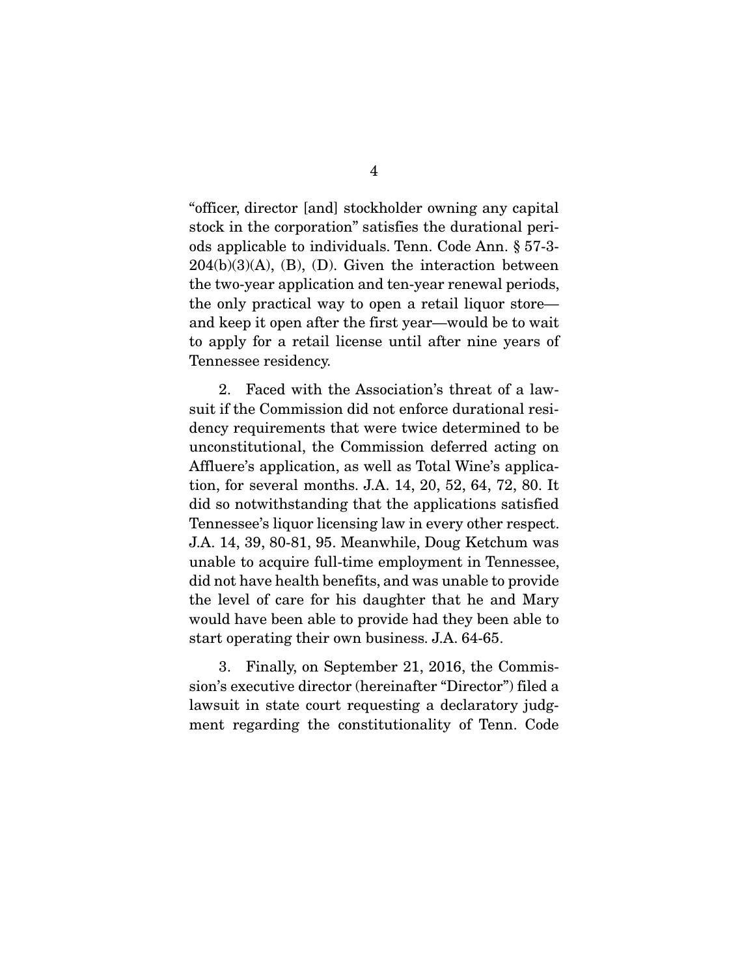"officer, director [and] stockholder owning any capital stock in the corporation" satisfies the durational periods applicable to individuals. Tenn. Code Ann. § 57-3-  $204(b)(3)(A)$ , (B), (D). Given the interaction between the two-year application and ten-year renewal periods, the only practical way to open a retail liquor store and keep it open after the first year—would be to wait to apply for a retail license until after nine years of Tennessee residency.

 2. Faced with the Association's threat of a lawsuit if the Commission did not enforce durational residency requirements that were twice determined to be unconstitutional, the Commission deferred acting on Affluere's application, as well as Total Wine's application, for several months. J.A. 14, 20, 52, 64, 72, 80. It did so notwithstanding that the applications satisfied Tennessee's liquor licensing law in every other respect. J.A. 14, 39, 80-81, 95. Meanwhile, Doug Ketchum was unable to acquire full-time employment in Tennessee, did not have health benefits, and was unable to provide the level of care for his daughter that he and Mary would have been able to provide had they been able to start operating their own business. J.A. 64-65.

 3. Finally, on September 21, 2016, the Commission's executive director (hereinafter "Director") filed a lawsuit in state court requesting a declaratory judgment regarding the constitutionality of Tenn. Code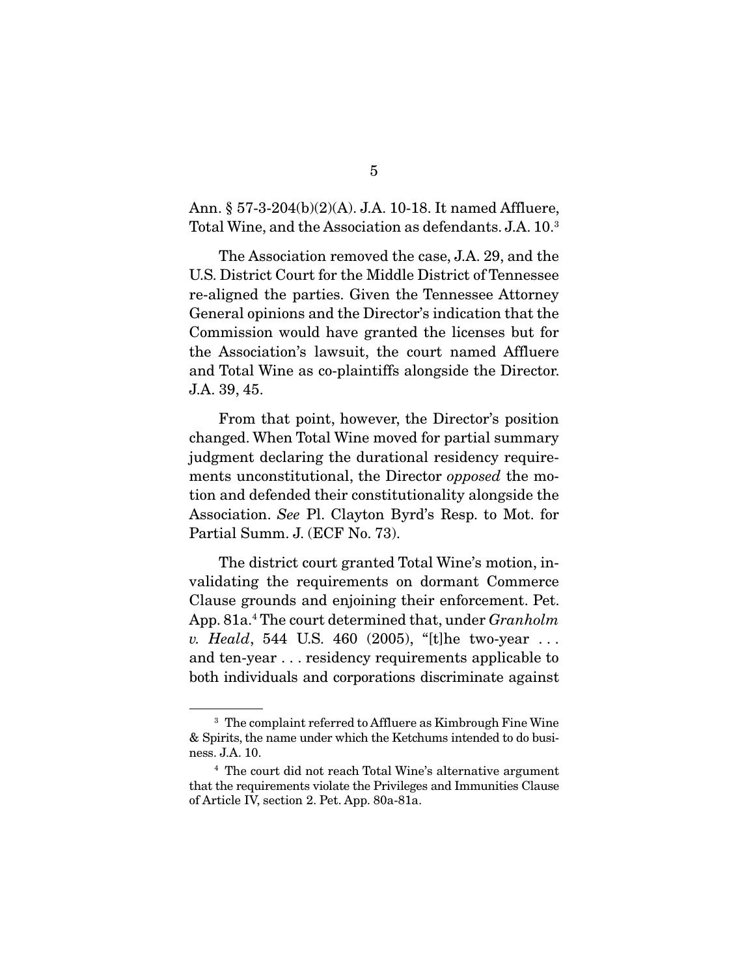Ann. § 57-3-204(b)(2)(A). J.A. 10-18. It named Affluere, Total Wine, and the Association as defendants. J.A. 10.3

 The Association removed the case, J.A. 29, and the U.S. District Court for the Middle District of Tennessee re-aligned the parties. Given the Tennessee Attorney General opinions and the Director's indication that the Commission would have granted the licenses but for the Association's lawsuit, the court named Affluere and Total Wine as co-plaintiffs alongside the Director. J.A. 39, 45.

 From that point, however, the Director's position changed. When Total Wine moved for partial summary judgment declaring the durational residency requirements unconstitutional, the Director *opposed* the motion and defended their constitutionality alongside the Association. *See* Pl. Clayton Byrd's Resp. to Mot. for Partial Summ. J. (ECF No. 73).

 The district court granted Total Wine's motion, invalidating the requirements on dormant Commerce Clause grounds and enjoining their enforcement. Pet. App. 81a.<sup>4</sup> The court determined that, under *Granholm v. Heald*, 544 U.S. 460 (2005), "[t]he two-year . . . and ten-year . . . residency requirements applicable to both individuals and corporations discriminate against

<sup>3</sup> The complaint referred to Affluere as Kimbrough Fine Wine & Spirits, the name under which the Ketchums intended to do business. J.A. 10.

<sup>4</sup> The court did not reach Total Wine's alternative argument that the requirements violate the Privileges and Immunities Clause of Article IV, section 2. Pet. App. 80a-81a.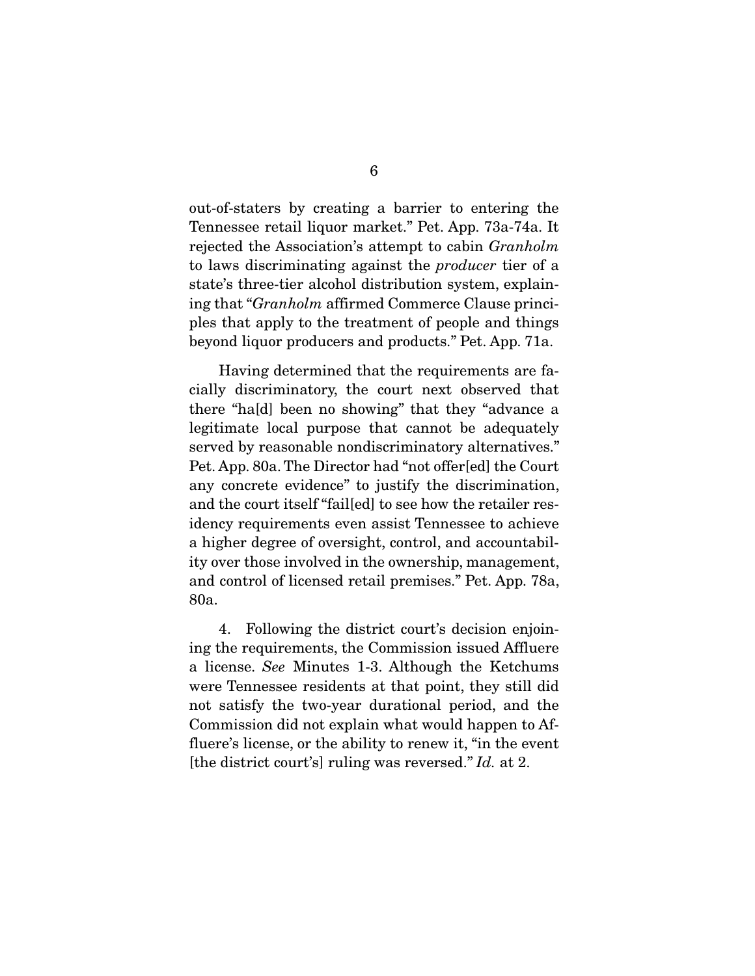out-of-staters by creating a barrier to entering the Tennessee retail liquor market." Pet. App. 73a-74a. It rejected the Association's attempt to cabin *Granholm* to laws discriminating against the *producer* tier of a state's three-tier alcohol distribution system, explaining that "*Granholm* affirmed Commerce Clause principles that apply to the treatment of people and things beyond liquor producers and products." Pet. App. 71a.

 Having determined that the requirements are facially discriminatory, the court next observed that there "ha[d] been no showing" that they "advance a legitimate local purpose that cannot be adequately served by reasonable nondiscriminatory alternatives." Pet. App. 80a. The Director had "not offer[ed] the Court any concrete evidence" to justify the discrimination, and the court itself "fail[ed] to see how the retailer residency requirements even assist Tennessee to achieve a higher degree of oversight, control, and accountability over those involved in the ownership, management, and control of licensed retail premises." Pet. App. 78a, 80a.

 4. Following the district court's decision enjoining the requirements, the Commission issued Affluere a license. *See* Minutes 1-3. Although the Ketchums were Tennessee residents at that point, they still did not satisfy the two-year durational period, and the Commission did not explain what would happen to Affluere's license, or the ability to renew it, "in the event [the district court's] ruling was reversed." *Id.* at 2.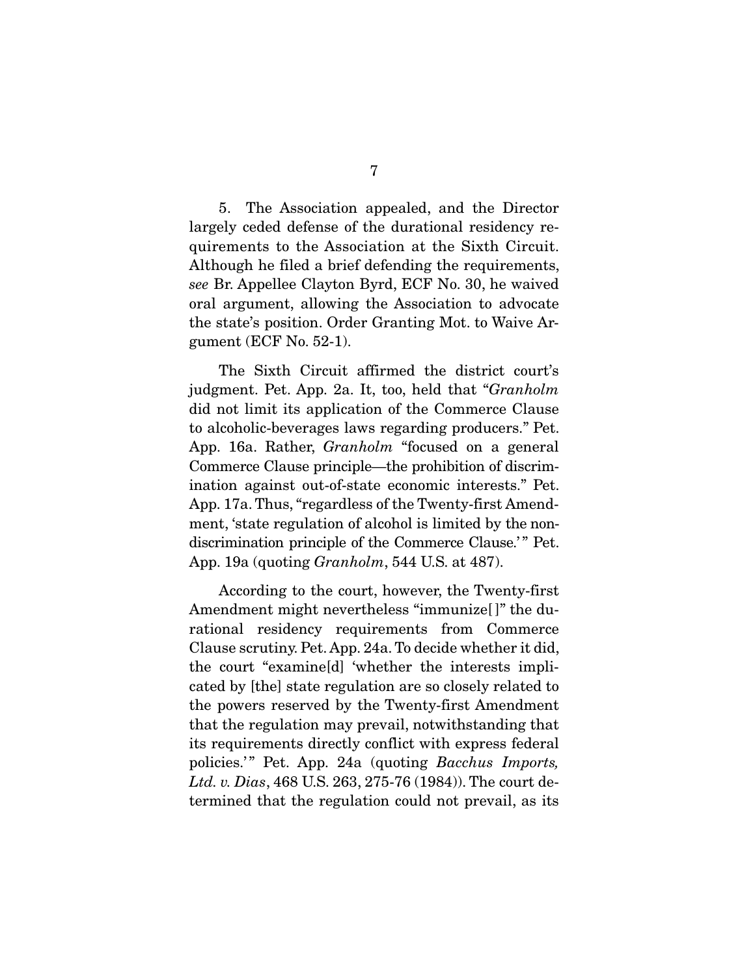5. The Association appealed, and the Director largely ceded defense of the durational residency requirements to the Association at the Sixth Circuit. Although he filed a brief defending the requirements, *see* Br. Appellee Clayton Byrd, ECF No. 30, he waived oral argument, allowing the Association to advocate the state's position. Order Granting Mot. to Waive Argument (ECF No. 52-1).

 The Sixth Circuit affirmed the district court's judgment. Pet. App. 2a. It, too, held that "*Granholm* did not limit its application of the Commerce Clause to alcoholic-beverages laws regarding producers." Pet. App. 16a. Rather, *Granholm* "focused on a general Commerce Clause principle—the prohibition of discrimination against out-of-state economic interests." Pet. App. 17a. Thus, "regardless of the Twenty-first Amendment, 'state regulation of alcohol is limited by the nondiscrimination principle of the Commerce Clause.'" Pet. App. 19a (quoting *Granholm*, 544 U.S. at 487).

 According to the court, however, the Twenty-first Amendment might nevertheless "immunize<sup>[]"</sup> the durational residency requirements from Commerce Clause scrutiny. Pet. App. 24a. To decide whether it did, the court "examine[d] 'whether the interests implicated by [the] state regulation are so closely related to the powers reserved by the Twenty-first Amendment that the regulation may prevail, notwithstanding that its requirements directly conflict with express federal policies.'" Pet. App. 24a (quoting *Bacchus Imports*, *Ltd. v. Dias*, 468 U.S. 263, 275-76 (1984)). The court determined that the regulation could not prevail, as its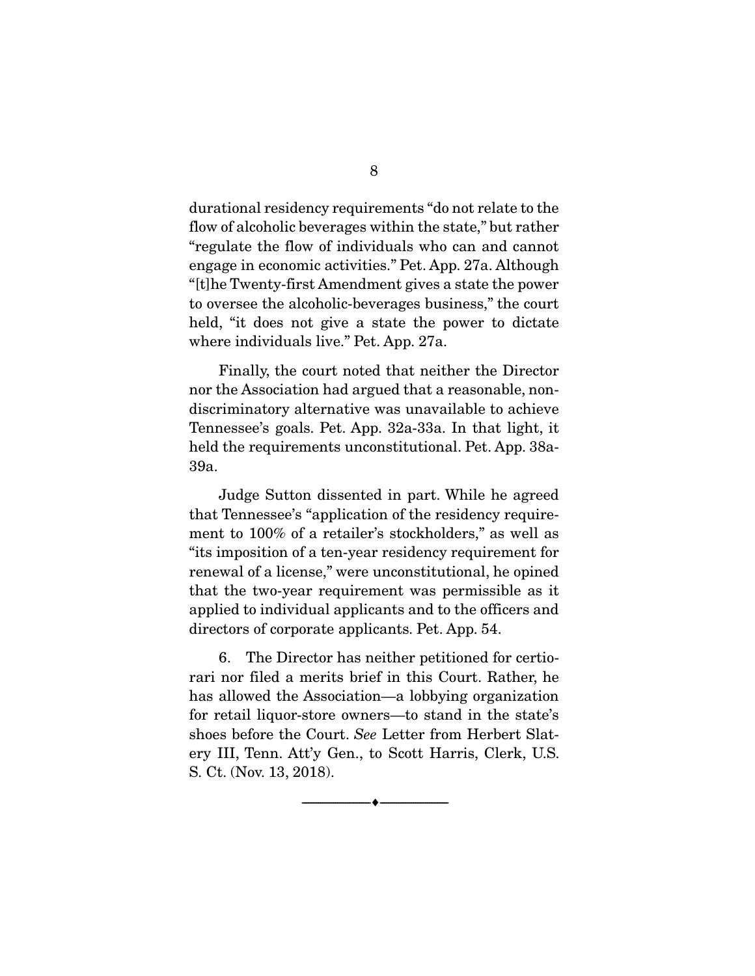durational residency requirements "do not relate to the flow of alcoholic beverages within the state," but rather "regulate the flow of individuals who can and cannot engage in economic activities." Pet. App. 27a. Although "[t]he Twenty-first Amendment gives a state the power to oversee the alcoholic-beverages business," the court held, "it does not give a state the power to dictate where individuals live." Pet. App. 27a.

 Finally, the court noted that neither the Director nor the Association had argued that a reasonable, nondiscriminatory alternative was unavailable to achieve Tennessee's goals. Pet. App. 32a-33a. In that light, it held the requirements unconstitutional. Pet. App. 38a-39a.

 Judge Sutton dissented in part. While he agreed that Tennessee's "application of the residency requirement to 100% of a retailer's stockholders," as well as "its imposition of a ten-year residency requirement for renewal of a license," were unconstitutional, he opined that the two-year requirement was permissible as it applied to individual applicants and to the officers and directors of corporate applicants. Pet. App. 54.

 6. The Director has neither petitioned for certiorari nor filed a merits brief in this Court. Rather, he has allowed the Association—a lobbying organization for retail liquor-store owners—to stand in the state's shoes before the Court. *See* Letter from Herbert Slatery III, Tenn. Att'y Gen., to Scott Harris, Clerk, U.S. S. Ct. (Nov. 13, 2018).

--------------------------------- ---------------------------------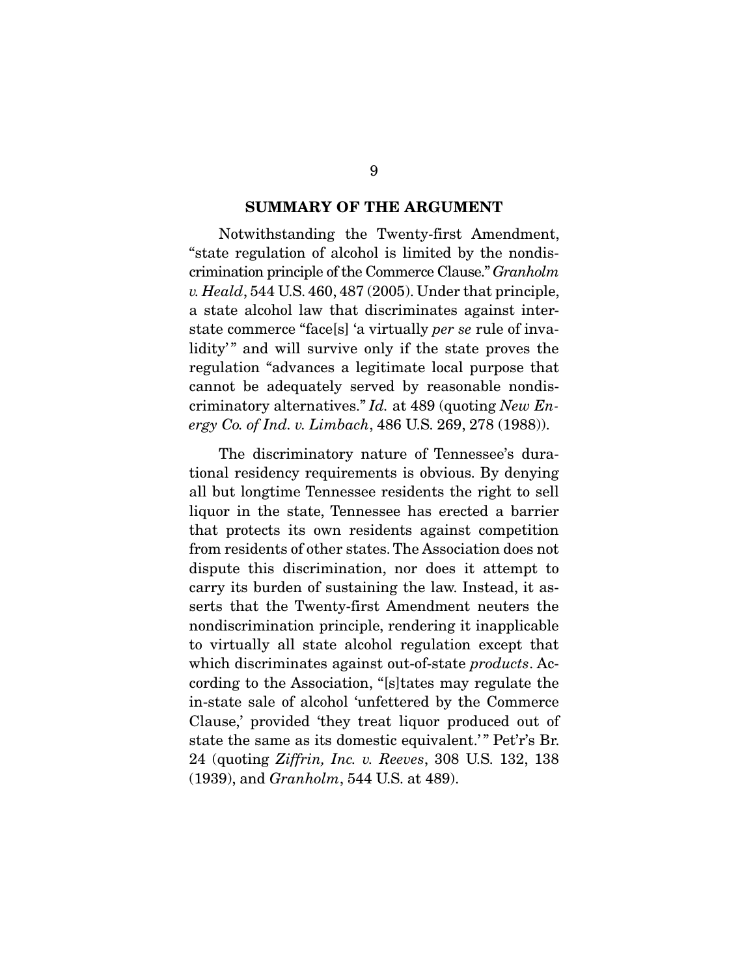#### SUMMARY OF THE ARGUMENT

 Notwithstanding the Twenty-first Amendment, "state regulation of alcohol is limited by the nondiscrimination principle of the Commerce Clause." *Granholm v. Heald*, 544 U.S. 460, 487 (2005). Under that principle, a state alcohol law that discriminates against interstate commerce "face[s] 'a virtually *per se* rule of invalidity" and will survive only if the state proves the regulation "advances a legitimate local purpose that cannot be adequately served by reasonable nondiscriminatory alternatives." *Id.* at 489 (quoting *New Energy Co. of Ind. v. Limbach*, 486 U.S. 269, 278 (1988)).

 The discriminatory nature of Tennessee's durational residency requirements is obvious. By denying all but longtime Tennessee residents the right to sell liquor in the state, Tennessee has erected a barrier that protects its own residents against competition from residents of other states. The Association does not dispute this discrimination, nor does it attempt to carry its burden of sustaining the law. Instead, it asserts that the Twenty-first Amendment neuters the nondiscrimination principle, rendering it inapplicable to virtually all state alcohol regulation except that which discriminates against out-of-state *products*. According to the Association, "[s]tates may regulate the in-state sale of alcohol 'unfettered by the Commerce Clause,' provided 'they treat liquor produced out of state the same as its domestic equivalent.'" Pet'r's Br. 24 (quoting *Ziffrin, Inc. v. Reeves*, 308 U.S. 132, 138 (1939), and *Granholm*, 544 U.S. at 489).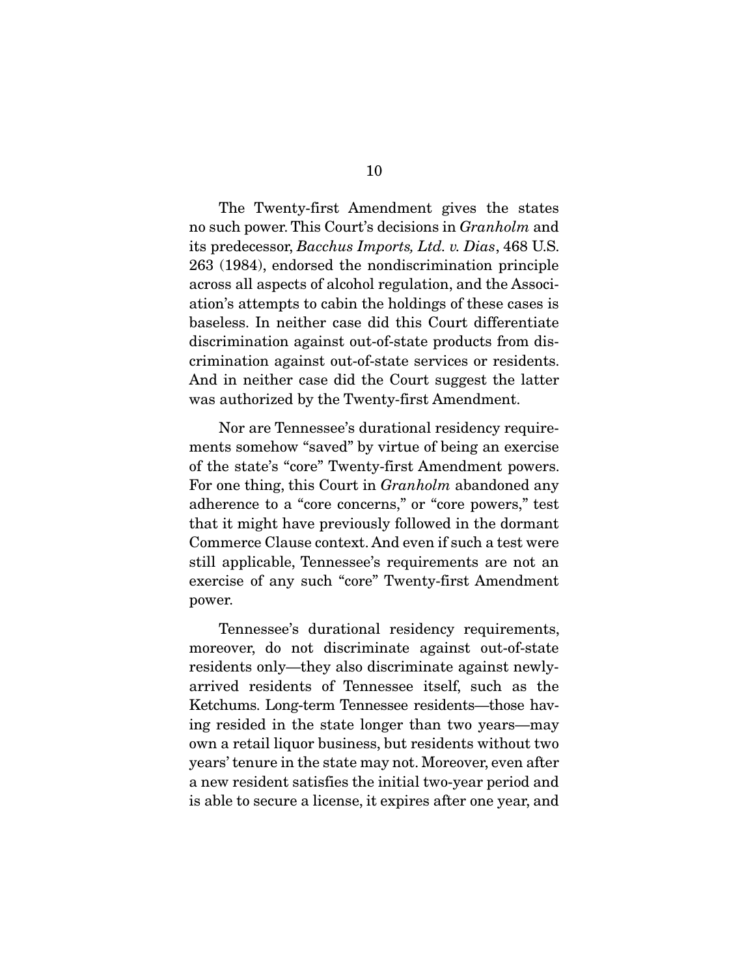The Twenty-first Amendment gives the states no such power. This Court's decisions in *Granholm* and its predecessor, *Bacchus Imports, Ltd. v. Dias*, 468 U.S. 263 (1984), endorsed the nondiscrimination principle across all aspects of alcohol regulation, and the Association's attempts to cabin the holdings of these cases is baseless. In neither case did this Court differentiate discrimination against out-of-state products from discrimination against out-of-state services or residents. And in neither case did the Court suggest the latter was authorized by the Twenty-first Amendment.

 Nor are Tennessee's durational residency requirements somehow "saved" by virtue of being an exercise of the state's "core" Twenty-first Amendment powers. For one thing, this Court in *Granholm* abandoned any adherence to a "core concerns," or "core powers," test that it might have previously followed in the dormant Commerce Clause context. And even if such a test were still applicable, Tennessee's requirements are not an exercise of any such "core" Twenty-first Amendment power.

 Tennessee's durational residency requirements, moreover, do not discriminate against out-of-state residents only—they also discriminate against newlyarrived residents of Tennessee itself, such as the Ketchums. Long-term Tennessee residents—those having resided in the state longer than two years—may own a retail liquor business, but residents without two years' tenure in the state may not. Moreover, even after a new resident satisfies the initial two-year period and is able to secure a license, it expires after one year, and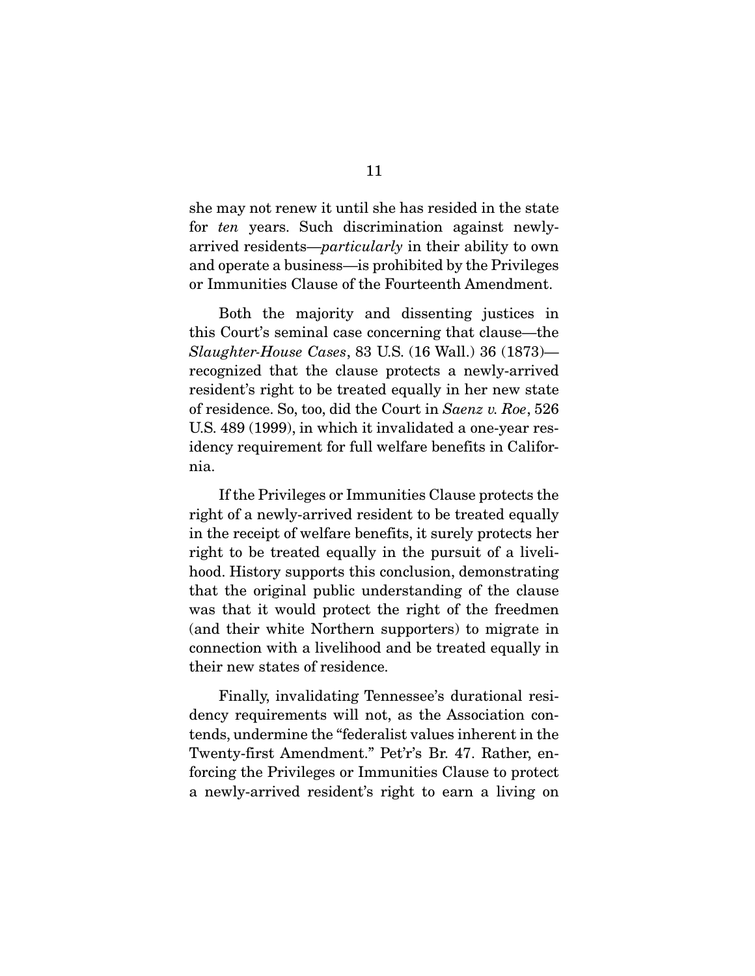she may not renew it until she has resided in the state for *ten* years. Such discrimination against newlyarrived residents—*particularly* in their ability to own and operate a business—is prohibited by the Privileges or Immunities Clause of the Fourteenth Amendment.

 Both the majority and dissenting justices in this Court's seminal case concerning that clause—the *Slaughter-House Cases*, 83 U.S. (16 Wall.) 36 (1873) recognized that the clause protects a newly-arrived resident's right to be treated equally in her new state of residence. So, too, did the Court in *Saenz v. Roe*, 526 U.S. 489 (1999), in which it invalidated a one-year residency requirement for full welfare benefits in California.

 If the Privileges or Immunities Clause protects the right of a newly-arrived resident to be treated equally in the receipt of welfare benefits, it surely protects her right to be treated equally in the pursuit of a livelihood. History supports this conclusion, demonstrating that the original public understanding of the clause was that it would protect the right of the freedmen (and their white Northern supporters) to migrate in connection with a livelihood and be treated equally in their new states of residence.

 Finally, invalidating Tennessee's durational residency requirements will not, as the Association contends, undermine the "federalist values inherent in the Twenty-first Amendment." Pet'r's Br. 47. Rather, enforcing the Privileges or Immunities Clause to protect a newly-arrived resident's right to earn a living on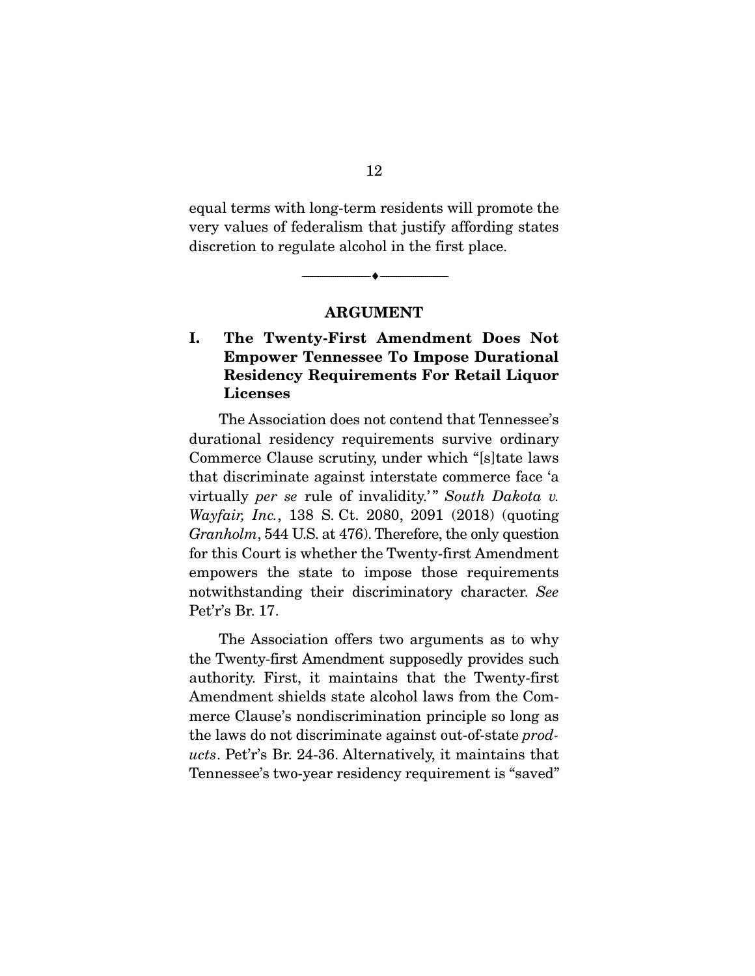equal terms with long-term residents will promote the very values of federalism that justify affording states discretion to regulate alcohol in the first place.

#### ARGUMENT

--------------------------------- ---------------------------------

### I. The Twenty-First Amendment Does Not Empower Tennessee To Impose Durational Residency Requirements For Retail Liquor Licenses

 The Association does not contend that Tennessee's durational residency requirements survive ordinary Commerce Clause scrutiny, under which "[s]tate laws that discriminate against interstate commerce face 'a virtually *per se* rule of invalidity.'" South Dakota v. *Wayfair, Inc.*, 138 S. Ct. 2080, 2091 (2018) (quoting *Granholm*, 544 U.S. at 476). Therefore, the only question for this Court is whether the Twenty-first Amendment empowers the state to impose those requirements notwithstanding their discriminatory character. *See* Pet'r's Br. 17.

 The Association offers two arguments as to why the Twenty-first Amendment supposedly provides such authority. First, it maintains that the Twenty-first Amendment shields state alcohol laws from the Commerce Clause's nondiscrimination principle so long as the laws do not discriminate against out-of-state *products*. Pet'r's Br. 24-36. Alternatively, it maintains that Tennessee's two-year residency requirement is "saved"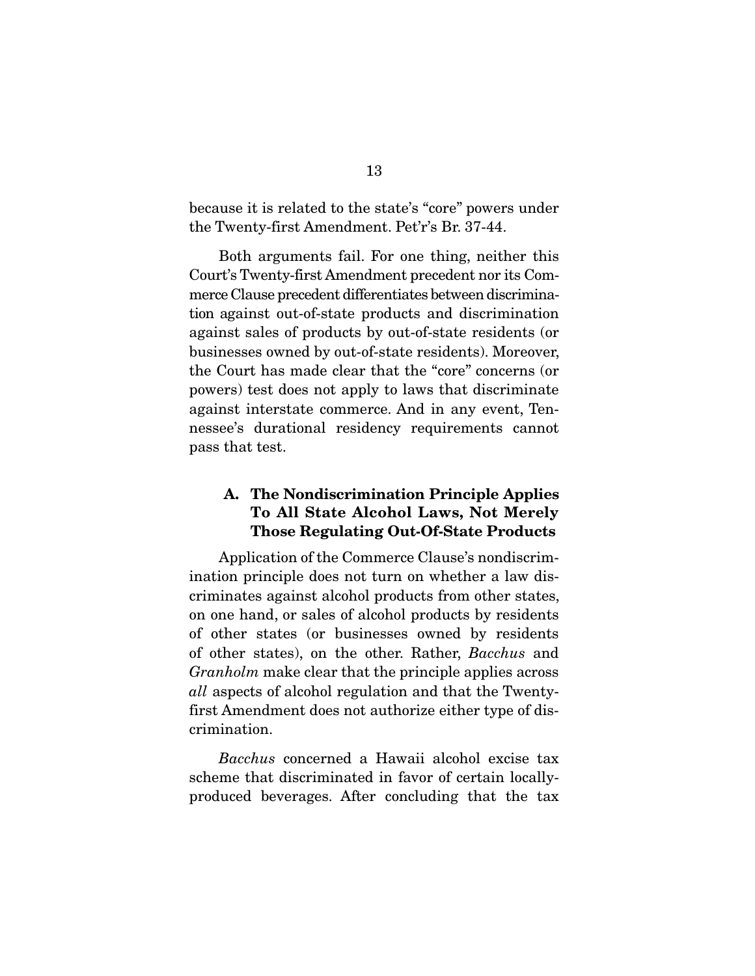because it is related to the state's "core" powers under the Twenty-first Amendment. Pet'r's Br. 37-44.

 Both arguments fail. For one thing, neither this Court's Twenty-first Amendment precedent nor its Commerce Clause precedent differentiates between discrimination against out-of-state products and discrimination against sales of products by out-of-state residents (or businesses owned by out-of-state residents). Moreover, the Court has made clear that the "core" concerns (or powers) test does not apply to laws that discriminate against interstate commerce. And in any event, Tennessee's durational residency requirements cannot pass that test.

### A. The Nondiscrimination Principle Applies To All State Alcohol Laws, Not Merely Those Regulating Out-Of-State Products

 Application of the Commerce Clause's nondiscrimination principle does not turn on whether a law discriminates against alcohol products from other states, on one hand, or sales of alcohol products by residents of other states (or businesses owned by residents of other states), on the other. Rather, *Bacchus* and *Granholm* make clear that the principle applies across *all* aspects of alcohol regulation and that the Twentyfirst Amendment does not authorize either type of discrimination.

*Bacchus* concerned a Hawaii alcohol excise tax scheme that discriminated in favor of certain locallyproduced beverages. After concluding that the tax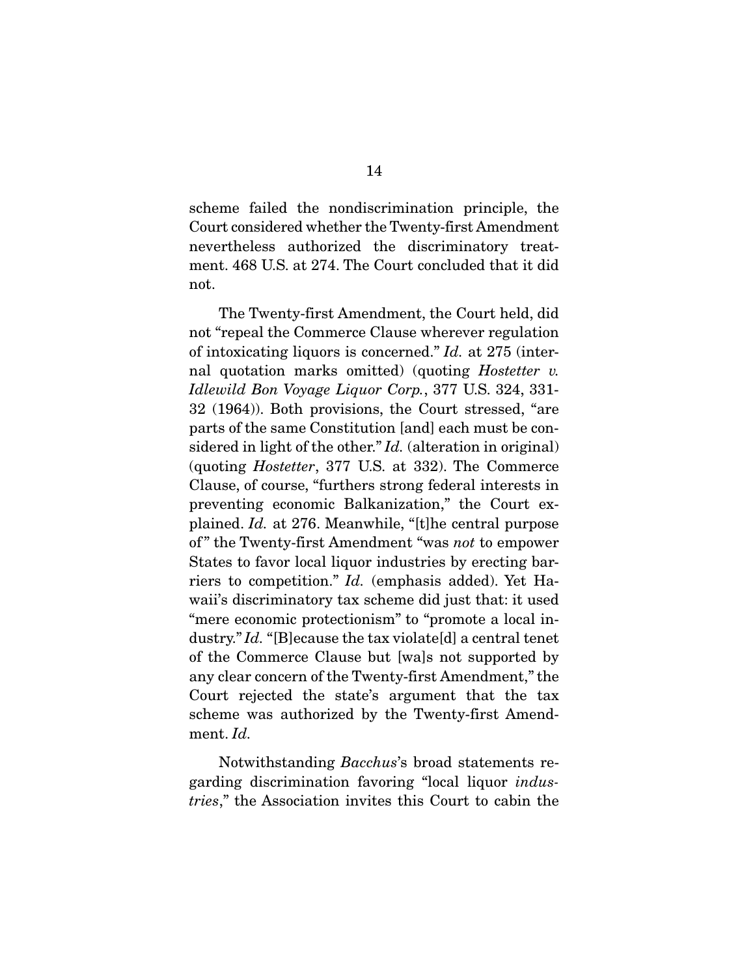scheme failed the nondiscrimination principle, the Court considered whether the Twenty-first Amendment nevertheless authorized the discriminatory treatment. 468 U.S. at 274. The Court concluded that it did not.

 The Twenty-first Amendment, the Court held, did not "repeal the Commerce Clause wherever regulation of intoxicating liquors is concerned." *Id.* at 275 (internal quotation marks omitted) (quoting *Hostetter v. Idlewild Bon Voyage Liquor Corp.*, 377 U.S. 324, 331- 32 (1964)). Both provisions, the Court stressed, "are parts of the same Constitution [and] each must be considered in light of the other." *Id.* (alteration in original) (quoting *Hostetter*, 377 U.S. at 332). The Commerce Clause, of course, "furthers strong federal interests in preventing economic Balkanization," the Court explained. *Id.* at 276. Meanwhile, "[t]he central purpose of " the Twenty-first Amendment "was *not* to empower States to favor local liquor industries by erecting barriers to competition." *Id.* (emphasis added). Yet Hawaii's discriminatory tax scheme did just that: it used "mere economic protectionism" to "promote a local industry." *Id.* "[B]ecause the tax violate[d] a central tenet of the Commerce Clause but [wa]s not supported by any clear concern of the Twenty-first Amendment," the Court rejected the state's argument that the tax scheme was authorized by the Twenty-first Amendment. *Id.*

 Notwithstanding *Bacchus*'s broad statements regarding discrimination favoring "local liquor *industries*," the Association invites this Court to cabin the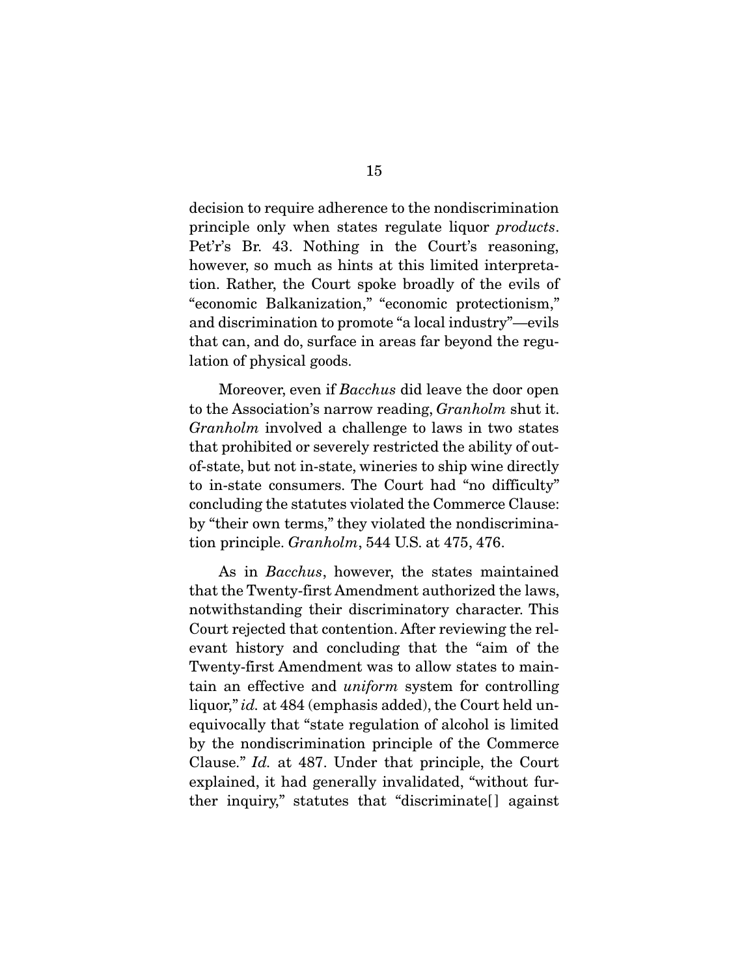decision to require adherence to the nondiscrimination principle only when states regulate liquor *products*. Pet'r's Br. 43. Nothing in the Court's reasoning, however, so much as hints at this limited interpretation. Rather, the Court spoke broadly of the evils of "economic Balkanization," "economic protectionism," and discrimination to promote "a local industry"—evils that can, and do, surface in areas far beyond the regulation of physical goods.

 Moreover, even if *Bacchus* did leave the door open to the Association's narrow reading, *Granholm* shut it. *Granholm* involved a challenge to laws in two states that prohibited or severely restricted the ability of outof-state, but not in-state, wineries to ship wine directly to in-state consumers. The Court had "no difficulty" concluding the statutes violated the Commerce Clause: by "their own terms," they violated the nondiscrimination principle. *Granholm*, 544 U.S. at 475, 476.

 As in *Bacchus*, however, the states maintained that the Twenty-first Amendment authorized the laws, notwithstanding their discriminatory character. This Court rejected that contention. After reviewing the relevant history and concluding that the "aim of the Twenty-first Amendment was to allow states to maintain an effective and *uniform* system for controlling liquor," *id.* at 484 (emphasis added), the Court held unequivocally that "state regulation of alcohol is limited by the nondiscrimination principle of the Commerce Clause." *Id.* at 487. Under that principle, the Court explained, it had generally invalidated, "without further inquiry," statutes that "discriminate<sup>[]</sup> against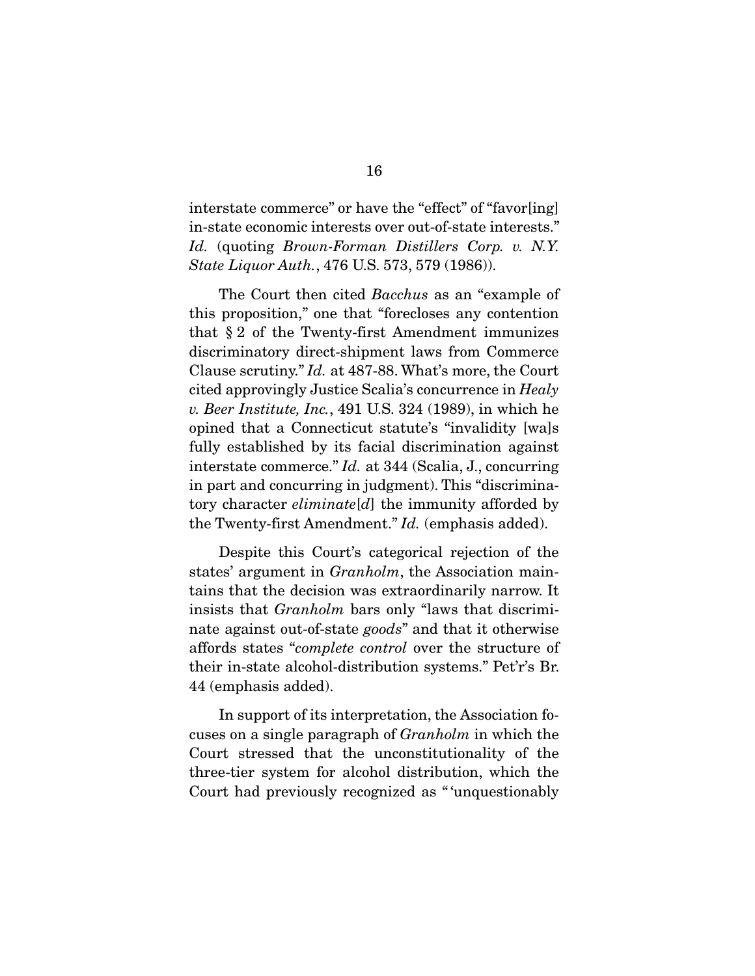interstate commerce" or have the "effect" of "favor[ing] in-state economic interests over out-of-state interests." *Id.* (quoting *Brown-Forman Distillers Corp. v. N.Y. State Liquor Auth.*, 476 U.S. 573, 579 (1986)).

 The Court then cited *Bacchus* as an "example of this proposition," one that "forecloses any contention that § 2 of the Twenty-first Amendment immunizes discriminatory direct-shipment laws from Commerce Clause scrutiny." *Id.* at 487-88. What's more, the Court cited approvingly Justice Scalia's concurrence in *Healy v. Beer Institute, Inc.*, 491 U.S. 324 (1989), in which he opined that a Connecticut statute's "invalidity [wa]s fully established by its facial discrimination against interstate commerce." *Id.* at 344 (Scalia, J., concurring in part and concurring in judgment). This "discriminatory character *eliminate*[*d*] the immunity afforded by the Twenty-first Amendment." *Id.* (emphasis added).

 Despite this Court's categorical rejection of the states' argument in *Granholm*, the Association maintains that the decision was extraordinarily narrow. It insists that *Granholm* bars only "laws that discriminate against out-of-state *goods*" and that it otherwise affords states "*complete control* over the structure of their in-state alcohol-distribution systems." Pet'r's Br. 44 (emphasis added).

 In support of its interpretation, the Association focuses on a single paragraph of *Granholm* in which the Court stressed that the unconstitutionality of the three-tier system for alcohol distribution, which the Court had previously recognized as " 'unquestionably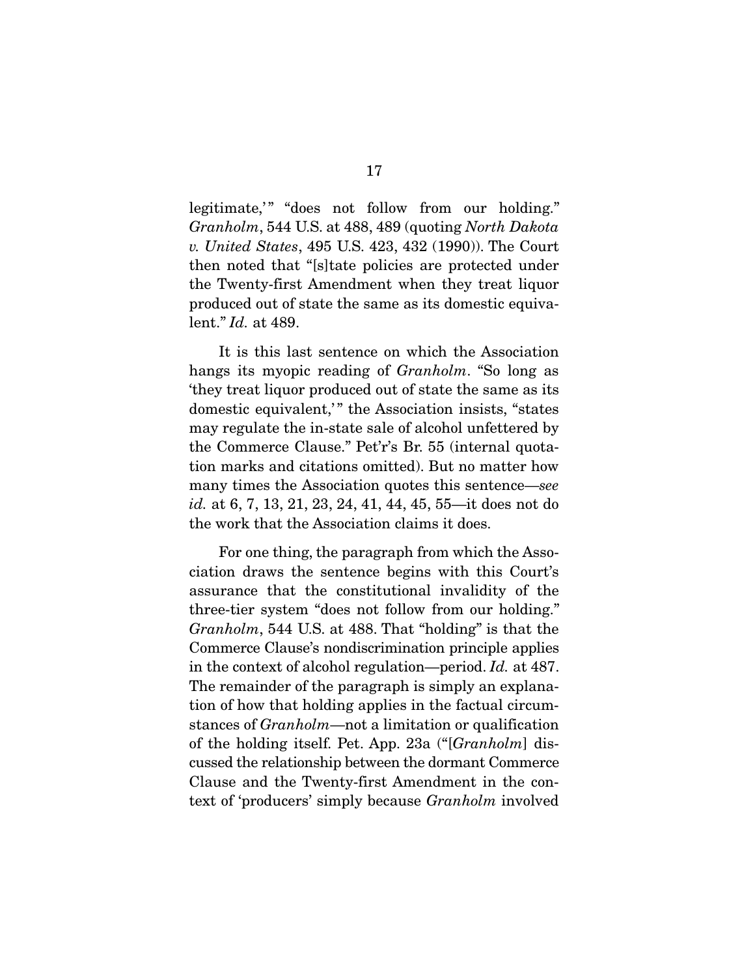legitimate," "does not follow from our holding." *Granholm*, 544 U.S. at 488, 489 (quoting *North Dakota v. United States*, 495 U.S. 423, 432 (1990)). The Court then noted that "[s]tate policies are protected under the Twenty-first Amendment when they treat liquor produced out of state the same as its domestic equivalent." *Id.* at 489.

 It is this last sentence on which the Association hangs its myopic reading of *Granholm*. "So long as 'they treat liquor produced out of state the same as its domestic equivalent," the Association insists, "states may regulate the in-state sale of alcohol unfettered by the Commerce Clause." Pet'r's Br. 55 (internal quotation marks and citations omitted). But no matter how many times the Association quotes this sentence—*see id.* at 6, 7, 13, 21, 23, 24, 41, 44, 45, 55—it does not do the work that the Association claims it does.

 For one thing, the paragraph from which the Association draws the sentence begins with this Court's assurance that the constitutional invalidity of the three-tier system "does not follow from our holding." *Granholm*, 544 U.S. at 488. That "holding" is that the Commerce Clause's nondiscrimination principle applies in the context of alcohol regulation—period. *Id.* at 487. The remainder of the paragraph is simply an explanation of how that holding applies in the factual circumstances of *Granholm*—not a limitation or qualification of the holding itself. Pet. App. 23a ("[*Granholm*] discussed the relationship between the dormant Commerce Clause and the Twenty-first Amendment in the context of 'producers' simply because *Granholm* involved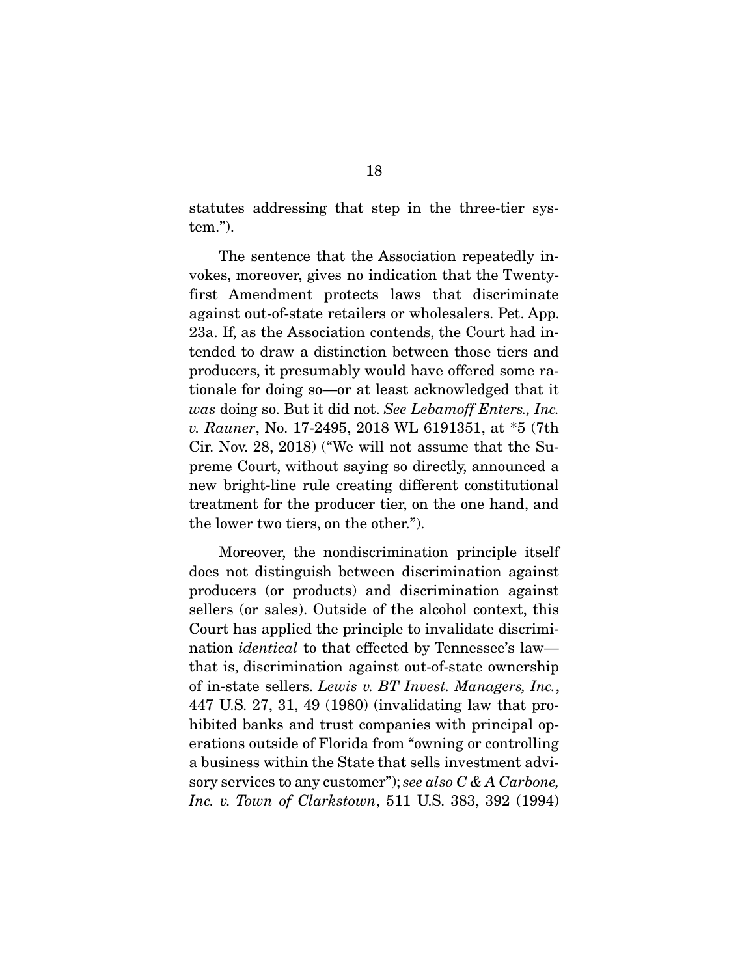statutes addressing that step in the three-tier system.").

 The sentence that the Association repeatedly invokes, moreover, gives no indication that the Twentyfirst Amendment protects laws that discriminate against out-of-state retailers or wholesalers. Pet. App. 23a. If, as the Association contends, the Court had intended to draw a distinction between those tiers and producers, it presumably would have offered some rationale for doing so—or at least acknowledged that it *was* doing so. But it did not. *See Lebamoff Enters., Inc. v. Rauner*, No. 17-2495, 2018 WL 6191351, at \*5 (7th Cir. Nov. 28, 2018) ("We will not assume that the Supreme Court, without saying so directly, announced a new bright-line rule creating different constitutional treatment for the producer tier, on the one hand, and the lower two tiers, on the other.").

 Moreover, the nondiscrimination principle itself does not distinguish between discrimination against producers (or products) and discrimination against sellers (or sales). Outside of the alcohol context, this Court has applied the principle to invalidate discrimination *identical* to that effected by Tennessee's law that is, discrimination against out-of-state ownership of in-state sellers. *Lewis v. BT Invest. Managers, Inc.*, 447 U.S. 27, 31, 49 (1980) (invalidating law that prohibited banks and trust companies with principal operations outside of Florida from "owning or controlling a business within the State that sells investment advisory services to any customer"); *see also C & A Carbone, Inc. v. Town of Clarkstown*, 511 U.S. 383, 392 (1994)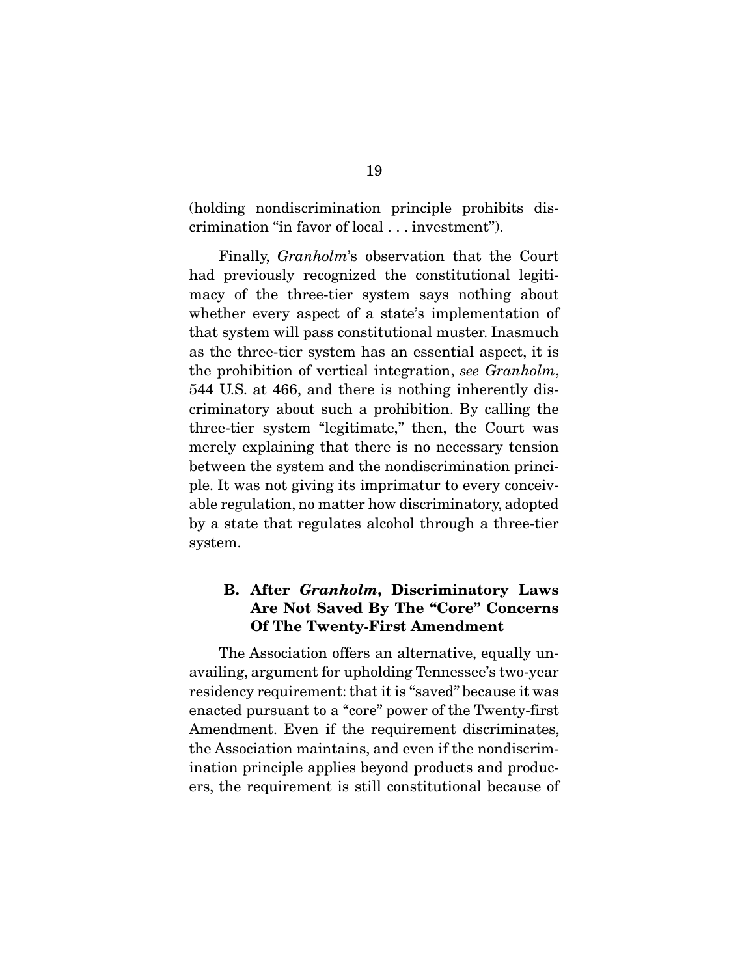(holding nondiscrimination principle prohibits discrimination "in favor of local . . . investment").

 Finally, *Granholm*'s observation that the Court had previously recognized the constitutional legitimacy of the three-tier system says nothing about whether every aspect of a state's implementation of that system will pass constitutional muster. Inasmuch as the three-tier system has an essential aspect, it is the prohibition of vertical integration, *see Granholm*, 544 U.S. at 466, and there is nothing inherently discriminatory about such a prohibition. By calling the three-tier system "legitimate," then, the Court was merely explaining that there is no necessary tension between the system and the nondiscrimination principle. It was not giving its imprimatur to every conceivable regulation, no matter how discriminatory, adopted by a state that regulates alcohol through a three-tier system.

### B. After *Granholm*, Discriminatory Laws Are Not Saved By The "Core" Concerns Of The Twenty-First Amendment

The Association offers an alternative, equally unavailing, argument for upholding Tennessee's two-year residency requirement: that it is "saved" because it was enacted pursuant to a "core" power of the Twenty-first Amendment. Even if the requirement discriminates, the Association maintains, and even if the nondiscrimination principle applies beyond products and producers, the requirement is still constitutional because of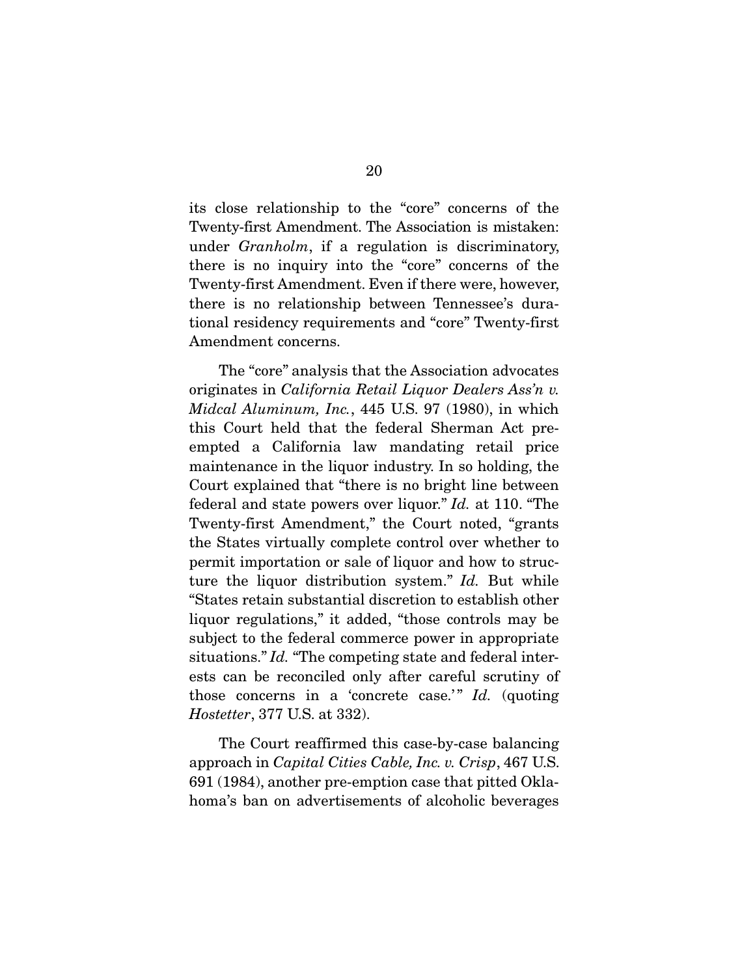its close relationship to the "core" concerns of the Twenty-first Amendment. The Association is mistaken: under *Granholm*, if a regulation is discriminatory, there is no inquiry into the "core" concerns of the Twenty-first Amendment. Even if there were, however, there is no relationship between Tennessee's durational residency requirements and "core" Twenty-first Amendment concerns.

 The "core" analysis that the Association advocates originates in *California Retail Liquor Dealers Ass'n v. Midcal Aluminum, Inc.*, 445 U.S. 97 (1980), in which this Court held that the federal Sherman Act preempted a California law mandating retail price maintenance in the liquor industry. In so holding, the Court explained that "there is no bright line between federal and state powers over liquor." *Id.* at 110. "The Twenty-first Amendment," the Court noted, "grants the States virtually complete control over whether to permit importation or sale of liquor and how to structure the liquor distribution system." *Id.* But while "States retain substantial discretion to establish other liquor regulations," it added, "those controls may be subject to the federal commerce power in appropriate situations." *Id.* "The competing state and federal interests can be reconciled only after careful scrutiny of those concerns in a 'concrete case.'" *Id.* (quoting *Hostetter*, 377 U.S. at 332).

 The Court reaffirmed this case-by-case balancing approach in *Capital Cities Cable, Inc. v. Crisp*, 467 U.S. 691 (1984), another pre-emption case that pitted Oklahoma's ban on advertisements of alcoholic beverages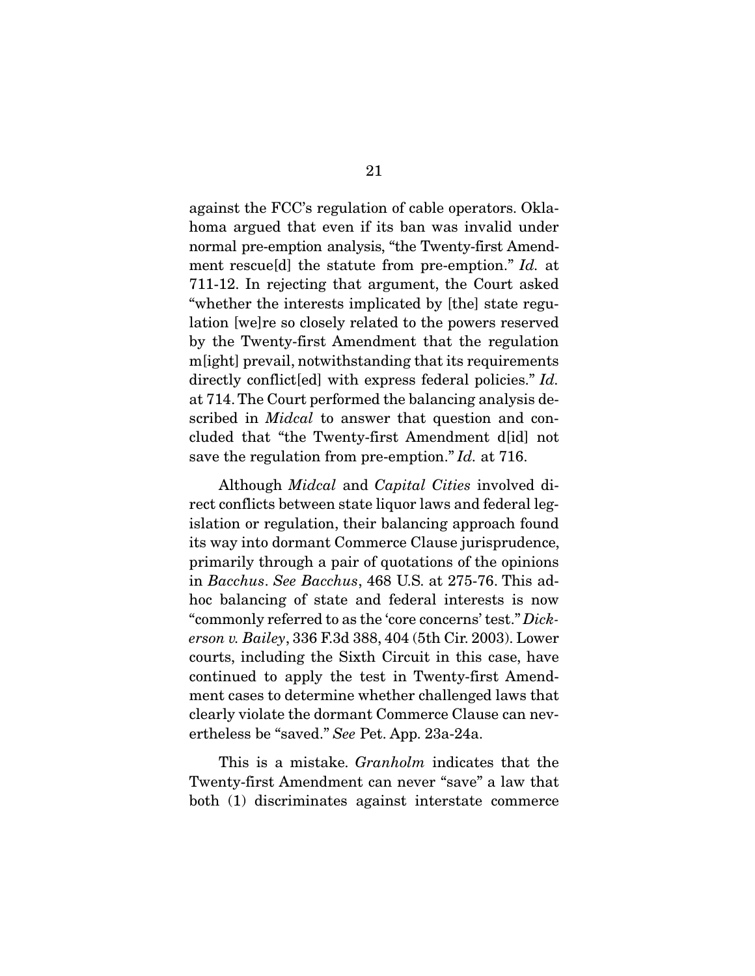against the FCC's regulation of cable operators. Oklahoma argued that even if its ban was invalid under normal pre-emption analysis, "the Twenty-first Amendment rescue[d] the statute from pre-emption." *Id.* at 711-12. In rejecting that argument, the Court asked "whether the interests implicated by [the] state regulation [we]re so closely related to the powers reserved by the Twenty-first Amendment that the regulation m[ight] prevail, notwithstanding that its requirements directly conflict[ed] with express federal policies." *Id.* at 714. The Court performed the balancing analysis described in *Midcal* to answer that question and concluded that "the Twenty-first Amendment d[id] not save the regulation from pre-emption." *Id.* at 716.

 Although *Midcal* and *Capital Cities* involved direct conflicts between state liquor laws and federal legislation or regulation, their balancing approach found its way into dormant Commerce Clause jurisprudence, primarily through a pair of quotations of the opinions in *Bacchus*. *See Bacchus*, 468 U.S. at 275-76. This adhoc balancing of state and federal interests is now "commonly referred to as the 'core concerns' test." *Dickerson v. Bailey*, 336 F.3d 388, 404 (5th Cir. 2003). Lower courts, including the Sixth Circuit in this case, have continued to apply the test in Twenty-first Amendment cases to determine whether challenged laws that clearly violate the dormant Commerce Clause can nevertheless be "saved." *See* Pet. App. 23a-24a.

 This is a mistake. *Granholm* indicates that the Twenty-first Amendment can never "save" a law that both (1) discriminates against interstate commerce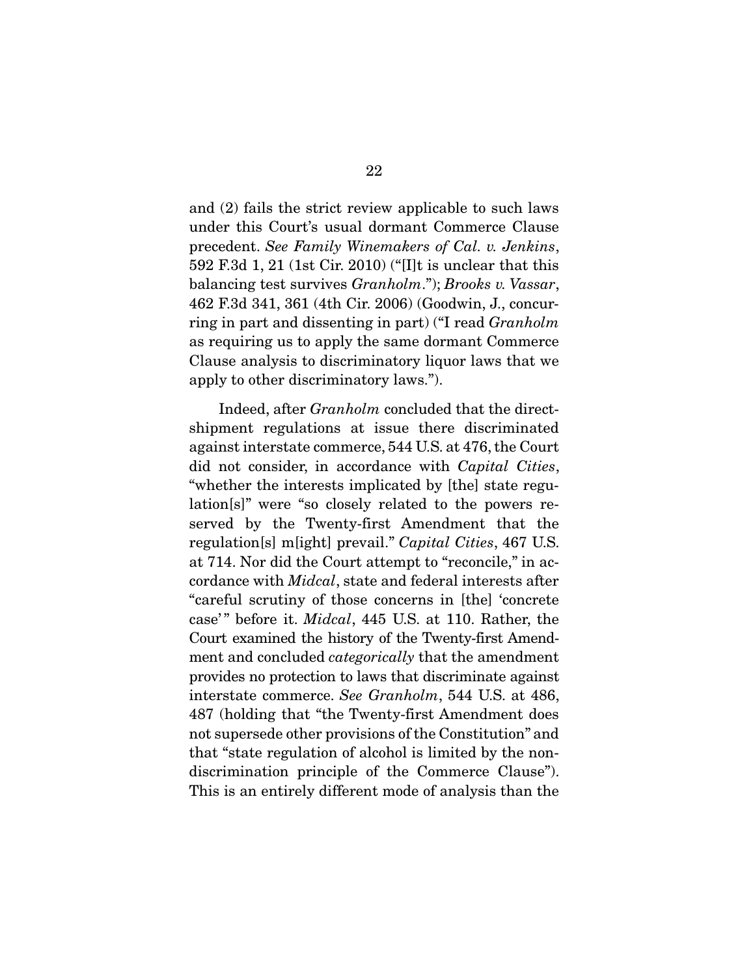and (2) fails the strict review applicable to such laws under this Court's usual dormant Commerce Clause precedent. *See Family Winemakers of Cal. v. Jenkins*, 592 F.3d 1, 21 (1st Cir. 2010) ("[I]t is unclear that this balancing test survives *Granholm*."); *Brooks v. Vassar*, 462 F.3d 341, 361 (4th Cir. 2006) (Goodwin, J., concurring in part and dissenting in part) ("I read *Granholm* as requiring us to apply the same dormant Commerce Clause analysis to discriminatory liquor laws that we apply to other discriminatory laws.").

 Indeed, after *Granholm* concluded that the directshipment regulations at issue there discriminated against interstate commerce, 544 U.S. at 476, the Court did not consider, in accordance with *Capital Cities*, "whether the interests implicated by [the] state regulation[s]" were "so closely related to the powers reserved by the Twenty-first Amendment that the regulation[s] m[ight] prevail." *Capital Cities*, 467 U.S. at 714. Nor did the Court attempt to "reconcile," in accordance with *Midcal*, state and federal interests after "careful scrutiny of those concerns in [the] 'concrete case'" before it. *Midcal*, 445 U.S. at 110. Rather, the Court examined the history of the Twenty-first Amendment and concluded *categorically* that the amendment provides no protection to laws that discriminate against interstate commerce. *See Granholm*, 544 U.S. at 486, 487 (holding that "the Twenty-first Amendment does not supersede other provisions of the Constitution" and that "state regulation of alcohol is limited by the nondiscrimination principle of the Commerce Clause"). This is an entirely different mode of analysis than the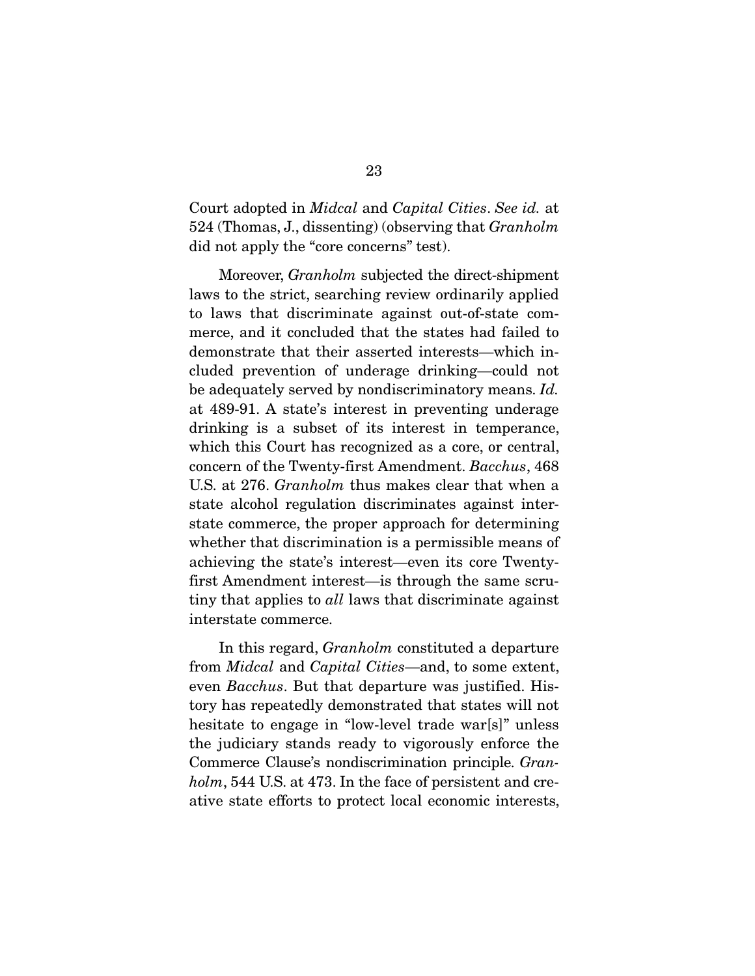Court adopted in *Midcal* and *Capital Cities*. *See id.* at 524 (Thomas, J., dissenting) (observing that *Granholm* did not apply the "core concerns" test).

 Moreover, *Granholm* subjected the direct-shipment laws to the strict, searching review ordinarily applied to laws that discriminate against out-of-state commerce, and it concluded that the states had failed to demonstrate that their asserted interests—which included prevention of underage drinking—could not be adequately served by nondiscriminatory means. *Id.*  at 489-91. A state's interest in preventing underage drinking is a subset of its interest in temperance, which this Court has recognized as a core, or central, concern of the Twenty-first Amendment. *Bacchus*, 468 U.S. at 276. *Granholm* thus makes clear that when a state alcohol regulation discriminates against interstate commerce, the proper approach for determining whether that discrimination is a permissible means of achieving the state's interest—even its core Twentyfirst Amendment interest—is through the same scrutiny that applies to *all* laws that discriminate against interstate commerce.

In this regard, *Granholm* constituted a departure from *Midcal* and *Capital Cities*—and, to some extent, even *Bacchus*. But that departure was justified. History has repeatedly demonstrated that states will not hesitate to engage in "low-level trade war[s]" unless the judiciary stands ready to vigorously enforce the Commerce Clause's nondiscrimination principle. *Granholm*, 544 U.S. at 473. In the face of persistent and creative state efforts to protect local economic interests,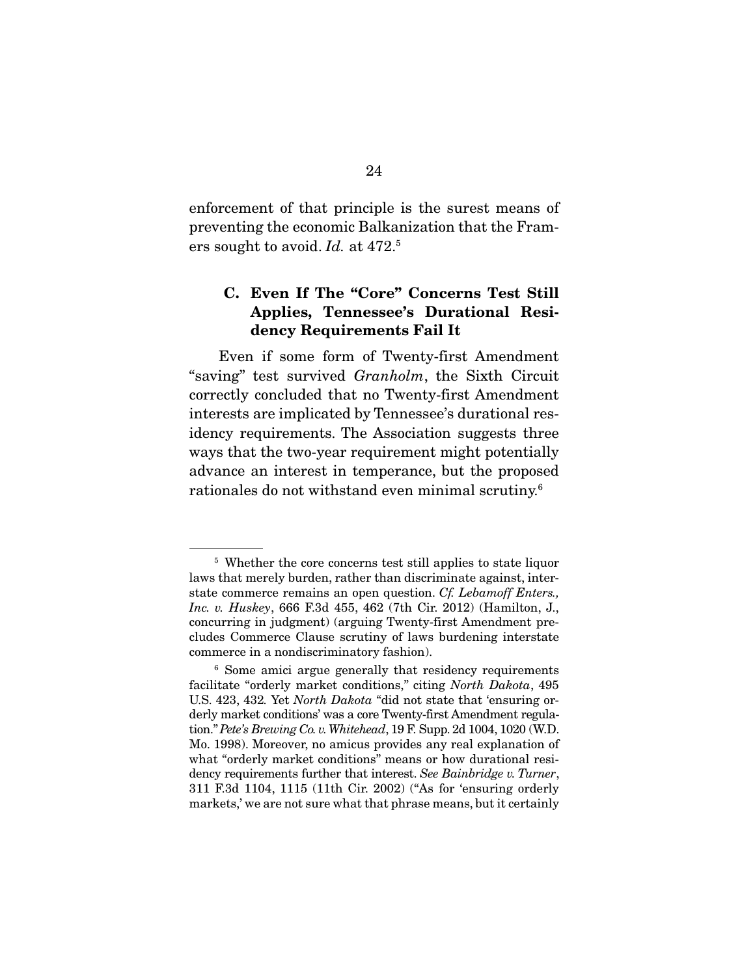enforcement of that principle is the surest means of preventing the economic Balkanization that the Framers sought to avoid. *Id.* at 472.5

### C. Even If The "Core" Concerns Test Still Applies, Tennessee's Durational Residency Requirements Fail It

 Even if some form of Twenty-first Amendment "saving" test survived *Granholm*, the Sixth Circuit correctly concluded that no Twenty-first Amendment interests are implicated by Tennessee's durational residency requirements. The Association suggests three ways that the two-year requirement might potentially advance an interest in temperance, but the proposed rationales do not withstand even minimal scrutiny.6

<sup>&</sup>lt;sup>5</sup> Whether the core concerns test still applies to state liquor laws that merely burden, rather than discriminate against, interstate commerce remains an open question. *Cf. Lebamoff Enters., Inc. v. Huskey*, 666 F.3d 455, 462 (7th Cir. 2012) (Hamilton, J., concurring in judgment) (arguing Twenty-first Amendment precludes Commerce Clause scrutiny of laws burdening interstate commerce in a nondiscriminatory fashion).

<sup>&</sup>lt;sup>6</sup> Some amici argue generally that residency requirements facilitate "orderly market conditions," citing *North Dakota*, 495 U.S. 423, 432*.* Yet *North Dakota* "did not state that 'ensuring orderly market conditions' was a core Twenty-first Amendment regulation." *Pete's Brewing Co. v. Whitehead*, 19 F. Supp. 2d 1004, 1020 (W.D. Mo. 1998). Moreover, no amicus provides any real explanation of what "orderly market conditions" means or how durational residency requirements further that interest. *See Bainbridge v. Turner*, 311 F.3d 1104, 1115 (11th Cir. 2002) ("As for 'ensuring orderly markets,' we are not sure what that phrase means, but it certainly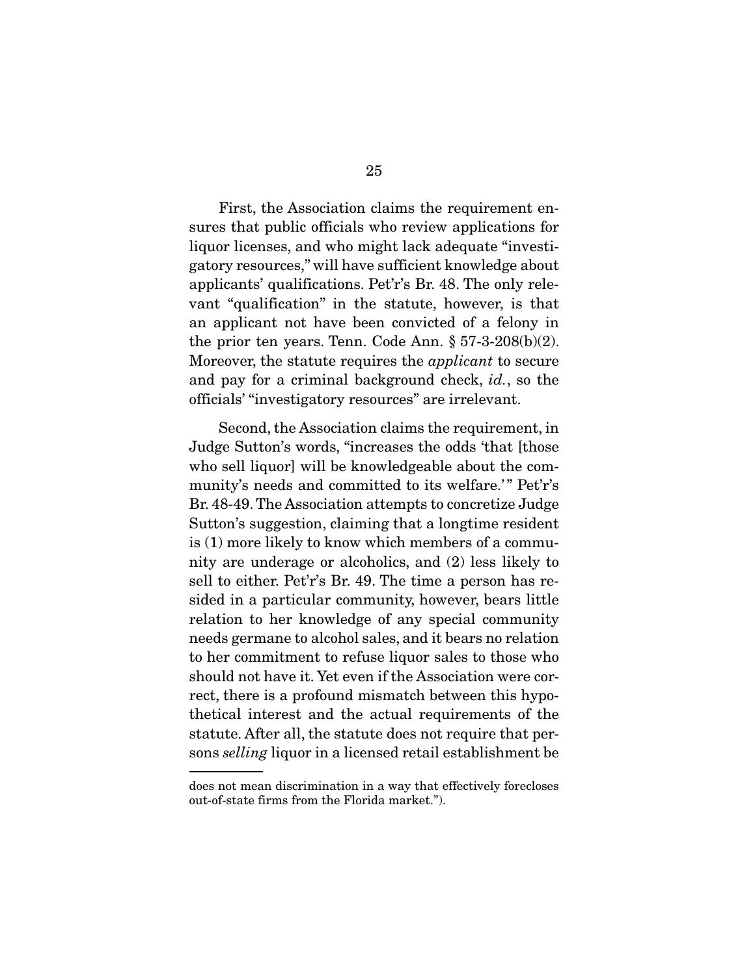First, the Association claims the requirement ensures that public officials who review applications for liquor licenses, and who might lack adequate "investigatory resources," will have sufficient knowledge about applicants' qualifications. Pet'r's Br. 48. The only relevant "qualification" in the statute, however, is that an applicant not have been convicted of a felony in the prior ten years. Tenn. Code Ann.  $\S 57-3-208(b)(2)$ . Moreover, the statute requires the *applicant* to secure and pay for a criminal background check, *id.*, so the officials' "investigatory resources" are irrelevant.

 Second, the Association claims the requirement, in Judge Sutton's words, "increases the odds 'that [those who sell liquor] will be knowledgeable about the community's needs and committed to its welfare.'" Pet'r's Br. 48-49. The Association attempts to concretize Judge Sutton's suggestion, claiming that a longtime resident is (1) more likely to know which members of a community are underage or alcoholics, and (2) less likely to sell to either. Pet'r's Br. 49. The time a person has resided in a particular community, however, bears little relation to her knowledge of any special community needs germane to alcohol sales, and it bears no relation to her commitment to refuse liquor sales to those who should not have it. Yet even if the Association were correct, there is a profound mismatch between this hypothetical interest and the actual requirements of the statute. After all, the statute does not require that persons *selling* liquor in a licensed retail establishment be

does not mean discrimination in a way that effectively forecloses out-of-state firms from the Florida market.").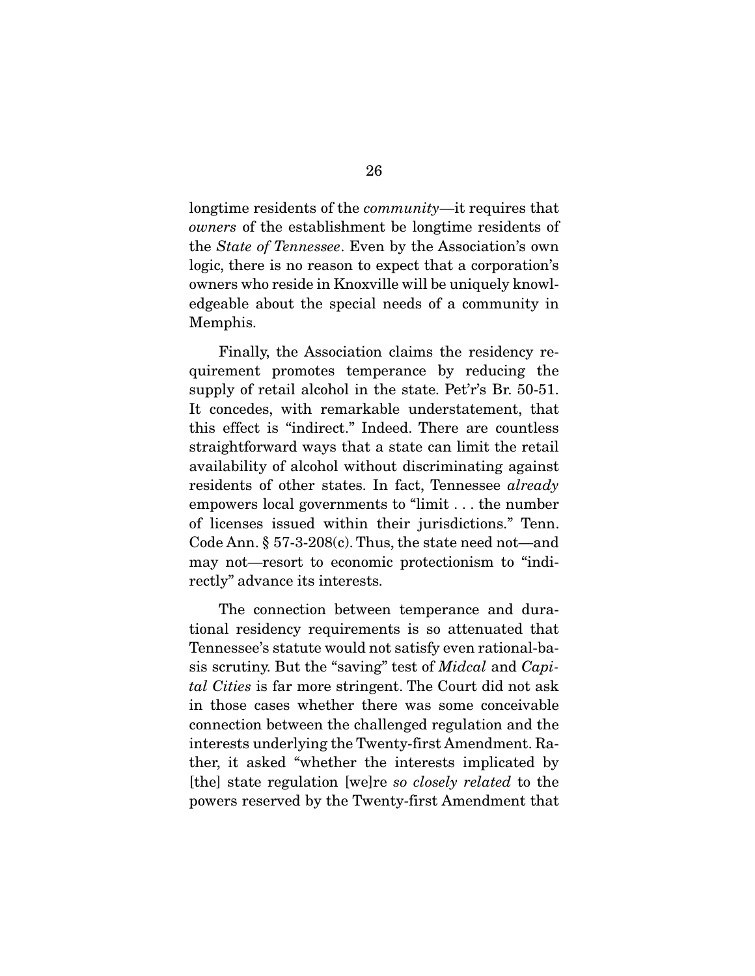longtime residents of the *community*—it requires that *owners* of the establishment be longtime residents of the *State of Tennessee*. Even by the Association's own logic, there is no reason to expect that a corporation's owners who reside in Knoxville will be uniquely knowledgeable about the special needs of a community in Memphis.

 Finally, the Association claims the residency requirement promotes temperance by reducing the supply of retail alcohol in the state. Pet'r's Br. 50-51. It concedes, with remarkable understatement, that this effect is "indirect." Indeed. There are countless straightforward ways that a state can limit the retail availability of alcohol without discriminating against residents of other states. In fact, Tennessee *already*  empowers local governments to "limit . . . the number of licenses issued within their jurisdictions." Tenn. Code Ann. § 57-3-208(c). Thus, the state need not—and may not—resort to economic protectionism to "indirectly" advance its interests.

 The connection between temperance and durational residency requirements is so attenuated that Tennessee's statute would not satisfy even rational-basis scrutiny. But the "saving" test of *Midcal* and *Capital Cities* is far more stringent. The Court did not ask in those cases whether there was some conceivable connection between the challenged regulation and the interests underlying the Twenty-first Amendment. Rather, it asked "whether the interests implicated by [the] state regulation [we]re *so closely related* to the powers reserved by the Twenty-first Amendment that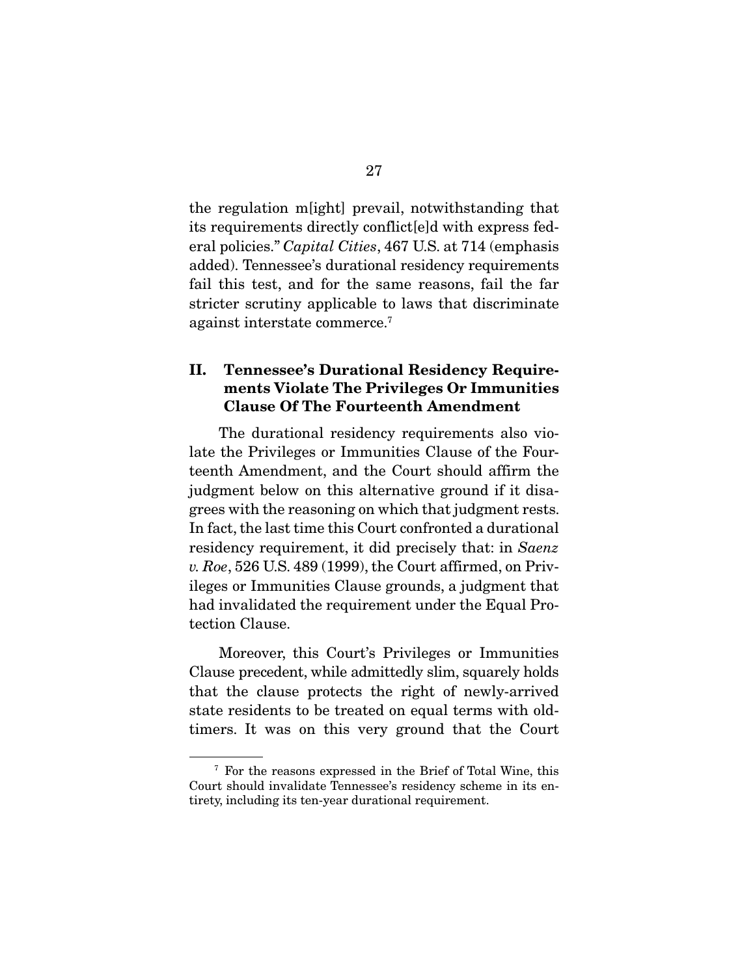the regulation m[ight] prevail, notwithstanding that its requirements directly conflict[e]d with express federal policies." *Capital Cities*, 467 U.S. at 714 (emphasis added). Tennessee's durational residency requirements fail this test, and for the same reasons, fail the far stricter scrutiny applicable to laws that discriminate against interstate commerce.7

# II. Tennessee's Durational Residency Requirements Violate The Privileges Or Immunities Clause Of The Fourteenth Amendment

 The durational residency requirements also violate the Privileges or Immunities Clause of the Fourteenth Amendment, and the Court should affirm the judgment below on this alternative ground if it disagrees with the reasoning on which that judgment rests. In fact, the last time this Court confronted a durational residency requirement, it did precisely that: in *Saenz v. Roe*, 526 U.S. 489 (1999), the Court affirmed, on Privileges or Immunities Clause grounds, a judgment that had invalidated the requirement under the Equal Protection Clause.

 Moreover, this Court's Privileges or Immunities Clause precedent, while admittedly slim, squarely holds that the clause protects the right of newly-arrived state residents to be treated on equal terms with oldtimers. It was on this very ground that the Court

<sup>7</sup> For the reasons expressed in the Brief of Total Wine, this Court should invalidate Tennessee's residency scheme in its entirety, including its ten-year durational requirement.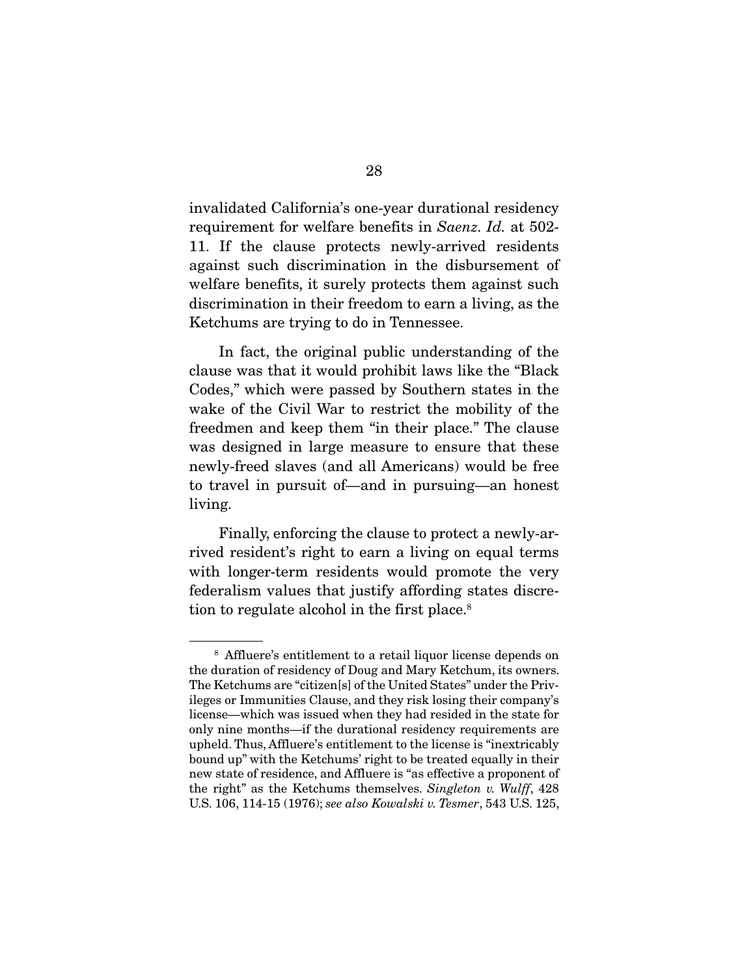invalidated California's one-year durational residency requirement for welfare benefits in *Saenz. Id.* at 502- 11. If the clause protects newly-arrived residents against such discrimination in the disbursement of welfare benefits, it surely protects them against such discrimination in their freedom to earn a living, as the Ketchums are trying to do in Tennessee.

 In fact, the original public understanding of the clause was that it would prohibit laws like the "Black Codes," which were passed by Southern states in the wake of the Civil War to restrict the mobility of the freedmen and keep them "in their place." The clause was designed in large measure to ensure that these newly-freed slaves (and all Americans) would be free to travel in pursuit of—and in pursuing—an honest living.

 Finally, enforcing the clause to protect a newly-arrived resident's right to earn a living on equal terms with longer-term residents would promote the very federalism values that justify affording states discretion to regulate alcohol in the first place.<sup>8</sup>

<sup>8</sup> Affluere's entitlement to a retail liquor license depends on the duration of residency of Doug and Mary Ketchum, its owners. The Ketchums are "citizen[s] of the United States" under the Privileges or Immunities Clause, and they risk losing their company's license—which was issued when they had resided in the state for only nine months—if the durational residency requirements are upheld. Thus, Affluere's entitlement to the license is "inextricably bound up" with the Ketchums' right to be treated equally in their new state of residence, and Affluere is "as effective a proponent of the right" as the Ketchums themselves. *Singleton v. Wulff*, 428 U.S. 106, 114-15 (1976); *see also Kowalski v. Tesmer*, 543 U.S. 125,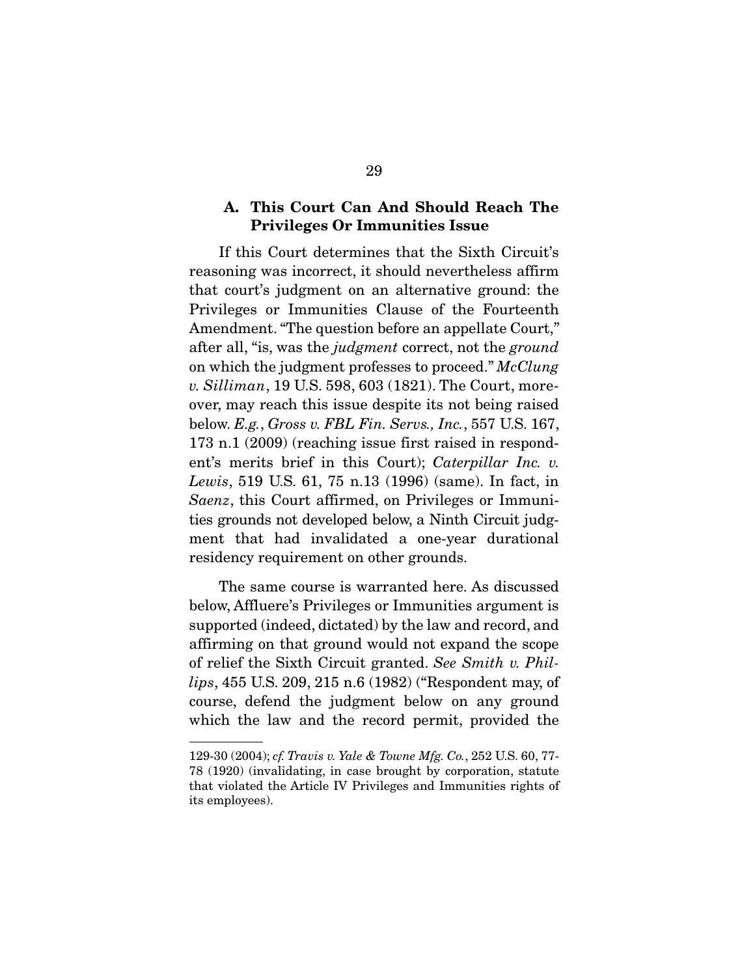### A. This Court Can And Should Reach The Privileges Or Immunities Issue

 If this Court determines that the Sixth Circuit's reasoning was incorrect, it should nevertheless affirm that court's judgment on an alternative ground: the Privileges or Immunities Clause of the Fourteenth Amendment. "The question before an appellate Court," after all, "is, was the *judgment* correct, not the *ground* on which the judgment professes to proceed." *McClung v. Silliman*, 19 U.S. 598, 603 (1821). The Court, moreover, may reach this issue despite its not being raised below. *E.g.*, *Gross v. FBL Fin. Servs., Inc.*, 557 U.S. 167, 173 n.1 (2009) (reaching issue first raised in respondent's merits brief in this Court); *Caterpillar Inc. v. Lewis*, 519 U.S. 61, 75 n.13 (1996) (same). In fact, in *Saenz*, this Court affirmed, on Privileges or Immunities grounds not developed below, a Ninth Circuit judgment that had invalidated a one-year durational residency requirement on other grounds.

 The same course is warranted here. As discussed below, Affluere's Privileges or Immunities argument is supported (indeed, dictated) by the law and record, and affirming on that ground would not expand the scope of relief the Sixth Circuit granted. *See Smith v. Phillips*, 455 U.S. 209, 215 n.6 (1982) ("Respondent may, of course, defend the judgment below on any ground which the law and the record permit, provided the

<sup>129-30 (2004);</sup> *cf. Travis v. Yale & Towne Mfg. Co.*, 252 U.S. 60, 77- 78 (1920) (invalidating, in case brought by corporation, statute that violated the Article IV Privileges and Immunities rights of its employees).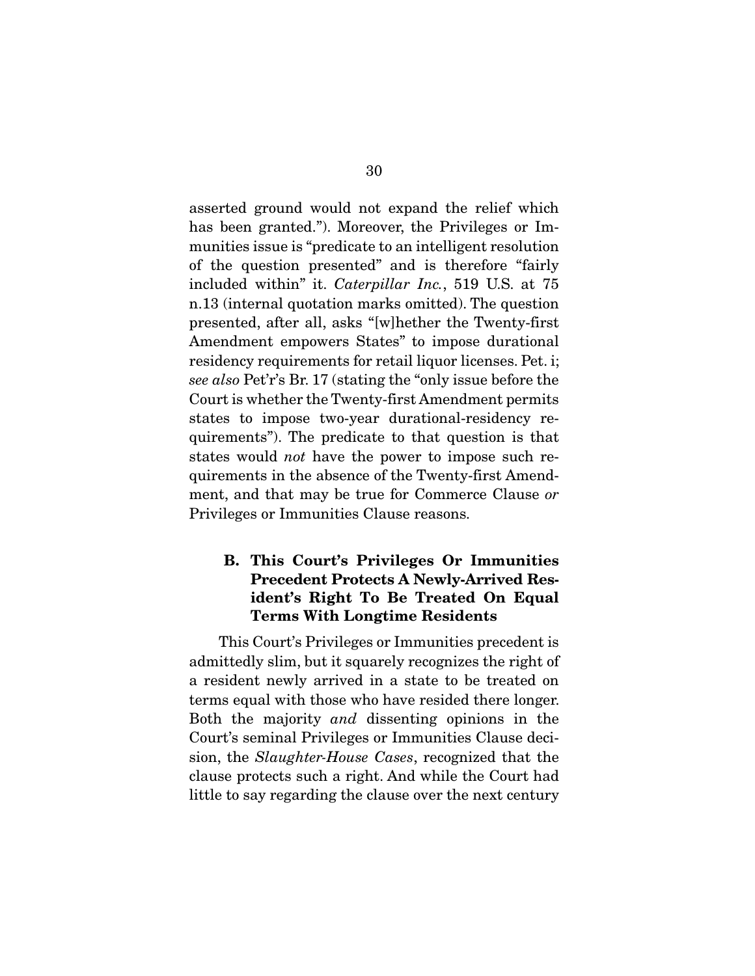asserted ground would not expand the relief which has been granted."). Moreover, the Privileges or Immunities issue is "predicate to an intelligent resolution of the question presented" and is therefore "fairly included within" it. *Caterpillar Inc.*, 519 U.S. at 75 n.13 (internal quotation marks omitted). The question presented, after all, asks "[w]hether the Twenty-first Amendment empowers States" to impose durational residency requirements for retail liquor licenses. Pet. i; *see also* Pet'r's Br. 17 (stating the "only issue before the Court is whether the Twenty-first Amendment permits states to impose two-year durational-residency requirements"). The predicate to that question is that states would *not* have the power to impose such requirements in the absence of the Twenty-first Amendment, and that may be true for Commerce Clause *or* Privileges or Immunities Clause reasons.

# B. This Court's Privileges Or Immunities Precedent Protects A Newly-Arrived Resident's Right To Be Treated On Equal Terms With Longtime Residents

 This Court's Privileges or Immunities precedent is admittedly slim, but it squarely recognizes the right of a resident newly arrived in a state to be treated on terms equal with those who have resided there longer. Both the majority *and* dissenting opinions in the Court's seminal Privileges or Immunities Clause decision, the *Slaughter-House Cases*, recognized that the clause protects such a right. And while the Court had little to say regarding the clause over the next century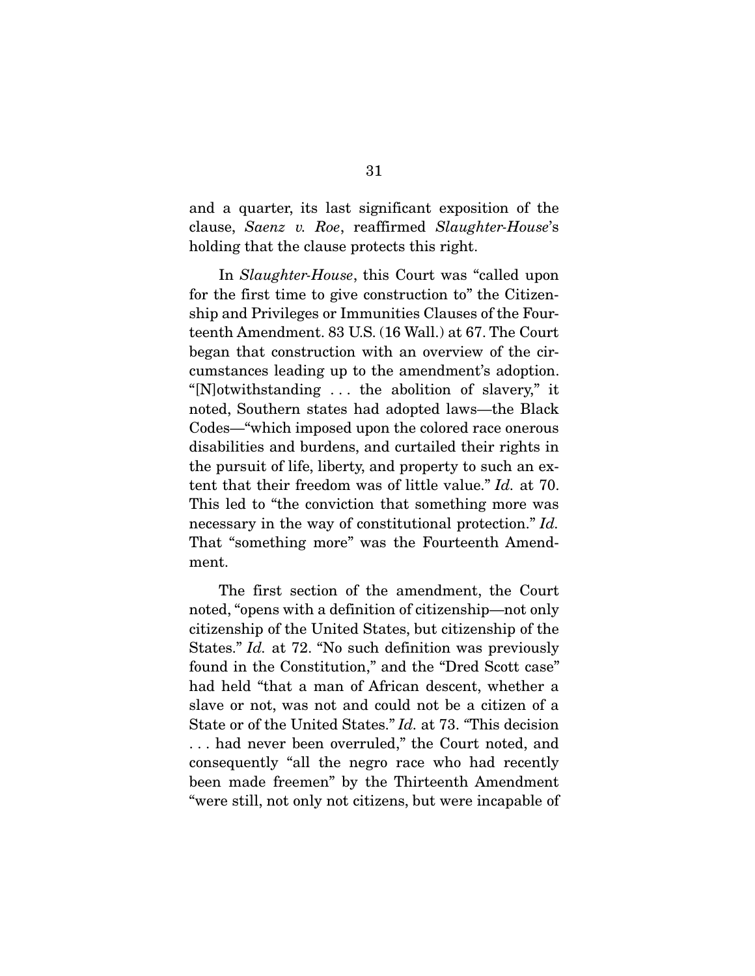and a quarter, its last significant exposition of the clause, *Saenz v. Roe*, reaffirmed *Slaughter-House*'s holding that the clause protects this right.

 In *Slaughter-House*, this Court was "called upon for the first time to give construction to" the Citizenship and Privileges or Immunities Clauses of the Fourteenth Amendment. 83 U.S. (16 Wall.) at 67. The Court began that construction with an overview of the circumstances leading up to the amendment's adoption. "[N]otwithstanding . . . the abolition of slavery," it noted, Southern states had adopted laws—the Black Codes—"which imposed upon the colored race onerous disabilities and burdens, and curtailed their rights in the pursuit of life, liberty, and property to such an extent that their freedom was of little value." *Id.* at 70. This led to "the conviction that something more was necessary in the way of constitutional protection." *Id.* That "something more" was the Fourteenth Amendment.

 The first section of the amendment, the Court noted, "opens with a definition of citizenship—not only citizenship of the United States, but citizenship of the States." *Id.* at 72. "No such definition was previously found in the Constitution," and the "Dred Scott case" had held "that a man of African descent, whether a slave or not, was not and could not be a citizen of a State or of the United States." *Id.* at 73. *"*This decision . . . had never been overruled," the Court noted, and consequently "all the negro race who had recently been made freemen" by the Thirteenth Amendment "were still, not only not citizens, but were incapable of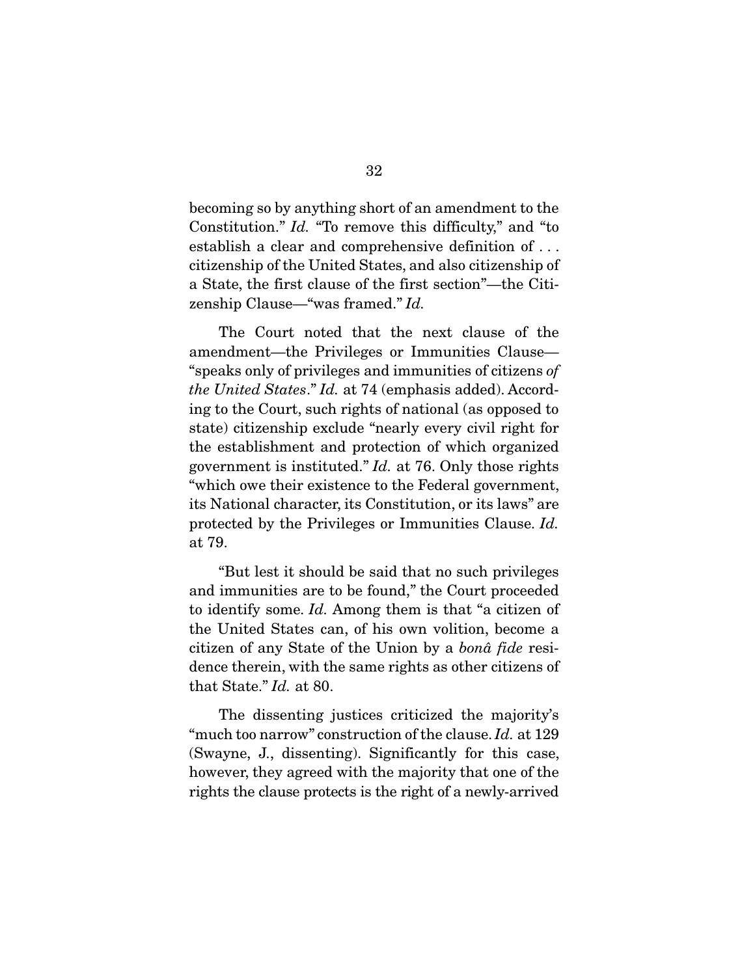becoming so by anything short of an amendment to the Constitution." *Id.* "To remove this difficulty," and "to establish a clear and comprehensive definition of . . . citizenship of the United States, and also citizenship of a State, the first clause of the first section"—the Citizenship Clause—"was framed." *Id.*

 The Court noted that the next clause of the amendment—the Privileges or Immunities Clause— "speaks only of privileges and immunities of citizens *of the United States*." *Id.* at 74 (emphasis added). According to the Court, such rights of national (as opposed to state) citizenship exclude "nearly every civil right for the establishment and protection of which organized government is instituted." *Id.* at 76. Only those rights "which owe their existence to the Federal government, its National character, its Constitution, or its laws" are protected by the Privileges or Immunities Clause. *Id.* at 79.

 "But lest it should be said that no such privileges and immunities are to be found," the Court proceeded to identify some. *Id.* Among them is that "a citizen of the United States can, of his own volition, become a citizen of any State of the Union by a *bonâ fide* residence therein, with the same rights as other citizens of that State." *Id.* at 80.

 The dissenting justices criticized the majority's "much too narrow" construction of the clause. *Id.* at 129 (Swayne, J., dissenting). Significantly for this case, however, they agreed with the majority that one of the rights the clause protects is the right of a newly-arrived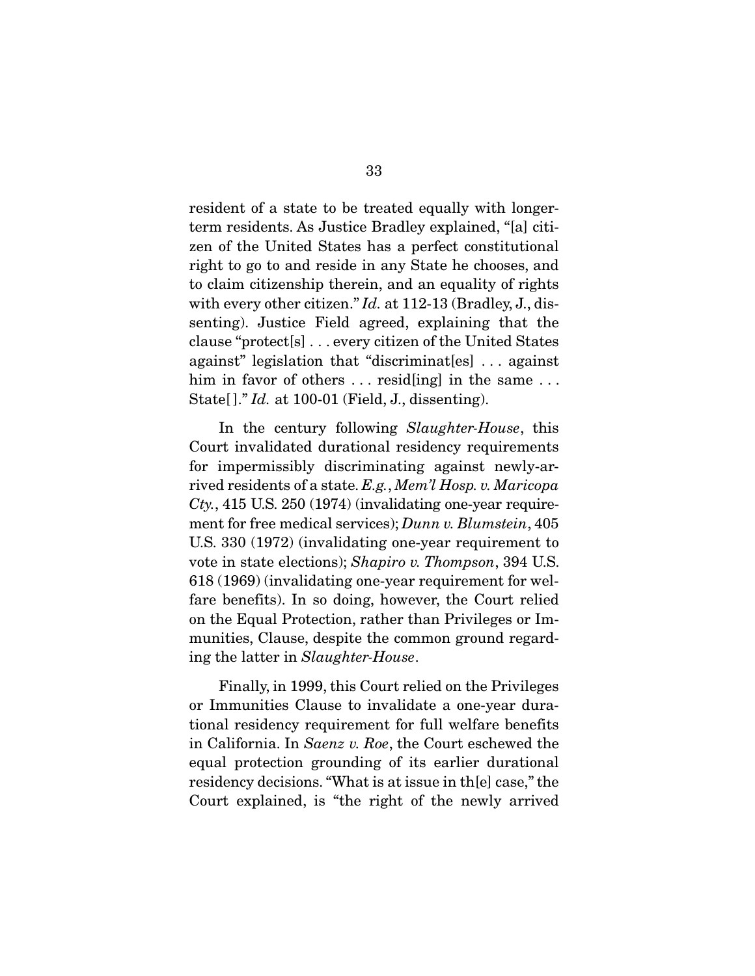resident of a state to be treated equally with longerterm residents. As Justice Bradley explained, "[a] citizen of the United States has a perfect constitutional right to go to and reside in any State he chooses, and to claim citizenship therein, and an equality of rights with every other citizen." *Id.* at 112-13 (Bradley, J., dissenting). Justice Field agreed, explaining that the clause "protect[s] . . . every citizen of the United States against" legislation that "discriminat[es] . . . against him in favor of others ... resid [ing] in the same ... State[ ]." *Id.* at 100-01 (Field, J., dissenting).

 In the century following *Slaughter-House*, this Court invalidated durational residency requirements for impermissibly discriminating against newly-arrived residents of a state. *E.g.*, *Mem'l Hosp. v. Maricopa Cty.*, 415 U.S. 250 (1974) (invalidating one-year requirement for free medical services); *Dunn v. Blumstein*, 405 U.S. 330 (1972) (invalidating one-year requirement to vote in state elections); *Shapiro v. Thompson*, 394 U.S. 618 (1969) (invalidating one-year requirement for welfare benefits). In so doing, however, the Court relied on the Equal Protection, rather than Privileges or Immunities, Clause, despite the common ground regarding the latter in *Slaughter-House*.

 Finally, in 1999, this Court relied on the Privileges or Immunities Clause to invalidate a one-year durational residency requirement for full welfare benefits in California. In *Saenz v. Roe*, the Court eschewed the equal protection grounding of its earlier durational residency decisions. "What is at issue in th[e] case," the Court explained, is "the right of the newly arrived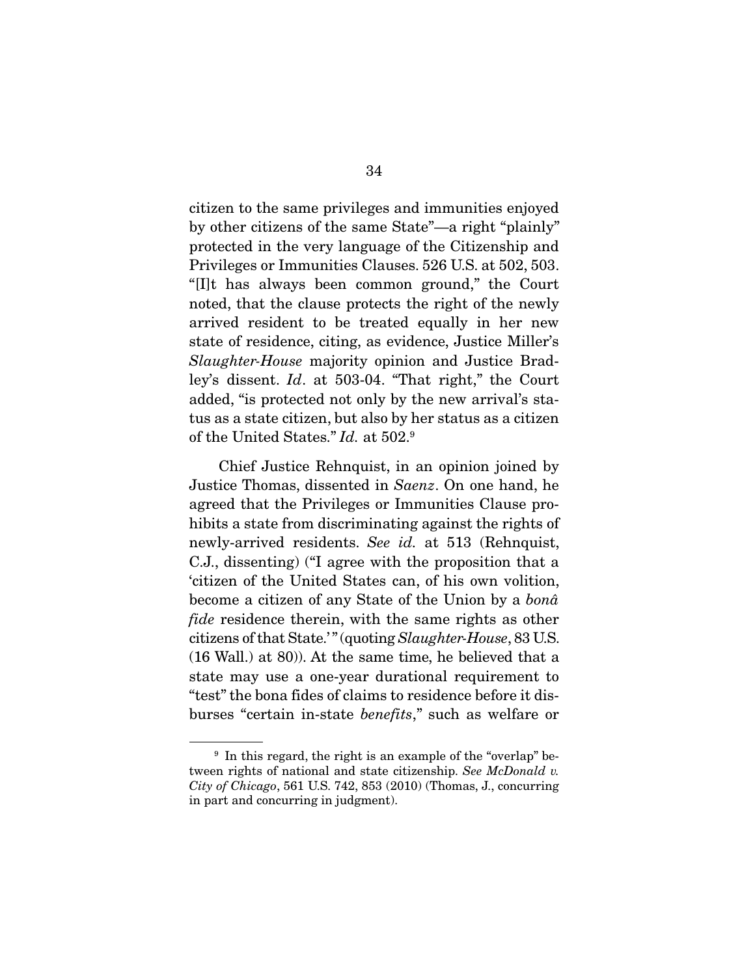citizen to the same privileges and immunities enjoyed by other citizens of the same State"—a right "plainly" protected in the very language of the Citizenship and Privileges or Immunities Clauses. 526 U.S. at 502, 503. "[I]t has always been common ground," the Court noted, that the clause protects the right of the newly arrived resident to be treated equally in her new state of residence, citing, as evidence, Justice Miller's *Slaughter-House* majority opinion and Justice Bradley's dissent. *Id*. at 503-04. "That right," the Court added, "is protected not only by the new arrival's status as a state citizen, but also by her status as a citizen of the United States." *Id.* at 502.9

 Chief Justice Rehnquist, in an opinion joined by Justice Thomas, dissented in *Saenz*. On one hand, he agreed that the Privileges or Immunities Clause prohibits a state from discriminating against the rights of newly-arrived residents. *See id.* at 513 (Rehnquist, C.J., dissenting) ("I agree with the proposition that a 'citizen of the United States can, of his own volition, become a citizen of any State of the Union by a *bonâ fide* residence therein, with the same rights as other citizens of that State.' " (quoting *Slaughter-House*, 83 U.S. (16 Wall.) at 80)). At the same time, he believed that a state may use a one-year durational requirement to "test" the bona fides of claims to residence before it disburses "certain in-state *benefits*," such as welfare or

<sup>&</sup>lt;sup>9</sup> In this regard, the right is an example of the "overlap" between rights of national and state citizenship. *See McDonald v. City of Chicago*, 561 U.S. 742, 853 (2010) (Thomas, J., concurring in part and concurring in judgment).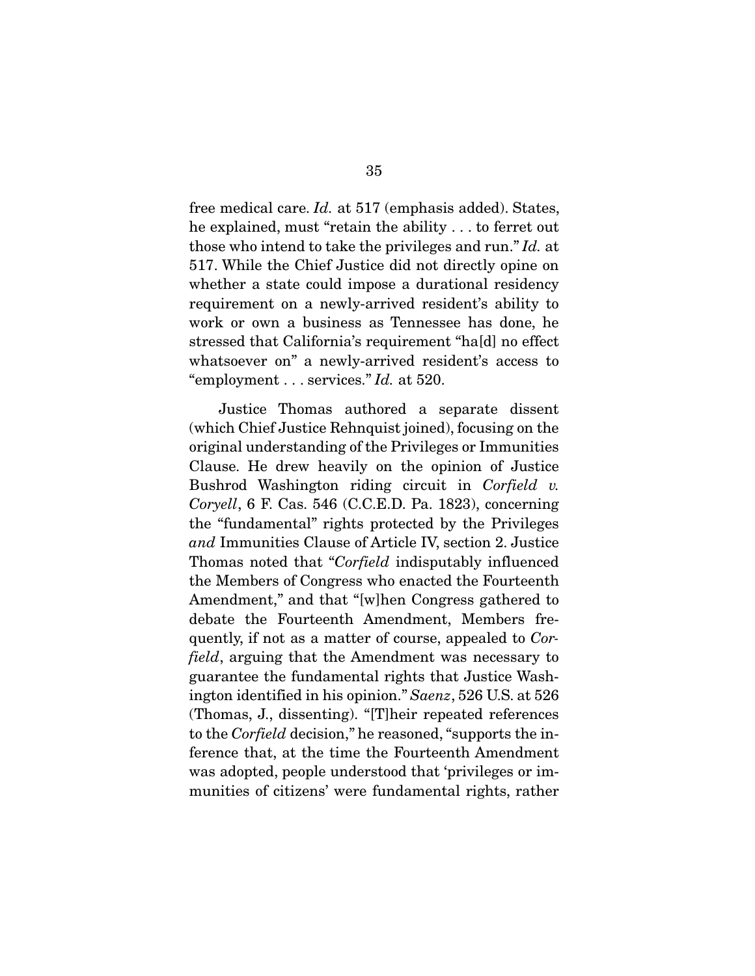free medical care. *Id.* at 517 (emphasis added). States, he explained, must "retain the ability . . . to ferret out those who intend to take the privileges and run." *Id.* at 517. While the Chief Justice did not directly opine on whether a state could impose a durational residency requirement on a newly-arrived resident's ability to work or own a business as Tennessee has done, he stressed that California's requirement "ha[d] no effect whatsoever on" a newly-arrived resident's access to "employment . . . services." *Id.* at 520.

 Justice Thomas authored a separate dissent (which Chief Justice Rehnquist joined), focusing on the original understanding of the Privileges or Immunities Clause. He drew heavily on the opinion of Justice Bushrod Washington riding circuit in *Corfield v. Coryell*, 6 F. Cas. 546 (C.C.E.D. Pa. 1823), concerning the "fundamental" rights protected by the Privileges *and* Immunities Clause of Article IV, section 2. Justice Thomas noted that "*Corfield* indisputably influenced the Members of Congress who enacted the Fourteenth Amendment," and that "[w]hen Congress gathered to debate the Fourteenth Amendment, Members frequently, if not as a matter of course, appealed to *Corfield*, arguing that the Amendment was necessary to guarantee the fundamental rights that Justice Washington identified in his opinion." *Saenz*, 526 U.S. at 526 (Thomas, J., dissenting). "[T]heir repeated references to the *Corfield* decision," he reasoned, "supports the inference that, at the time the Fourteenth Amendment was adopted, people understood that 'privileges or immunities of citizens' were fundamental rights, rather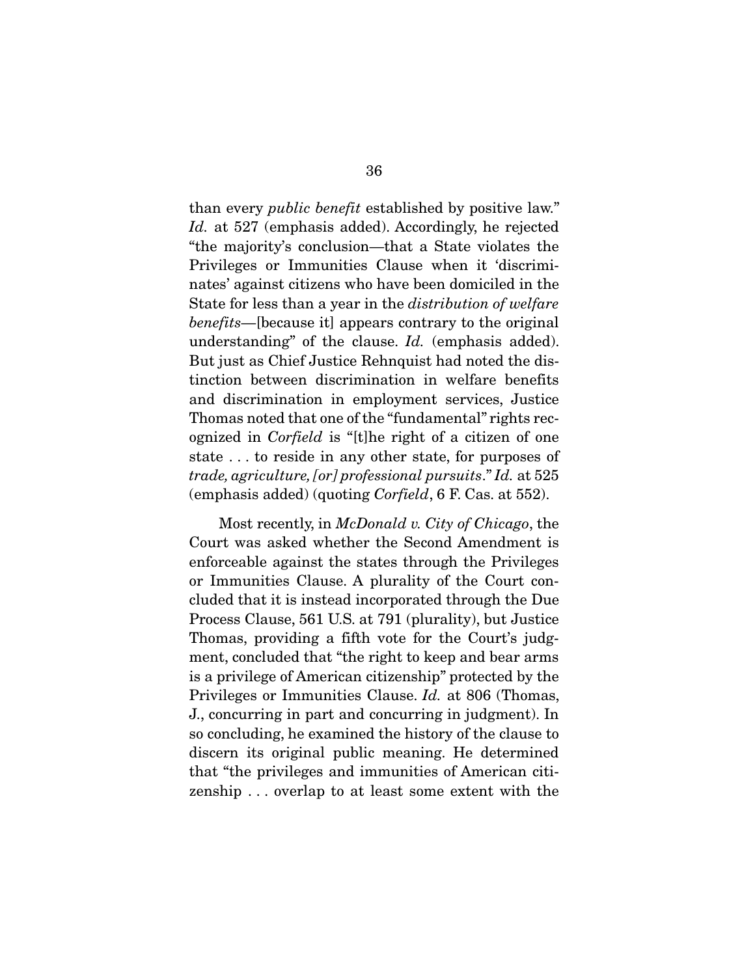than every *public benefit* established by positive law." *Id.* at 527 (emphasis added). Accordingly, he rejected "the majority's conclusion—that a State violates the Privileges or Immunities Clause when it 'discriminates' against citizens who have been domiciled in the State for less than a year in the *distribution of welfare benefits*—[because it] appears contrary to the original understanding" of the clause. *Id.* (emphasis added). But just as Chief Justice Rehnquist had noted the distinction between discrimination in welfare benefits and discrimination in employment services, Justice Thomas noted that one of the "fundamental" rights recognized in *Corfield* is "[t]he right of a citizen of one state . . . to reside in any other state, for purposes of *trade, agriculture, [or] professional pursuits*." *Id.* at 525 (emphasis added) (quoting *Corfield*, 6 F. Cas. at 552).

 Most recently, in *McDonald v. City of Chicago*, the Court was asked whether the Second Amendment is enforceable against the states through the Privileges or Immunities Clause. A plurality of the Court concluded that it is instead incorporated through the Due Process Clause, 561 U.S. at 791 (plurality), but Justice Thomas, providing a fifth vote for the Court's judgment, concluded that "the right to keep and bear arms is a privilege of American citizenship" protected by the Privileges or Immunities Clause. *Id.* at 806 (Thomas, J., concurring in part and concurring in judgment). In so concluding, he examined the history of the clause to discern its original public meaning. He determined that "the privileges and immunities of American citizenship . . . overlap to at least some extent with the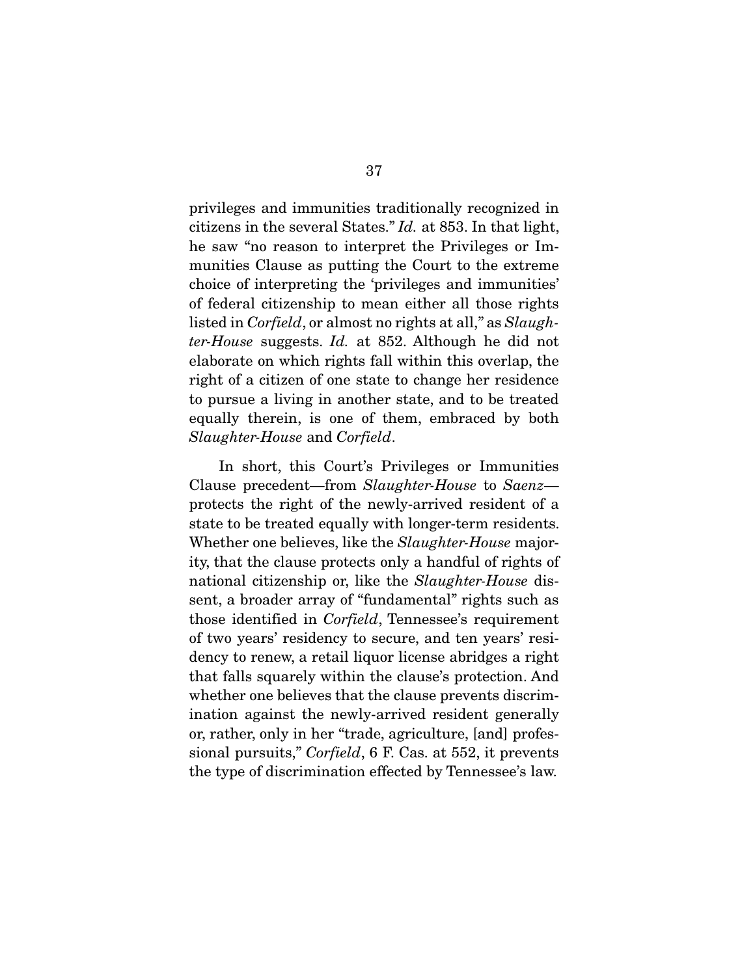privileges and immunities traditionally recognized in citizens in the several States." *Id.* at 853. In that light, he saw "no reason to interpret the Privileges or Immunities Clause as putting the Court to the extreme choice of interpreting the 'privileges and immunities' of federal citizenship to mean either all those rights listed in *Corfield*, or almost no rights at all," as *Slaughter-House* suggests. *Id.* at 852. Although he did not elaborate on which rights fall within this overlap, the right of a citizen of one state to change her residence to pursue a living in another state, and to be treated equally therein, is one of them, embraced by both *Slaughter-House* and *Corfield*.

 In short, this Court's Privileges or Immunities Clause precedent—from *Slaughter-House* to *Saenz* protects the right of the newly-arrived resident of a state to be treated equally with longer-term residents. Whether one believes, like the *Slaughter-House* majority, that the clause protects only a handful of rights of national citizenship or, like the *Slaughter-House* dissent, a broader array of "fundamental" rights such as those identified in *Corfield*, Tennessee's requirement of two years' residency to secure, and ten years' residency to renew, a retail liquor license abridges a right that falls squarely within the clause's protection. And whether one believes that the clause prevents discrimination against the newly-arrived resident generally or, rather, only in her "trade, agriculture, [and] professional pursuits," *Corfield*, 6 F. Cas. at 552, it prevents the type of discrimination effected by Tennessee's law.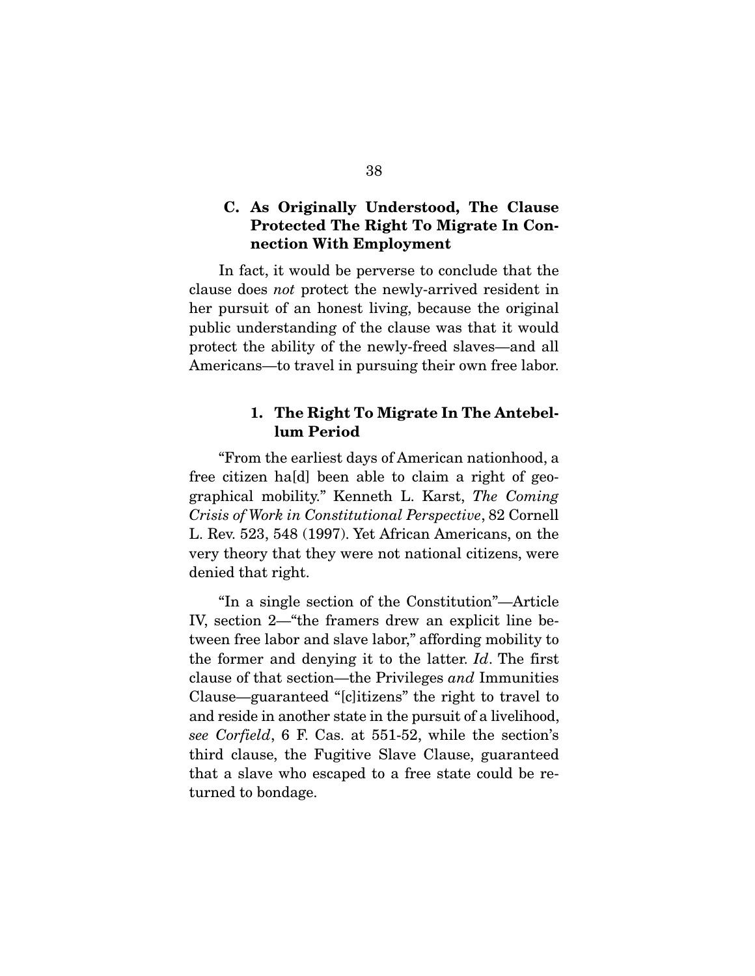### C. As Originally Understood, The Clause Protected The Right To Migrate In Connection With Employment

 In fact, it would be perverse to conclude that the clause does *not* protect the newly-arrived resident in her pursuit of an honest living, because the original public understanding of the clause was that it would protect the ability of the newly-freed slaves—and all Americans—to travel in pursuing their own free labor.

### 1. The Right To Migrate In The Antebellum Period

 "From the earliest days of American nationhood, a free citizen ha[d] been able to claim a right of geographical mobility." Kenneth L. Karst, *The Coming Crisis of Work in Constitutional Perspective*, 82 Cornell L. Rev. 523, 548 (1997). Yet African Americans, on the very theory that they were not national citizens, were denied that right.

 "In a single section of the Constitution"—Article IV, section 2—"the framers drew an explicit line between free labor and slave labor," affording mobility to the former and denying it to the latter. *Id*. The first clause of that section—the Privileges *and* Immunities Clause—guaranteed "[c]itizens" the right to travel to and reside in another state in the pursuit of a livelihood, *see Corfield*, 6 F. Cas. at 551-52, while the section's third clause, the Fugitive Slave Clause, guaranteed that a slave who escaped to a free state could be returned to bondage.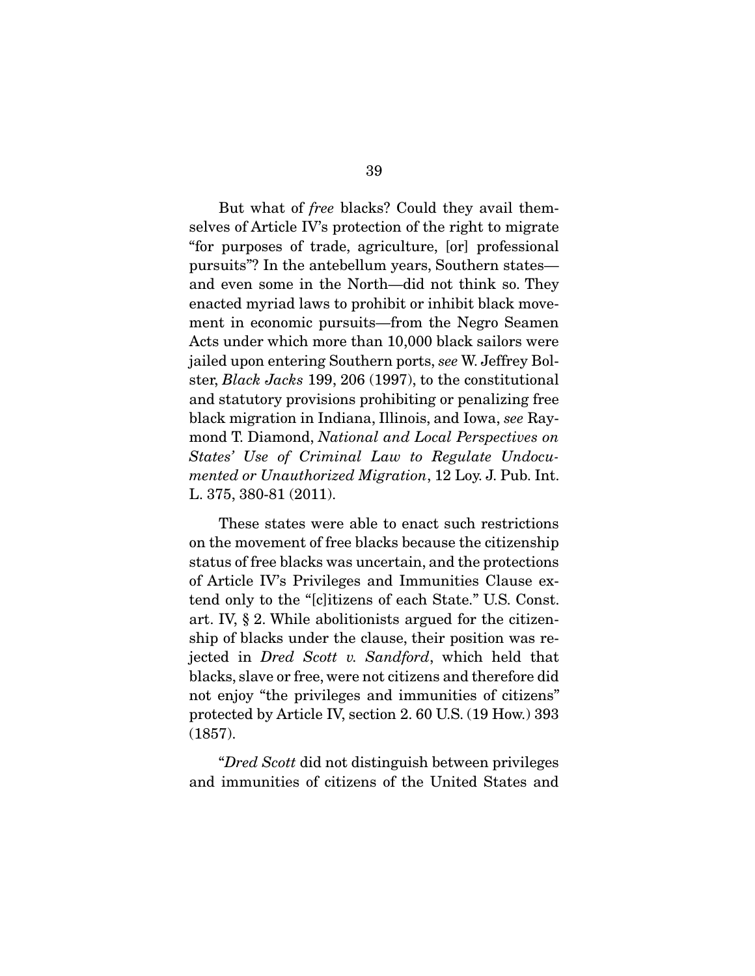But what of *free* blacks? Could they avail themselves of Article IV's protection of the right to migrate "for purposes of trade, agriculture, [or] professional pursuits"? In the antebellum years, Southern states and even some in the North—did not think so. They enacted myriad laws to prohibit or inhibit black movement in economic pursuits—from the Negro Seamen Acts under which more than 10,000 black sailors were jailed upon entering Southern ports, *see* W. Jeffrey Bolster, *Black Jacks* 199, 206 (1997), to the constitutional and statutory provisions prohibiting or penalizing free black migration in Indiana, Illinois, and Iowa, *see* Raymond T. Diamond, *National and Local Perspectives on States' Use of Criminal Law to Regulate Undocumented or Unauthorized Migration*, 12 Loy. J. Pub. Int. L. 375, 380-81 (2011).

 These states were able to enact such restrictions on the movement of free blacks because the citizenship status of free blacks was uncertain, and the protections of Article IV's Privileges and Immunities Clause extend only to the "[c]itizens of each State." U.S. Const. art. IV, § 2. While abolitionists argued for the citizenship of blacks under the clause, their position was rejected in *Dred Scott v. Sandford*, which held that blacks, slave or free, were not citizens and therefore did not enjoy "the privileges and immunities of citizens" protected by Article IV, section 2. 60 U.S. (19 How.) 393 (1857).

 "*Dred Scott* did not distinguish between privileges and immunities of citizens of the United States and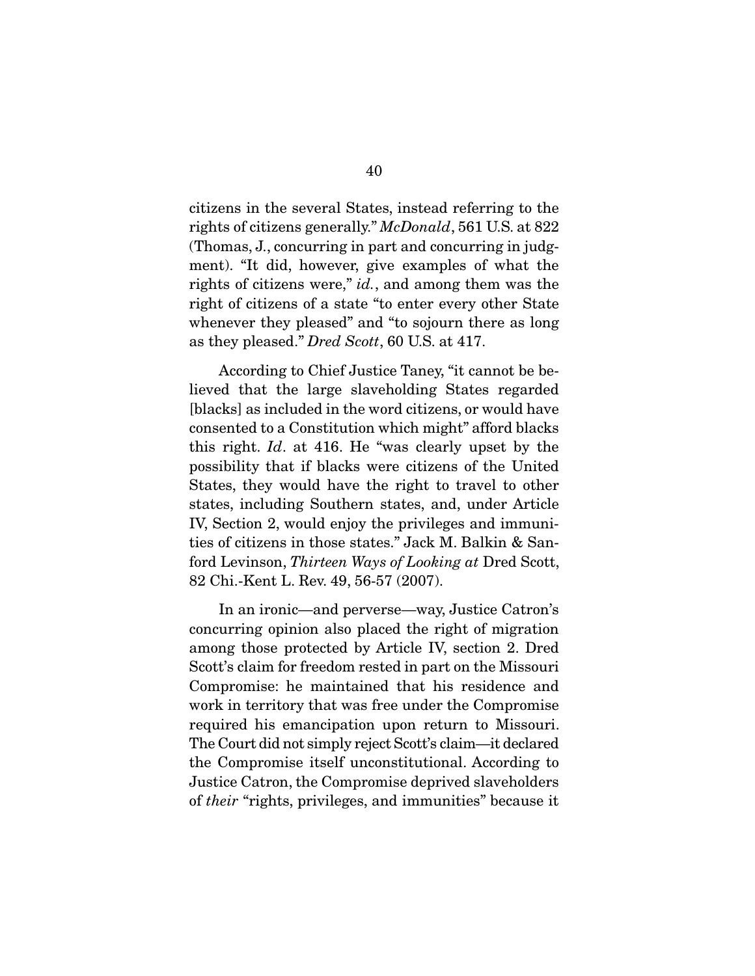citizens in the several States, instead referring to the rights of citizens generally." *McDonald*, 561 U.S. at 822 (Thomas, J., concurring in part and concurring in judgment). "It did, however, give examples of what the rights of citizens were," *id.*, and among them was the right of citizens of a state "to enter every other State whenever they pleased" and "to sojourn there as long as they pleased." *Dred Scott*, 60 U.S. at 417.

 According to Chief Justice Taney, "it cannot be believed that the large slaveholding States regarded [blacks] as included in the word citizens, or would have consented to a Constitution which might" afford blacks this right. *Id*. at 416. He "was clearly upset by the possibility that if blacks were citizens of the United States, they would have the right to travel to other states, including Southern states, and, under Article IV, Section 2, would enjoy the privileges and immunities of citizens in those states." Jack M. Balkin & Sanford Levinson, *Thirteen Ways of Looking at* Dred Scott, 82 Chi.-Kent L. Rev. 49, 56-57 (2007).

 In an ironic—and perverse—way, Justice Catron's concurring opinion also placed the right of migration among those protected by Article IV, section 2. Dred Scott's claim for freedom rested in part on the Missouri Compromise: he maintained that his residence and work in territory that was free under the Compromise required his emancipation upon return to Missouri. The Court did not simply reject Scott's claim—it declared the Compromise itself unconstitutional. According to Justice Catron, the Compromise deprived slaveholders of *their* "rights, privileges, and immunities" because it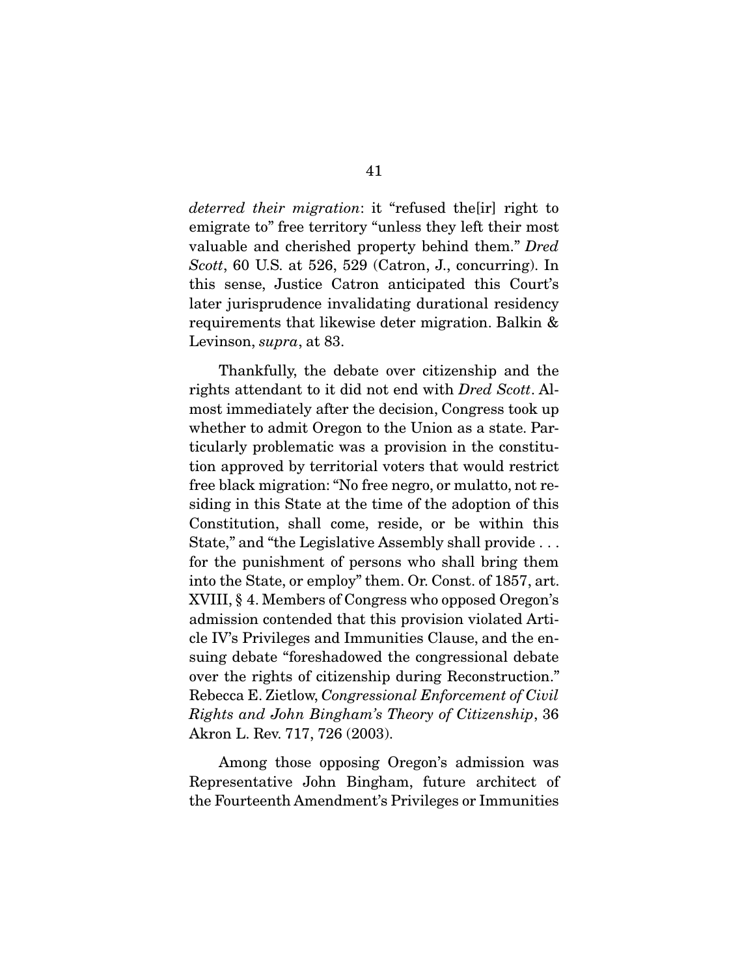*deterred their migration*: it "refused the[ir] right to emigrate to" free territory "unless they left their most valuable and cherished property behind them." *Dred Scott*, 60 U.S. at 526, 529 (Catron, J., concurring). In this sense, Justice Catron anticipated this Court's later jurisprudence invalidating durational residency requirements that likewise deter migration. Balkin & Levinson, *supra*, at 83.

 Thankfully, the debate over citizenship and the rights attendant to it did not end with *Dred Scott*. Almost immediately after the decision, Congress took up whether to admit Oregon to the Union as a state. Particularly problematic was a provision in the constitution approved by territorial voters that would restrict free black migration: "No free negro, or mulatto, not residing in this State at the time of the adoption of this Constitution, shall come, reside, or be within this State," and "the Legislative Assembly shall provide . . . for the punishment of persons who shall bring them into the State, or employ" them. Or. Const. of 1857, art. XVIII, § 4. Members of Congress who opposed Oregon's admission contended that this provision violated Article IV's Privileges and Immunities Clause, and the ensuing debate "foreshadowed the congressional debate over the rights of citizenship during Reconstruction." Rebecca E. Zietlow, *Congressional Enforcement of Civil Rights and John Bingham's Theory of Citizenship*, 36 Akron L. Rev. 717, 726 (2003).

 Among those opposing Oregon's admission was Representative John Bingham, future architect of the Fourteenth Amendment's Privileges or Immunities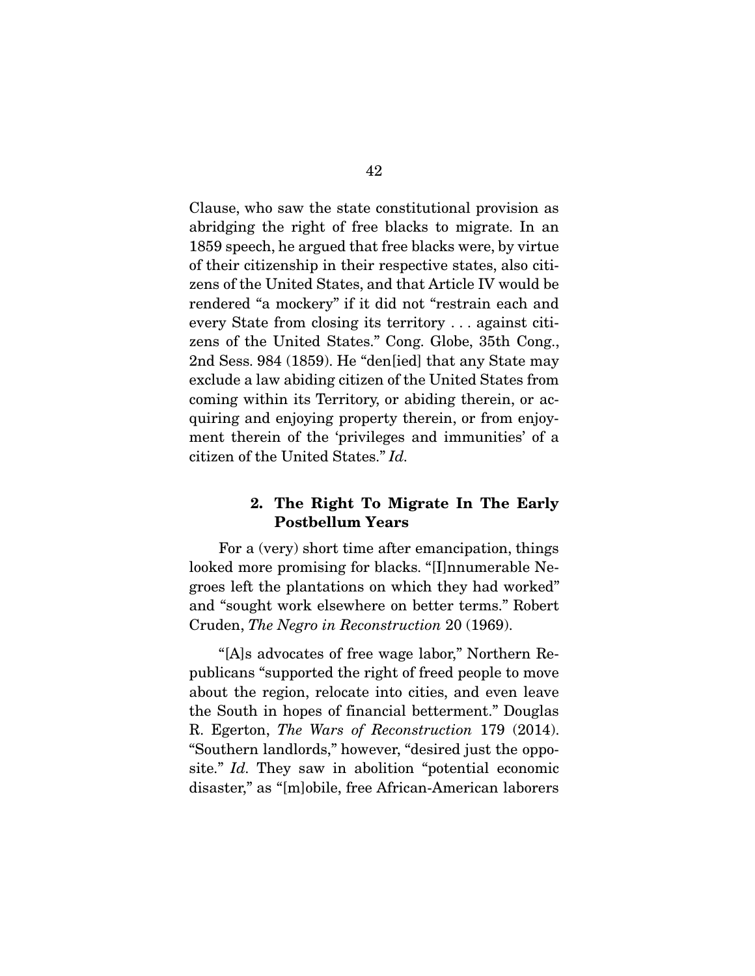Clause, who saw the state constitutional provision as abridging the right of free blacks to migrate. In an 1859 speech, he argued that free blacks were, by virtue of their citizenship in their respective states, also citizens of the United States, and that Article IV would be rendered "a mockery" if it did not "restrain each and every State from closing its territory . . . against citizens of the United States." Cong. Globe, 35th Cong., 2nd Sess. 984 (1859). He "den[ied] that any State may exclude a law abiding citizen of the United States from coming within its Territory, or abiding therein, or acquiring and enjoying property therein, or from enjoyment therein of the 'privileges and immunities' of a citizen of the United States." *Id.*

# 2. The Right To Migrate In The Early Postbellum Years

 For a (very) short time after emancipation, things looked more promising for blacks. "[I]nnumerable Negroes left the plantations on which they had worked" and "sought work elsewhere on better terms." Robert Cruden, *The Negro in Reconstruction* 20 (1969).

 "[A]s advocates of free wage labor," Northern Republicans "supported the right of freed people to move about the region, relocate into cities, and even leave the South in hopes of financial betterment." Douglas R. Egerton, *The Wars of Reconstruction* 179 (2014). "Southern landlords," however, "desired just the opposite." *Id.* They saw in abolition "potential economic disaster," as "[m]obile, free African-American laborers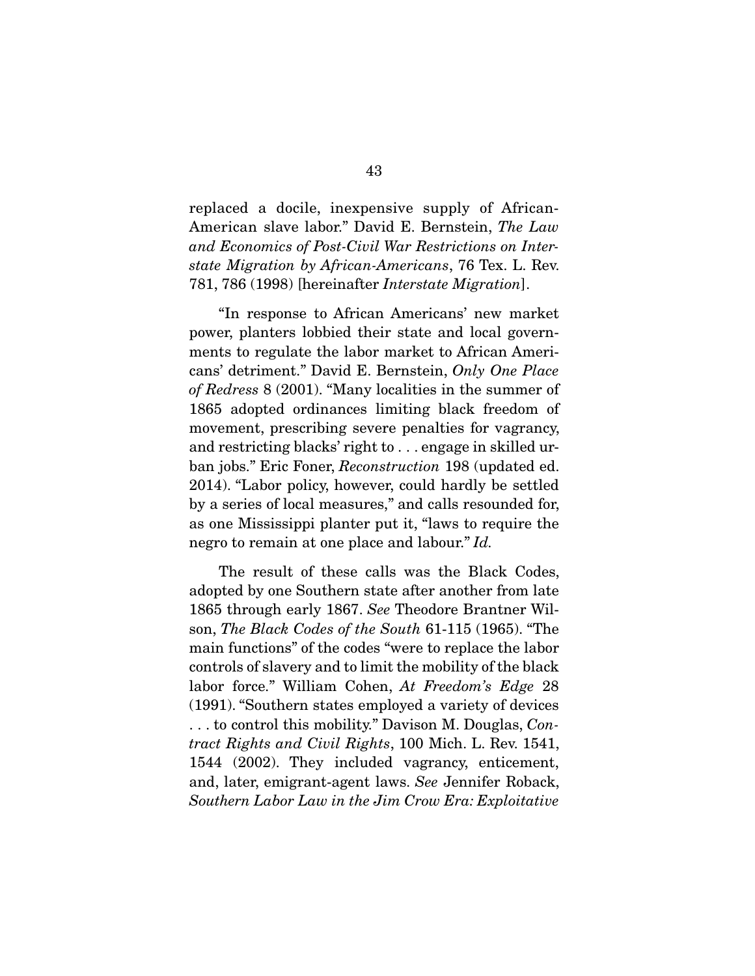replaced a docile, inexpensive supply of African-American slave labor." David E. Bernstein, *The Law and Economics of Post-Civil War Restrictions on Interstate Migration by African-Americans*, 76 Tex. L. Rev. 781, 786 (1998) [hereinafter *Interstate Migration*].

 "In response to African Americans' new market power, planters lobbied their state and local governments to regulate the labor market to African Americans' detriment." David E. Bernstein, *Only One Place of Redress* 8 (2001). "Many localities in the summer of 1865 adopted ordinances limiting black freedom of movement, prescribing severe penalties for vagrancy, and restricting blacks' right to . . . engage in skilled urban jobs." Eric Foner, *Reconstruction* 198 (updated ed. 2014). "Labor policy, however, could hardly be settled by a series of local measures," and calls resounded for, as one Mississippi planter put it, "laws to require the negro to remain at one place and labour." *Id.*

 The result of these calls was the Black Codes, adopted by one Southern state after another from late 1865 through early 1867. *See* Theodore Brantner Wilson, *The Black Codes of the South* 61-115 (1965). "The main functions" of the codes "were to replace the labor controls of slavery and to limit the mobility of the black labor force." William Cohen, *At Freedom's Edge* 28 (1991). "Southern states employed a variety of devices . . . to control this mobility." Davison M. Douglas, *Contract Rights and Civil Rights*, 100 Mich. L. Rev. 1541, 1544 (2002). They included vagrancy, enticement, and, later, emigrant-agent laws. *See* Jennifer Roback, *Southern Labor Law in the Jim Crow Era: Exploitative*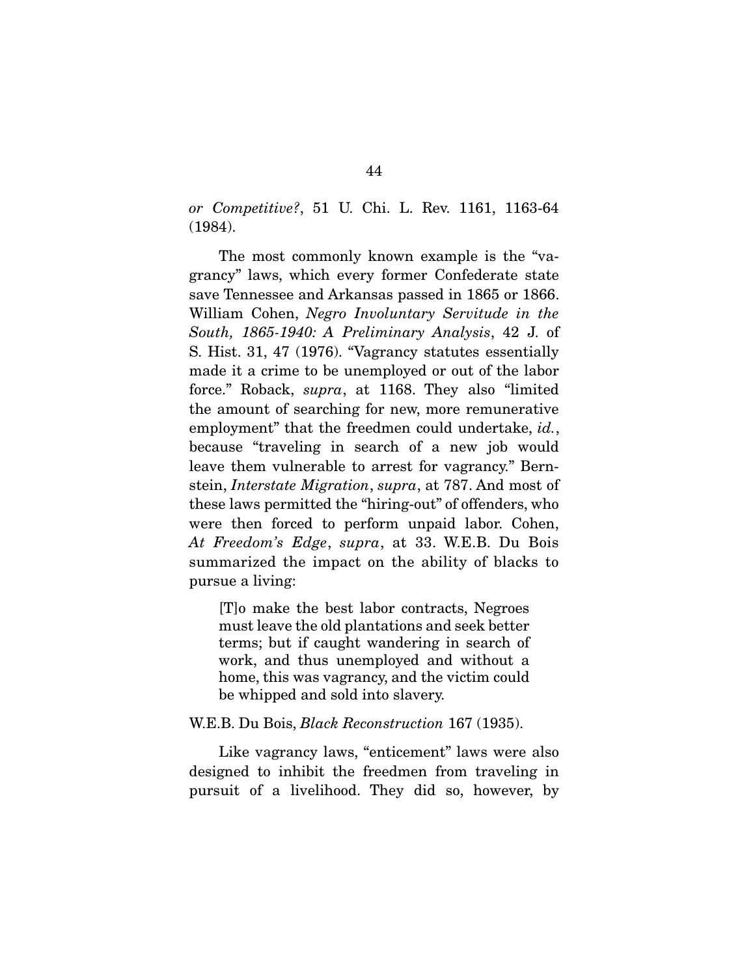*or Competitive?*, 51 U. Chi. L. Rev. 1161, 1163-64 (1984).

 The most commonly known example is the "vagrancy" laws, which every former Confederate state save Tennessee and Arkansas passed in 1865 or 1866. William Cohen, *Negro Involuntary Servitude in the South, 1865-1940: A Preliminary Analysis*, 42 J. of S. Hist. 31, 47 (1976). "Vagrancy statutes essentially made it a crime to be unemployed or out of the labor force." Roback, *supra*, at 1168. They also "limited the amount of searching for new, more remunerative employment" that the freedmen could undertake, *id.*, because "traveling in search of a new job would leave them vulnerable to arrest for vagrancy." Bernstein, *Interstate Migration*, *supra*, at 787. And most of these laws permitted the "hiring-out" of offenders, who were then forced to perform unpaid labor. Cohen, *At Freedom's Edge*, *supra*, at 33. W.E.B. Du Bois summarized the impact on the ability of blacks to pursue a living:

[T]o make the best labor contracts, Negroes must leave the old plantations and seek better terms; but if caught wandering in search of work, and thus unemployed and without a home, this was vagrancy, and the victim could be whipped and sold into slavery.

#### W.E.B. Du Bois, *Black Reconstruction* 167 (1935).

 Like vagrancy laws, "enticement" laws were also designed to inhibit the freedmen from traveling in pursuit of a livelihood. They did so, however, by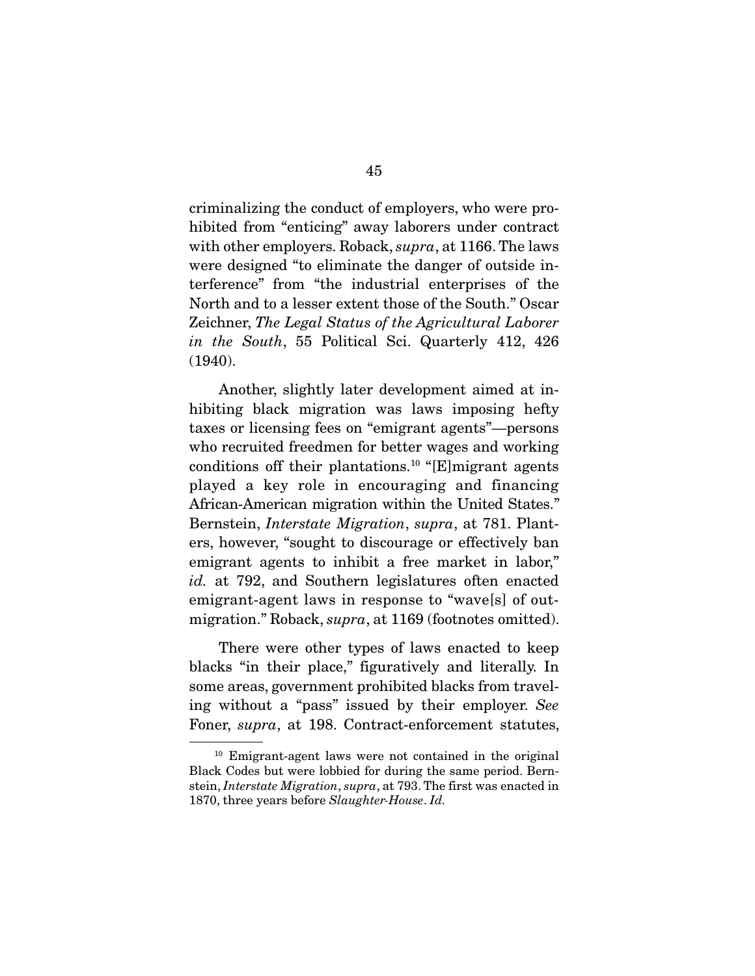criminalizing the conduct of employers, who were prohibited from "enticing" away laborers under contract with other employers. Roback, *supra*, at 1166. The laws were designed "to eliminate the danger of outside interference" from "the industrial enterprises of the North and to a lesser extent those of the South." Oscar Zeichner, *The Legal Status of the Agricultural Laborer in the South*, 55 Political Sci. Quarterly 412, 426 (1940).

 Another, slightly later development aimed at inhibiting black migration was laws imposing hefty taxes or licensing fees on "emigrant agents"—persons who recruited freedmen for better wages and working conditions off their plantations.<sup>10</sup> "[E]migrant agents played a key role in encouraging and financing African-American migration within the United States." Bernstein, *Interstate Migration*, *supra*, at 781. Planters, however, "sought to discourage or effectively ban emigrant agents to inhibit a free market in labor," *id.* at 792, and Southern legislatures often enacted emigrant-agent laws in response to "wave[s] of outmigration." Roback, *supra*, at 1169 (footnotes omitted).

 There were other types of laws enacted to keep blacks "in their place," figuratively and literally. In some areas, government prohibited blacks from traveling without a "pass" issued by their employer. *See* Foner, *supra*, at 198. Contract-enforcement statutes,

<sup>10</sup> Emigrant-agent laws were not contained in the original Black Codes but were lobbied for during the same period. Bernstein, *Interstate Migration*, *supra*, at 793. The first was enacted in 1870, three years before *Slaughter-House*. *Id.*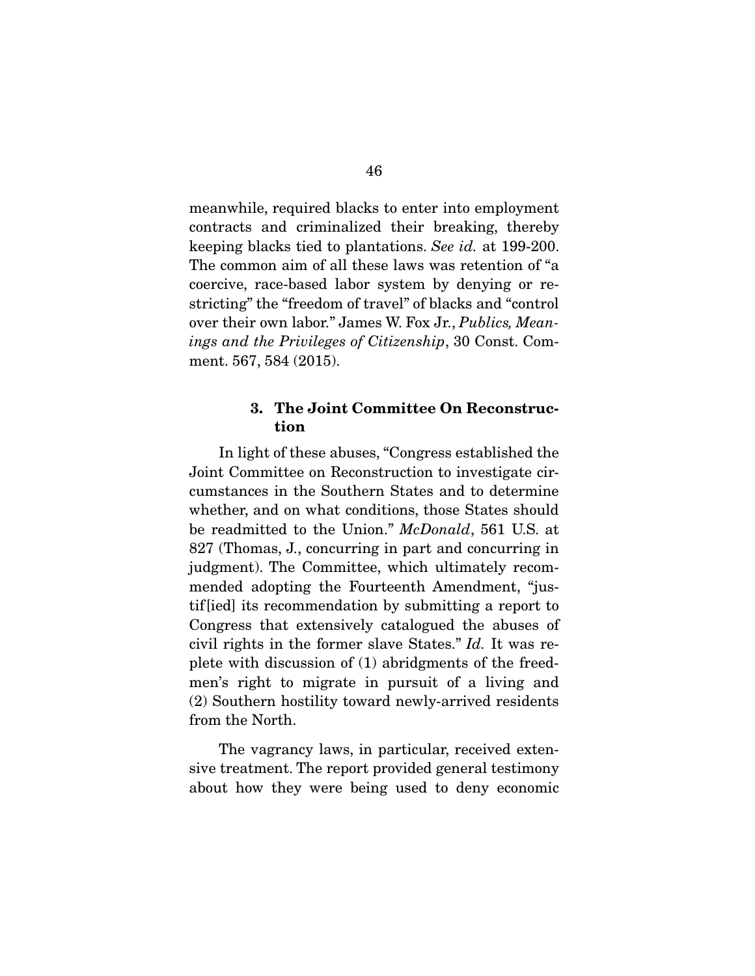meanwhile, required blacks to enter into employment contracts and criminalized their breaking, thereby keeping blacks tied to plantations. *See id.* at 199-200. The common aim of all these laws was retention of "a coercive, race-based labor system by denying or restricting" the "freedom of travel" of blacks and "control over their own labor." James W. Fox Jr., *Publics, Meanings and the Privileges of Citizenship*, 30 Const. Comment. 567, 584 (2015).

# 3. The Joint Committee On Reconstruction

 In light of these abuses, "Congress established the Joint Committee on Reconstruction to investigate circumstances in the Southern States and to determine whether, and on what conditions, those States should be readmitted to the Union." *McDonald*, 561 U.S. at 827 (Thomas, J., concurring in part and concurring in judgment). The Committee, which ultimately recommended adopting the Fourteenth Amendment, "justif[ied] its recommendation by submitting a report to Congress that extensively catalogued the abuses of civil rights in the former slave States." *Id.* It was replete with discussion of (1) abridgments of the freedmen's right to migrate in pursuit of a living and (2) Southern hostility toward newly-arrived residents from the North.

 The vagrancy laws, in particular, received extensive treatment. The report provided general testimony about how they were being used to deny economic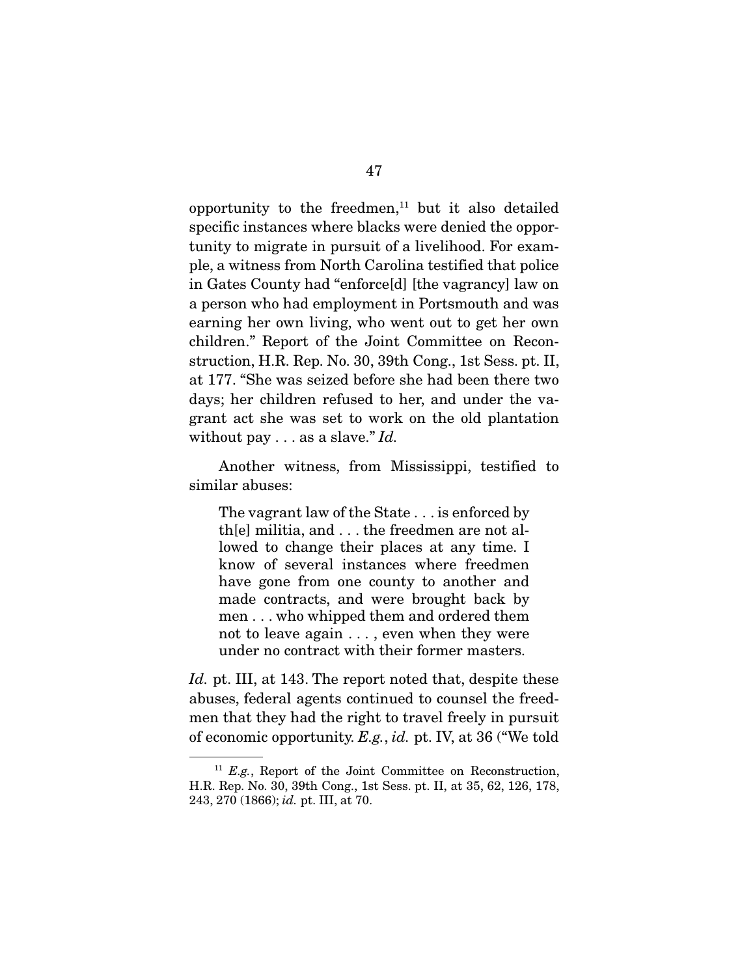opportunity to the freedmen, $11$  but it also detailed specific instances where blacks were denied the opportunity to migrate in pursuit of a livelihood. For example, a witness from North Carolina testified that police in Gates County had "enforce[d] [the vagrancy] law on a person who had employment in Portsmouth and was earning her own living, who went out to get her own children." Report of the Joint Committee on Reconstruction, H.R. Rep. No. 30, 39th Cong., 1st Sess. pt. II, at 177. "She was seized before she had been there two days; her children refused to her, and under the vagrant act she was set to work on the old plantation without pay . . . as a slave." *Id.*

 Another witness, from Mississippi, testified to similar abuses:

The vagrant law of the State . . . is enforced by th[e] militia, and . . . the freedmen are not allowed to change their places at any time. I know of several instances where freedmen have gone from one county to another and made contracts, and were brought back by men . . . who whipped them and ordered them not to leave again . . . , even when they were under no contract with their former masters.

*Id.* pt. III, at 143. The report noted that, despite these abuses, federal agents continued to counsel the freedmen that they had the right to travel freely in pursuit of economic opportunity. *E.g.*, *id.* pt. IV, at 36 ("We told

<sup>&</sup>lt;sup>11</sup> *E.g.*, Report of the Joint Committee on Reconstruction, H.R. Rep. No. 30, 39th Cong., 1st Sess. pt. II, at 35, 62, 126, 178, 243, 270 (1866); *id.* pt. III, at 70.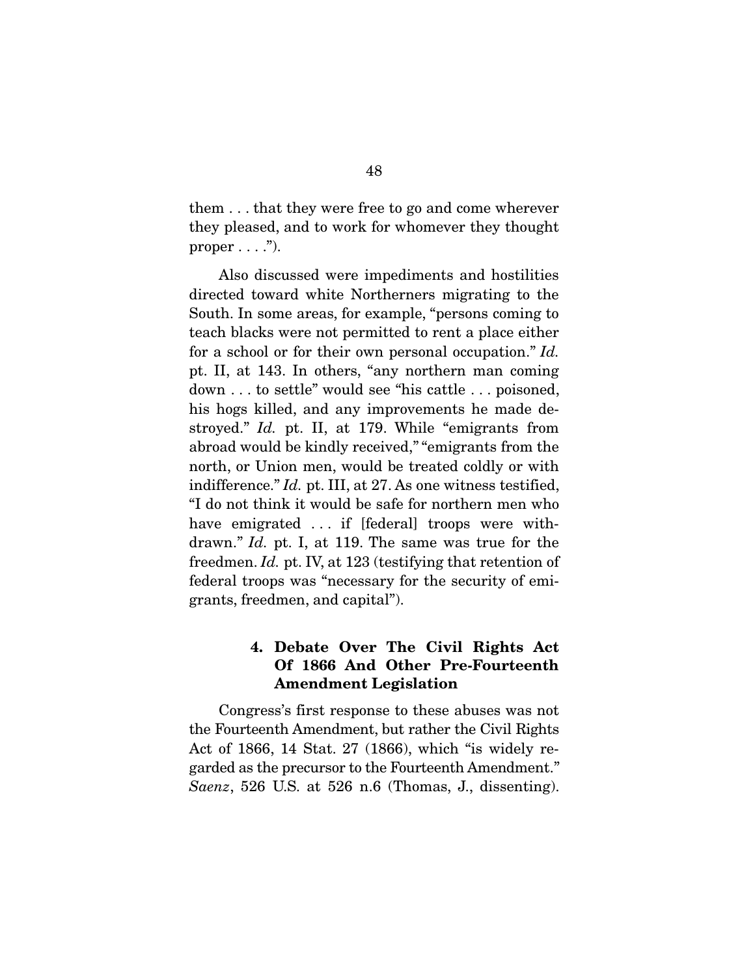them . . . that they were free to go and come wherever they pleased, and to work for whomever they thought proper  $\dots$ .").

 Also discussed were impediments and hostilities directed toward white Northerners migrating to the South. In some areas, for example, "persons coming to teach blacks were not permitted to rent a place either for a school or for their own personal occupation." *Id.*  pt. II, at 143. In others, "any northern man coming down . . . to settle" would see "his cattle . . . poisoned, his hogs killed, and any improvements he made destroyed." *Id.* pt. II, at 179. While "emigrants from abroad would be kindly received," "emigrants from the north, or Union men, would be treated coldly or with indifference." *Id.* pt. III, at 27. As one witness testified, "I do not think it would be safe for northern men who have emigrated ... if [federal] troops were withdrawn." *Id.* pt. I, at 119. The same was true for the freedmen. *Id.* pt. IV, at 123 (testifying that retention of federal troops was "necessary for the security of emigrants, freedmen, and capital").

# 4. Debate Over The Civil Rights Act Of 1866 And Other Pre-Fourteenth Amendment Legislation

Congress's first response to these abuses was not the Fourteenth Amendment, but rather the Civil Rights Act of 1866, 14 Stat. 27 (1866), which "is widely regarded as the precursor to the Fourteenth Amendment." *Saenz*, 526 U.S. at 526 n.6 (Thomas, J., dissenting).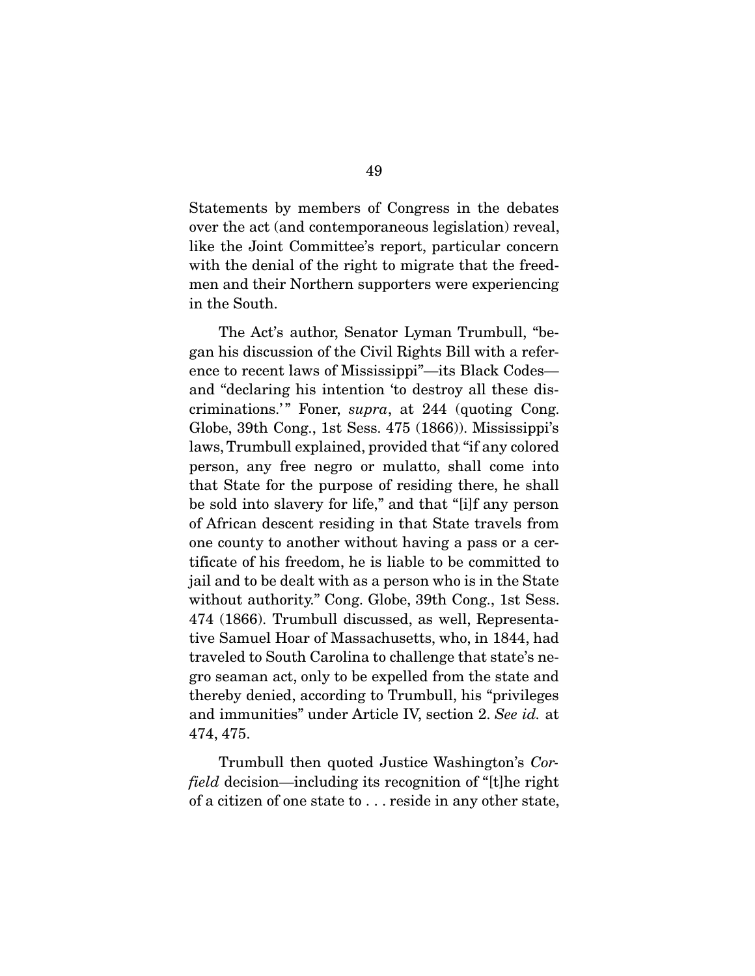Statements by members of Congress in the debates over the act (and contemporaneous legislation) reveal, like the Joint Committee's report, particular concern with the denial of the right to migrate that the freedmen and their Northern supporters were experiencing in the South.

 The Act's author, Senator Lyman Trumbull, "began his discussion of the Civil Rights Bill with a reference to recent laws of Mississippi"—its Black Codes and "declaring his intention 'to destroy all these discriminations.'" Foner, *supra*, at 244 (quoting Cong. Globe, 39th Cong., 1st Sess. 475 (1866)). Mississippi's laws, Trumbull explained, provided that "if any colored person, any free negro or mulatto, shall come into that State for the purpose of residing there, he shall be sold into slavery for life," and that "[i]f any person of African descent residing in that State travels from one county to another without having a pass or a certificate of his freedom, he is liable to be committed to jail and to be dealt with as a person who is in the State without authority." Cong. Globe, 39th Cong., 1st Sess. 474 (1866). Trumbull discussed, as well, Representative Samuel Hoar of Massachusetts, who, in 1844, had traveled to South Carolina to challenge that state's negro seaman act, only to be expelled from the state and thereby denied, according to Trumbull, his "privileges and immunities" under Article IV, section 2. *See id.* at 474, 475.

 Trumbull then quoted Justice Washington's *Corfield* decision—including its recognition of "[t]he right of a citizen of one state to . . . reside in any other state,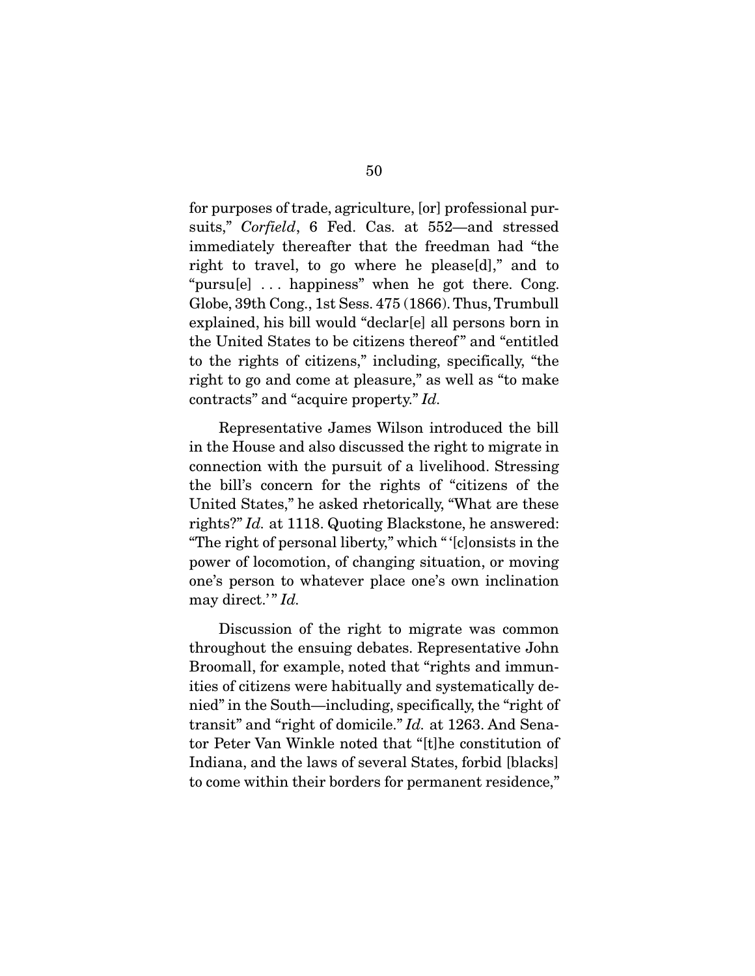for purposes of trade, agriculture, [or] professional pursuits," *Corfield*, 6 Fed. Cas. at 552—and stressed immediately thereafter that the freedman had "the right to travel, to go where he please[d]," and to "pursu[e] . . . happiness" when he got there. Cong. Globe, 39th Cong., 1st Sess. 475 (1866). Thus, Trumbull explained, his bill would "declar[e] all persons born in the United States to be citizens thereof " and "entitled to the rights of citizens," including, specifically, "the right to go and come at pleasure," as well as "to make contracts" and "acquire property." *Id.* 

 Representative James Wilson introduced the bill in the House and also discussed the right to migrate in connection with the pursuit of a livelihood. Stressing the bill's concern for the rights of "citizens of the United States," he asked rhetorically, "What are these rights?" *Id.* at 1118. Quoting Blackstone, he answered: "The right of personal liberty," which " '[c]onsists in the power of locomotion, of changing situation, or moving one's person to whatever place one's own inclination may direct.'" *Id.* 

 Discussion of the right to migrate was common throughout the ensuing debates. Representative John Broomall, for example, noted that "rights and immunities of citizens were habitually and systematically denied" in the South—including, specifically, the "right of transit" and "right of domicile." *Id.* at 1263. And Senator Peter Van Winkle noted that "[t]he constitution of Indiana, and the laws of several States, forbid [blacks] to come within their borders for permanent residence,"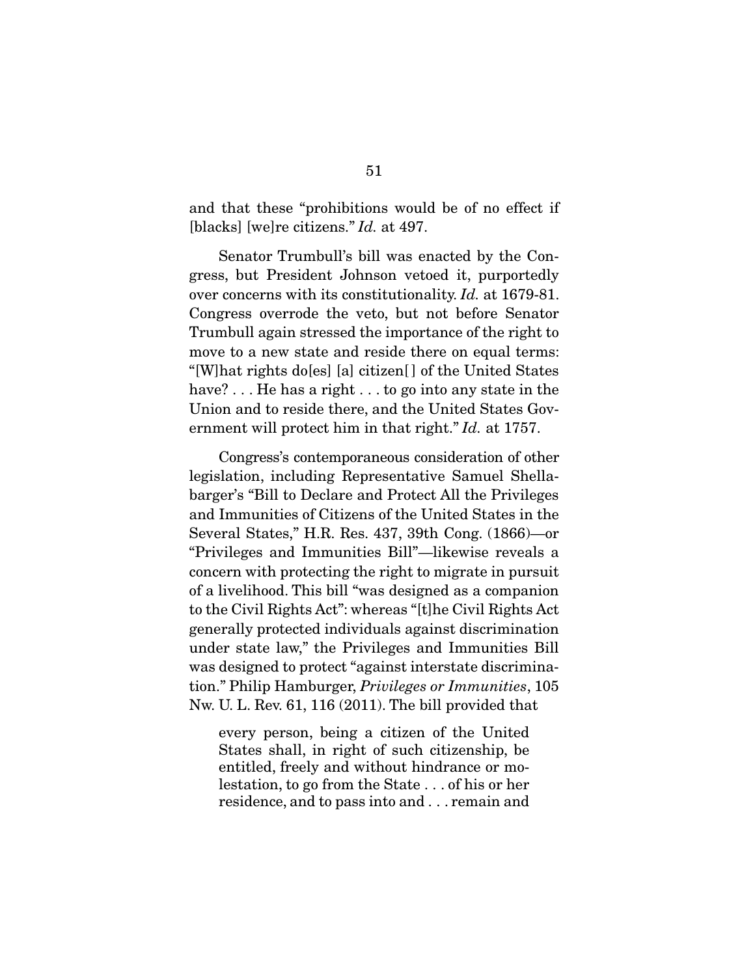and that these "prohibitions would be of no effect if [blacks] [we]re citizens." *Id.* at 497.

 Senator Trumbull's bill was enacted by the Congress, but President Johnson vetoed it, purportedly over concerns with its constitutionality. *Id.* at 1679-81. Congress overrode the veto, but not before Senator Trumbull again stressed the importance of the right to move to a new state and reside there on equal terms: "[W]hat rights do[es] [a] citizen[ ] of the United States have? . . . He has a right . . . to go into any state in the Union and to reside there, and the United States Government will protect him in that right." *Id.* at 1757.

 Congress's contemporaneous consideration of other legislation, including Representative Samuel Shellabarger's "Bill to Declare and Protect All the Privileges and Immunities of Citizens of the United States in the Several States," H.R. Res. 437, 39th Cong. (1866)—or "Privileges and Immunities Bill"—likewise reveals a concern with protecting the right to migrate in pursuit of a livelihood. This bill "was designed as a companion to the Civil Rights Act": whereas "[t]he Civil Rights Act generally protected individuals against discrimination under state law," the Privileges and Immunities Bill was designed to protect "against interstate discrimination." Philip Hamburger, *Privileges or Immunities*, 105 Nw. U. L. Rev. 61, 116 (2011). The bill provided that

every person, being a citizen of the United States shall, in right of such citizenship, be entitled, freely and without hindrance or molestation, to go from the State . . . of his or her residence, and to pass into and . . . remain and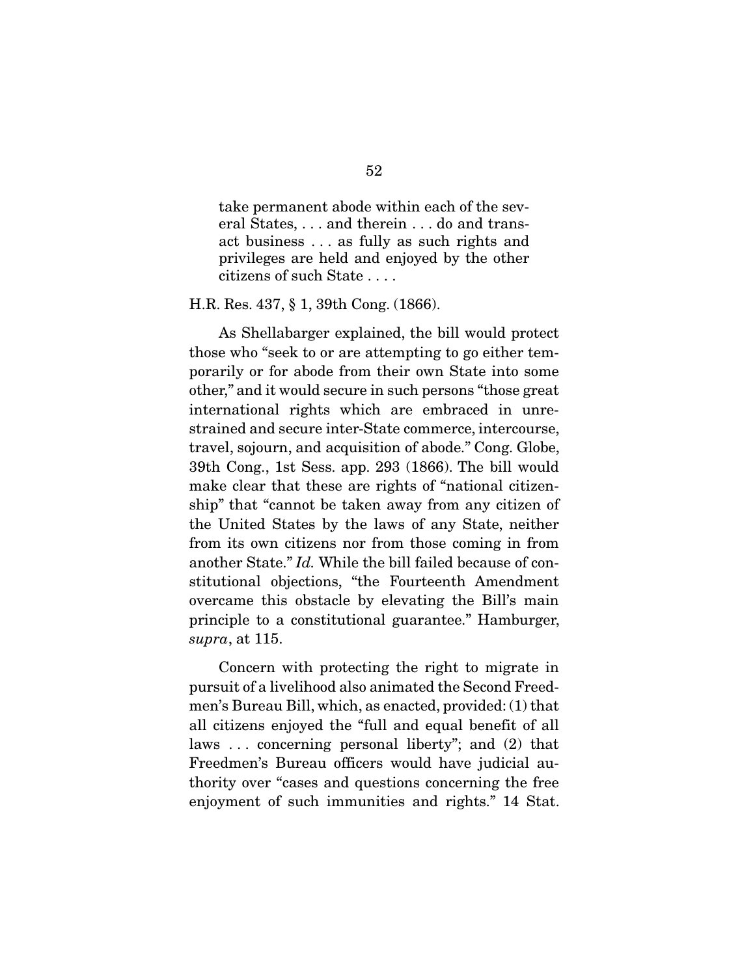take permanent abode within each of the several States, . . . and therein . . . do and transact business . . . as fully as such rights and privileges are held and enjoyed by the other citizens of such State . . . .

H.R. Res. 437, § 1, 39th Cong. (1866).

 As Shellabarger explained, the bill would protect those who "seek to or are attempting to go either temporarily or for abode from their own State into some other," and it would secure in such persons "those great international rights which are embraced in unrestrained and secure inter-State commerce, intercourse, travel, sojourn, and acquisition of abode." Cong. Globe, 39th Cong., 1st Sess. app. 293 (1866). The bill would make clear that these are rights of "national citizenship" that "cannot be taken away from any citizen of the United States by the laws of any State, neither from its own citizens nor from those coming in from another State." *Id.* While the bill failed because of constitutional objections, "the Fourteenth Amendment overcame this obstacle by elevating the Bill's main principle to a constitutional guarantee." Hamburger, *supra*, at 115.

 Concern with protecting the right to migrate in pursuit of a livelihood also animated the Second Freedmen's Bureau Bill, which, as enacted, provided: (1) that all citizens enjoyed the "full and equal benefit of all laws . . . concerning personal liberty"; and (2) that Freedmen's Bureau officers would have judicial authority over "cases and questions concerning the free enjoyment of such immunities and rights." 14 Stat.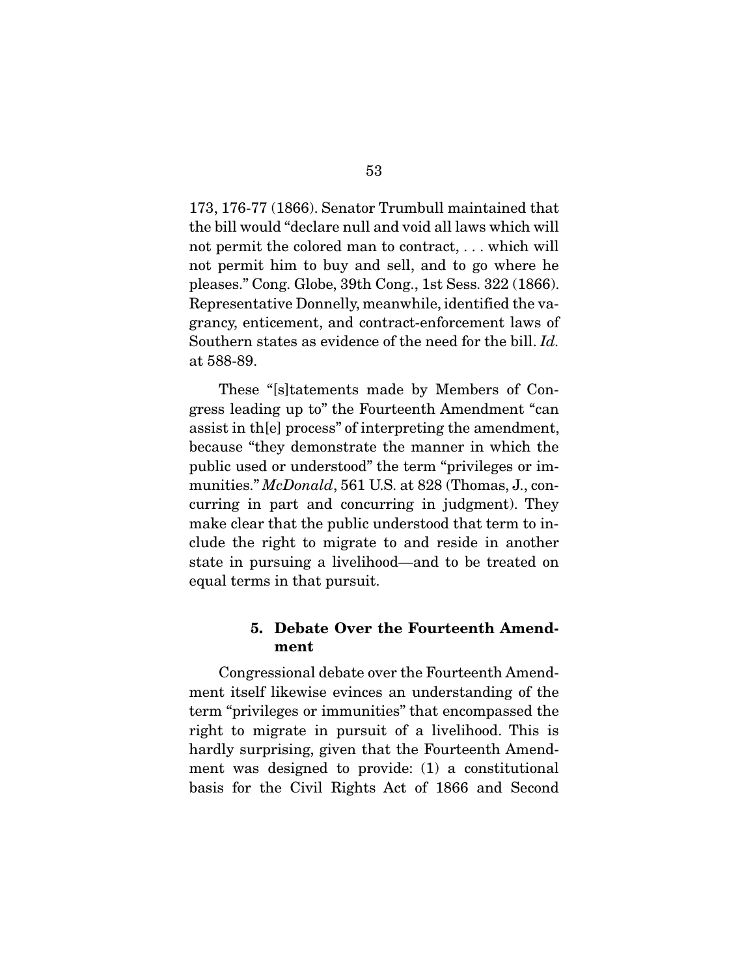173, 176-77 (1866). Senator Trumbull maintained that the bill would "declare null and void all laws which will not permit the colored man to contract, . . . which will not permit him to buy and sell, and to go where he pleases." Cong. Globe, 39th Cong., 1st Sess. 322 (1866). Representative Donnelly, meanwhile, identified the vagrancy, enticement, and contract-enforcement laws of Southern states as evidence of the need for the bill. *Id.*  at 588-89.

 These "[s]tatements made by Members of Congress leading up to" the Fourteenth Amendment "can assist in th[e] process" of interpreting the amendment, because "they demonstrate the manner in which the public used or understood" the term "privileges or immunities." *McDonald*, 561 U.S. at 828 (Thomas, J., concurring in part and concurring in judgment). They make clear that the public understood that term to include the right to migrate to and reside in another state in pursuing a livelihood—and to be treated on equal terms in that pursuit.

### 5. Debate Over the Fourteenth Amendment

 Congressional debate over the Fourteenth Amendment itself likewise evinces an understanding of the term "privileges or immunities" that encompassed the right to migrate in pursuit of a livelihood. This is hardly surprising, given that the Fourteenth Amendment was designed to provide: (1) a constitutional basis for the Civil Rights Act of 1866 and Second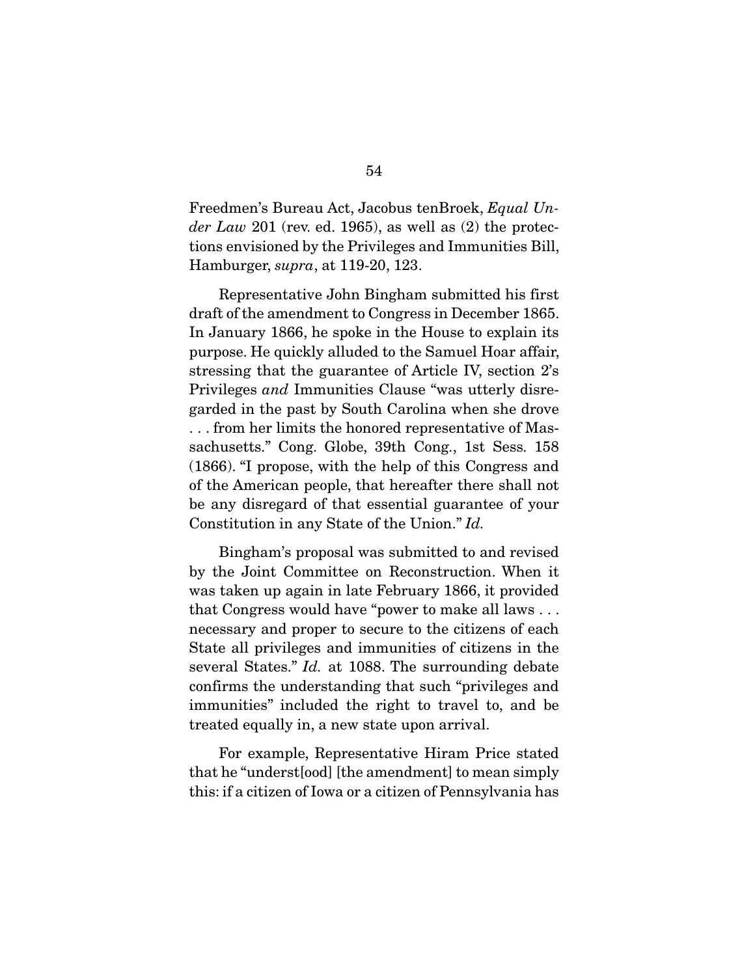Freedmen's Bureau Act, Jacobus tenBroek, *Equal Under Law* 201 (rev. ed. 1965), as well as (2) the protections envisioned by the Privileges and Immunities Bill, Hamburger, *supra*, at 119-20, 123.

 Representative John Bingham submitted his first draft of the amendment to Congress in December 1865. In January 1866, he spoke in the House to explain its purpose. He quickly alluded to the Samuel Hoar affair, stressing that the guarantee of Article IV, section 2's Privileges *and* Immunities Clause "was utterly disregarded in the past by South Carolina when she drove . . . from her limits the honored representative of Massachusetts." Cong. Globe, 39th Cong., 1st Sess. 158 (1866). "I propose, with the help of this Congress and of the American people, that hereafter there shall not be any disregard of that essential guarantee of your Constitution in any State of the Union." *Id.*

 Bingham's proposal was submitted to and revised by the Joint Committee on Reconstruction. When it was taken up again in late February 1866, it provided that Congress would have "power to make all laws . . . necessary and proper to secure to the citizens of each State all privileges and immunities of citizens in the several States." *Id.* at 1088. The surrounding debate confirms the understanding that such "privileges and immunities" included the right to travel to, and be treated equally in, a new state upon arrival.

 For example, Representative Hiram Price stated that he "underst[ood] [the amendment] to mean simply this: if a citizen of Iowa or a citizen of Pennsylvania has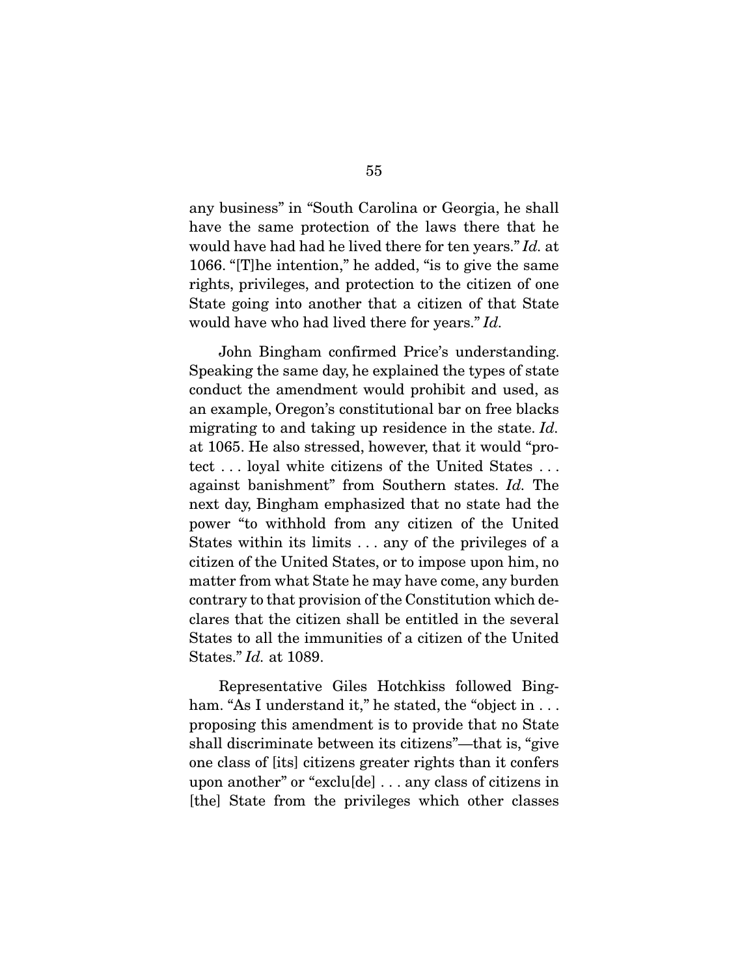any business" in "South Carolina or Georgia, he shall have the same protection of the laws there that he would have had had he lived there for ten years." *Id.* at 1066. "[T]he intention," he added, "is to give the same rights, privileges, and protection to the citizen of one State going into another that a citizen of that State would have who had lived there for years." *Id.*

John Bingham confirmed Price's understanding. Speaking the same day, he explained the types of state conduct the amendment would prohibit and used, as an example, Oregon's constitutional bar on free blacks migrating to and taking up residence in the state. *Id.* at 1065. He also stressed, however, that it would "protect . . . loyal white citizens of the United States . . . against banishment" from Southern states. *Id.* The next day, Bingham emphasized that no state had the power "to withhold from any citizen of the United States within its limits . . . any of the privileges of a citizen of the United States, or to impose upon him, no matter from what State he may have come, any burden contrary to that provision of the Constitution which declares that the citizen shall be entitled in the several States to all the immunities of a citizen of the United States." *Id.* at 1089.

 Representative Giles Hotchkiss followed Bingham. "As I understand it," he stated, the "object in ... proposing this amendment is to provide that no State shall discriminate between its citizens"—that is, "give one class of [its] citizens greater rights than it confers upon another" or "exclu[de] . . . any class of citizens in [the] State from the privileges which other classes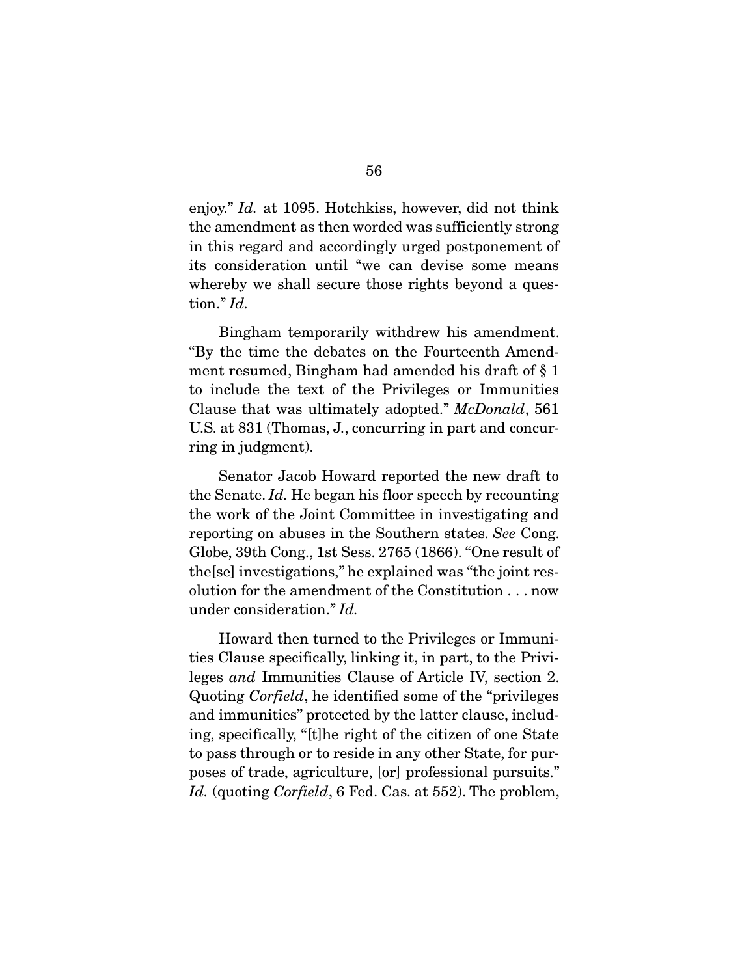enjoy." *Id.* at 1095. Hotchkiss, however, did not think the amendment as then worded was sufficiently strong in this regard and accordingly urged postponement of its consideration until "we can devise some means whereby we shall secure those rights beyond a question." *Id.*

 Bingham temporarily withdrew his amendment. "By the time the debates on the Fourteenth Amendment resumed, Bingham had amended his draft of § 1 to include the text of the Privileges or Immunities Clause that was ultimately adopted." *McDonald*, 561 U.S. at 831 (Thomas, J., concurring in part and concurring in judgment).

 Senator Jacob Howard reported the new draft to the Senate. *Id.* He began his floor speech by recounting the work of the Joint Committee in investigating and reporting on abuses in the Southern states. *See* Cong. Globe, 39th Cong., 1st Sess. 2765 (1866). "One result of the[se] investigations," he explained was "the joint resolution for the amendment of the Constitution . . . now under consideration." *Id.*

 Howard then turned to the Privileges or Immunities Clause specifically, linking it, in part, to the Privileges *and* Immunities Clause of Article IV, section 2. Quoting *Corfield*, he identified some of the "privileges and immunities" protected by the latter clause, including, specifically, "[t]he right of the citizen of one State to pass through or to reside in any other State, for purposes of trade, agriculture, [or] professional pursuits." *Id.* (quoting *Corfield*, 6 Fed. Cas. at 552). The problem,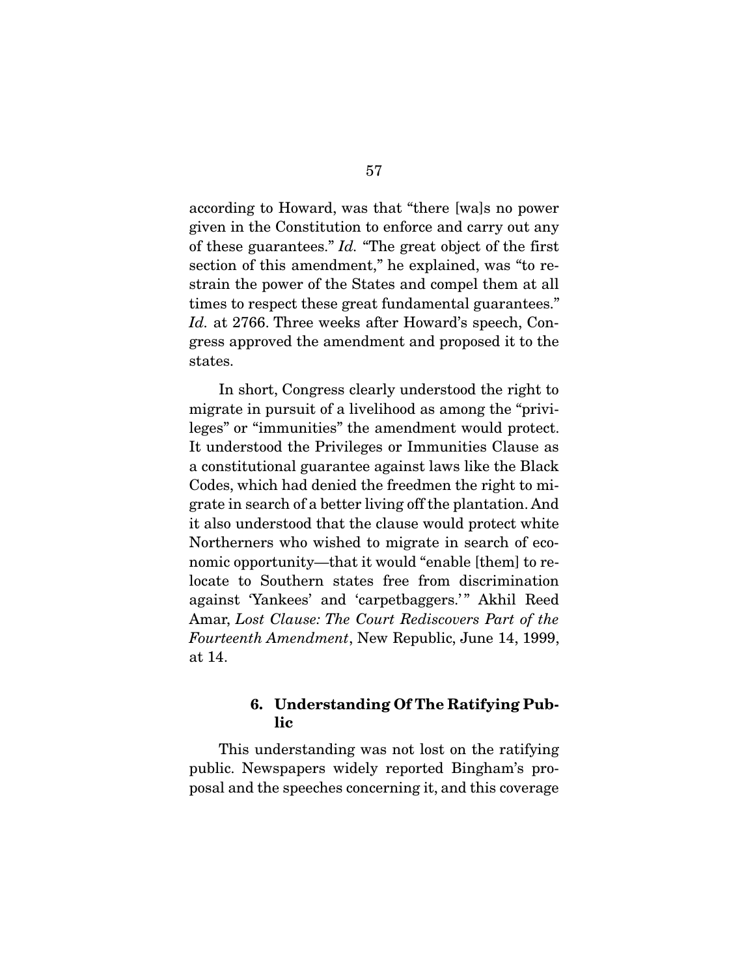according to Howard, was that "there [wa]s no power given in the Constitution to enforce and carry out any of these guarantees." *Id.* "The great object of the first section of this amendment," he explained, was "to restrain the power of the States and compel them at all times to respect these great fundamental guarantees." *Id.* at 2766. Three weeks after Howard's speech, Congress approved the amendment and proposed it to the states.

 In short, Congress clearly understood the right to migrate in pursuit of a livelihood as among the "privileges" or "immunities" the amendment would protect. It understood the Privileges or Immunities Clause as a constitutional guarantee against laws like the Black Codes, which had denied the freedmen the right to migrate in search of a better living off the plantation. And it also understood that the clause would protect white Northerners who wished to migrate in search of economic opportunity—that it would "enable [them] to relocate to Southern states free from discrimination against 'Yankees' and 'carpetbaggers.'" Akhil Reed Amar, *Lost Clause: The Court Rediscovers Part of the Fourteenth Amendment*, New Republic, June 14, 1999, at 14.

### 6. Understanding Of The Ratifying Public

 This understanding was not lost on the ratifying public. Newspapers widely reported Bingham's proposal and the speeches concerning it, and this coverage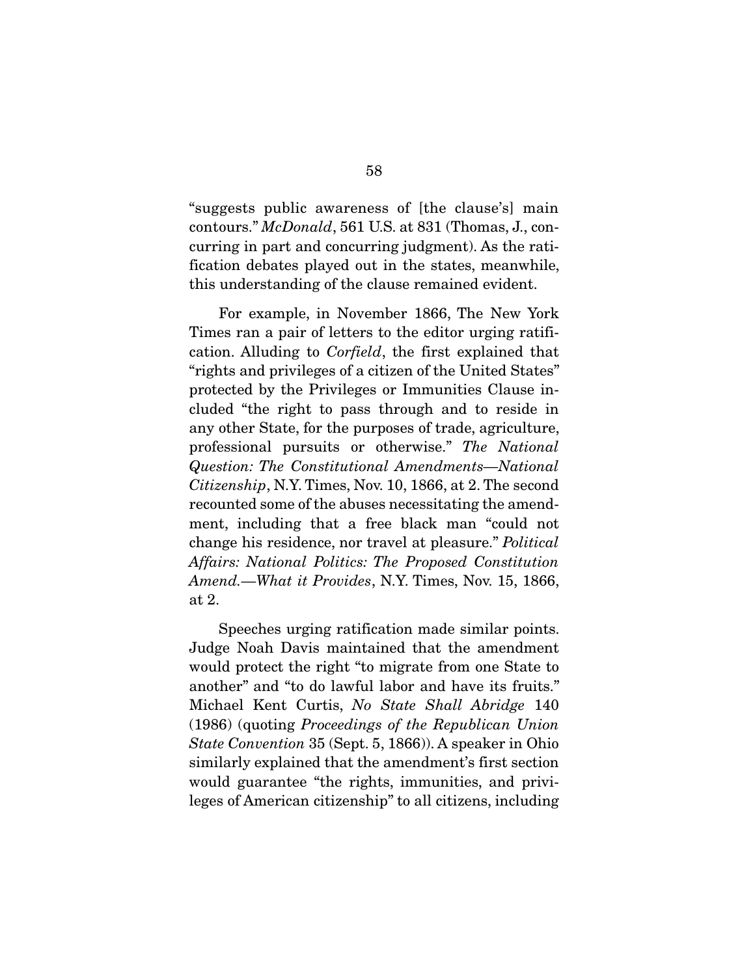"suggests public awareness of [the clause's] main contours." *McDonald*, 561 U.S. at 831 (Thomas, J., concurring in part and concurring judgment). As the ratification debates played out in the states, meanwhile, this understanding of the clause remained evident.

 For example, in November 1866, The New York Times ran a pair of letters to the editor urging ratification. Alluding to *Corfield*, the first explained that "rights and privileges of a citizen of the United States" protected by the Privileges or Immunities Clause included "the right to pass through and to reside in any other State, for the purposes of trade, agriculture, professional pursuits or otherwise." *The National Question: The Constitutional Amendments—National Citizenship*, N.Y. Times, Nov. 10, 1866, at 2. The second recounted some of the abuses necessitating the amendment, including that a free black man "could not change his residence, nor travel at pleasure." *Political Affairs: National Politics: The Proposed Constitution Amend.—What it Provides*, N.Y. Times, Nov. 15, 1866, at 2.

 Speeches urging ratification made similar points. Judge Noah Davis maintained that the amendment would protect the right "to migrate from one State to another" and "to do lawful labor and have its fruits." Michael Kent Curtis, *No State Shall Abridge* 140 (1986) (quoting *Proceedings of the Republican Union State Convention* 35 (Sept. 5, 1866)). A speaker in Ohio similarly explained that the amendment's first section would guarantee "the rights, immunities, and privileges of American citizenship" to all citizens, including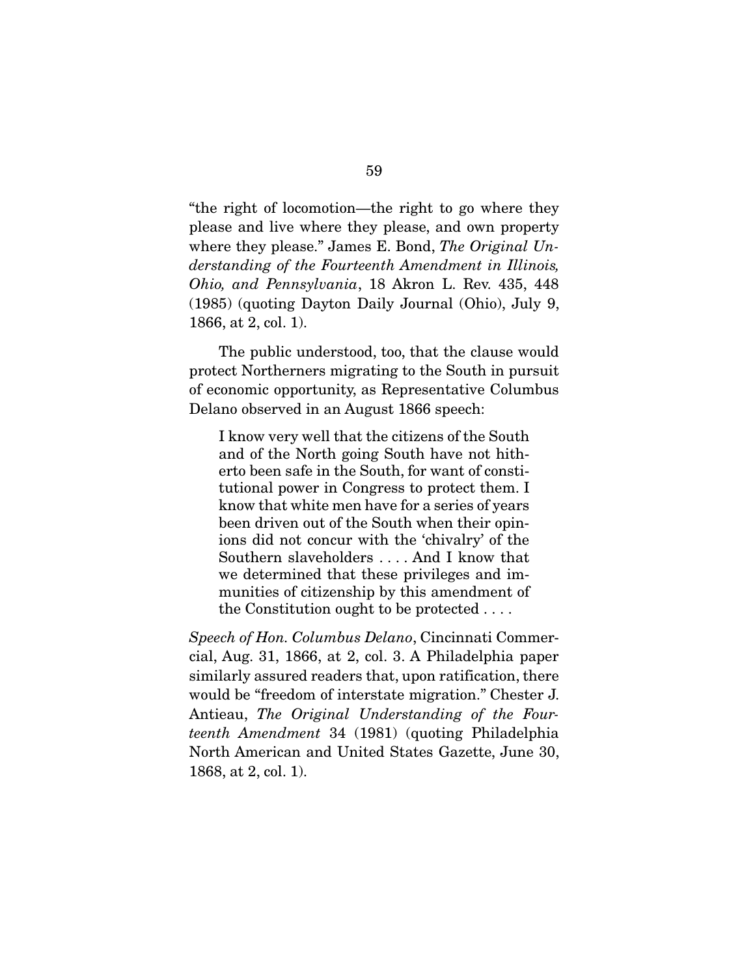"the right of locomotion—the right to go where they please and live where they please, and own property where they please." James E. Bond, *The Original Understanding of the Fourteenth Amendment in Illinois, Ohio, and Pennsylvania*, 18 Akron L. Rev. 435, 448 (1985) (quoting Dayton Daily Journal (Ohio), July 9, 1866, at 2, col. 1).

 The public understood, too, that the clause would protect Northerners migrating to the South in pursuit of economic opportunity, as Representative Columbus Delano observed in an August 1866 speech:

I know very well that the citizens of the South and of the North going South have not hitherto been safe in the South, for want of constitutional power in Congress to protect them. I know that white men have for a series of years been driven out of the South when their opinions did not concur with the 'chivalry' of the Southern slaveholders . . . . And I know that we determined that these privileges and immunities of citizenship by this amendment of the Constitution ought to be protected . . . .

*Speech of Hon. Columbus Delano*, Cincinnati Commercial, Aug. 31, 1866, at 2, col. 3. A Philadelphia paper similarly assured readers that, upon ratification, there would be "freedom of interstate migration." Chester J. Antieau, *The Original Understanding of the Fourteenth Amendment* 34 (1981) (quoting Philadelphia North American and United States Gazette, June 30, 1868, at 2, col. 1).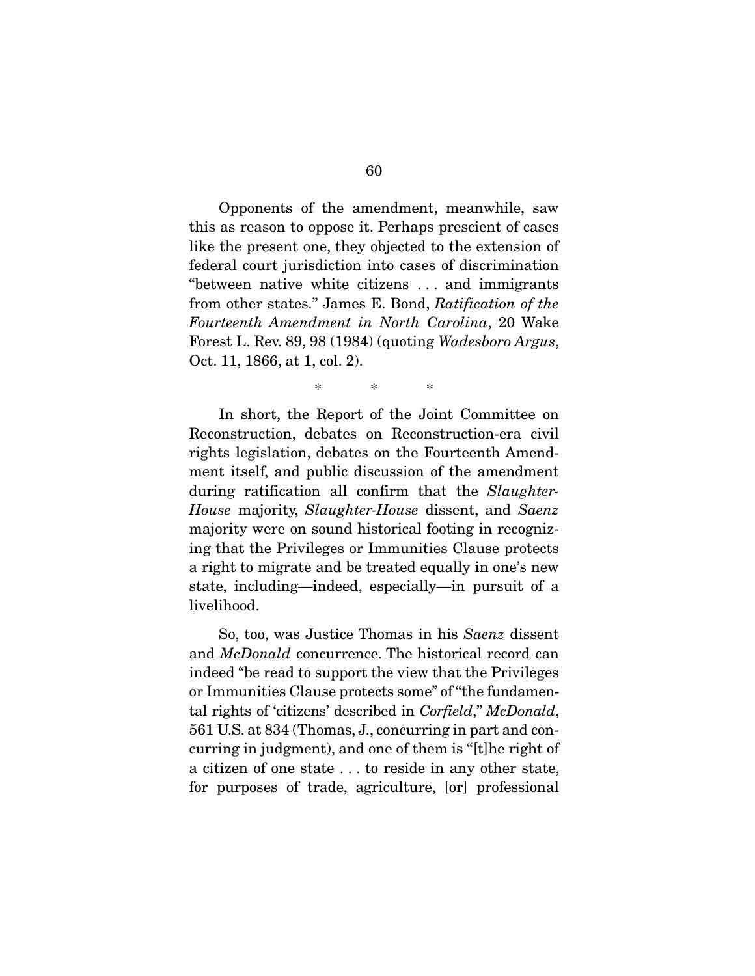Opponents of the amendment, meanwhile, saw this as reason to oppose it. Perhaps prescient of cases like the present one, they objected to the extension of federal court jurisdiction into cases of discrimination "between native white citizens . . . and immigrants from other states." James E. Bond, *Ratification of the Fourteenth Amendment in North Carolina*, 20 Wake Forest L. Rev. 89, 98 (1984) (quoting *Wadesboro Argus*, Oct. 11, 1866, at 1, col. 2).

\* \* \*

 In short, the Report of the Joint Committee on Reconstruction, debates on Reconstruction-era civil rights legislation, debates on the Fourteenth Amendment itself, and public discussion of the amendment during ratification all confirm that the *Slaughter-House* majority, *Slaughter-House* dissent, and *Saenz* majority were on sound historical footing in recognizing that the Privileges or Immunities Clause protects a right to migrate and be treated equally in one's new state, including—indeed, especially—in pursuit of a livelihood.

 So, too, was Justice Thomas in his *Saenz* dissent and *McDonald* concurrence. The historical record can indeed "be read to support the view that the Privileges or Immunities Clause protects some" of "the fundamental rights of 'citizens' described in *Corfield*," *McDonald*, 561 U.S. at 834 (Thomas, J., concurring in part and concurring in judgment), and one of them is "[t]he right of a citizen of one state . . . to reside in any other state, for purposes of trade, agriculture, [or] professional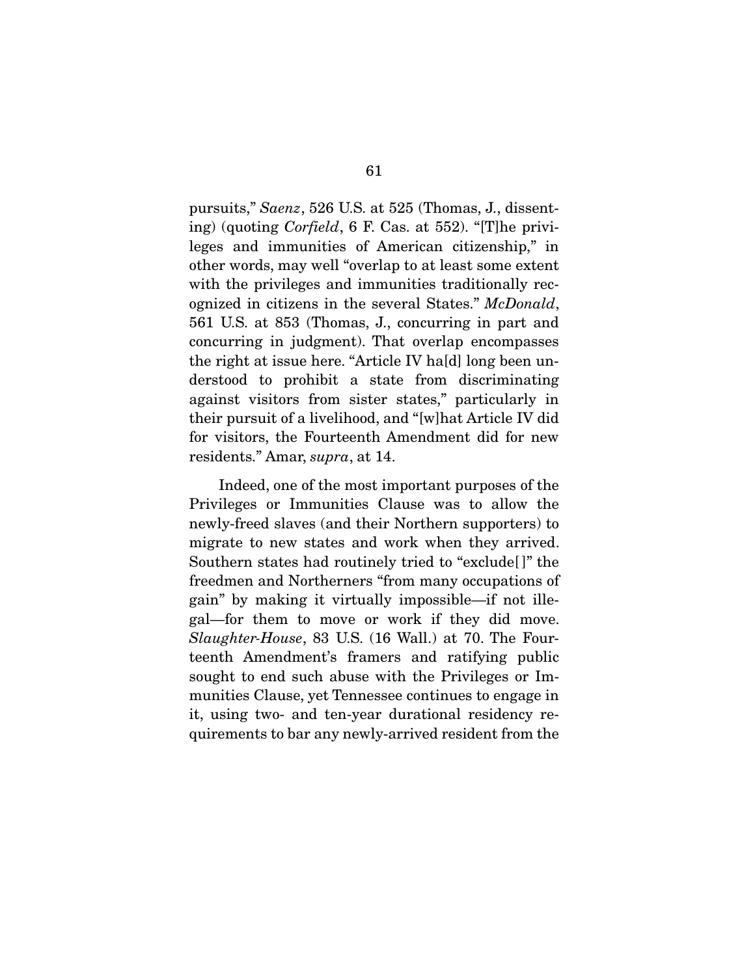pursuits," *Saenz*, 526 U.S. at 525 (Thomas, J., dissenting) (quoting *Corfield*, 6 F. Cas. at 552). "[T]he privileges and immunities of American citizenship," in other words, may well "overlap to at least some extent with the privileges and immunities traditionally recognized in citizens in the several States." *McDonald*, 561 U.S. at 853 (Thomas, J., concurring in part and concurring in judgment). That overlap encompasses the right at issue here. "Article IV ha[d] long been understood to prohibit a state from discriminating against visitors from sister states," particularly in their pursuit of a livelihood, and "[w]hat Article IV did for visitors, the Fourteenth Amendment did for new residents." Amar, *supra*, at 14.

 Indeed, one of the most important purposes of the Privileges or Immunities Clause was to allow the newly-freed slaves (and their Northern supporters) to migrate to new states and work when they arrived. Southern states had routinely tried to "exclude[ ]" the freedmen and Northerners "from many occupations of gain" by making it virtually impossible—if not illegal—for them to move or work if they did move. *Slaughter-House*, 83 U.S. (16 Wall.) at 70. The Fourteenth Amendment's framers and ratifying public sought to end such abuse with the Privileges or Immunities Clause, yet Tennessee continues to engage in it, using two- and ten-year durational residency requirements to bar any newly-arrived resident from the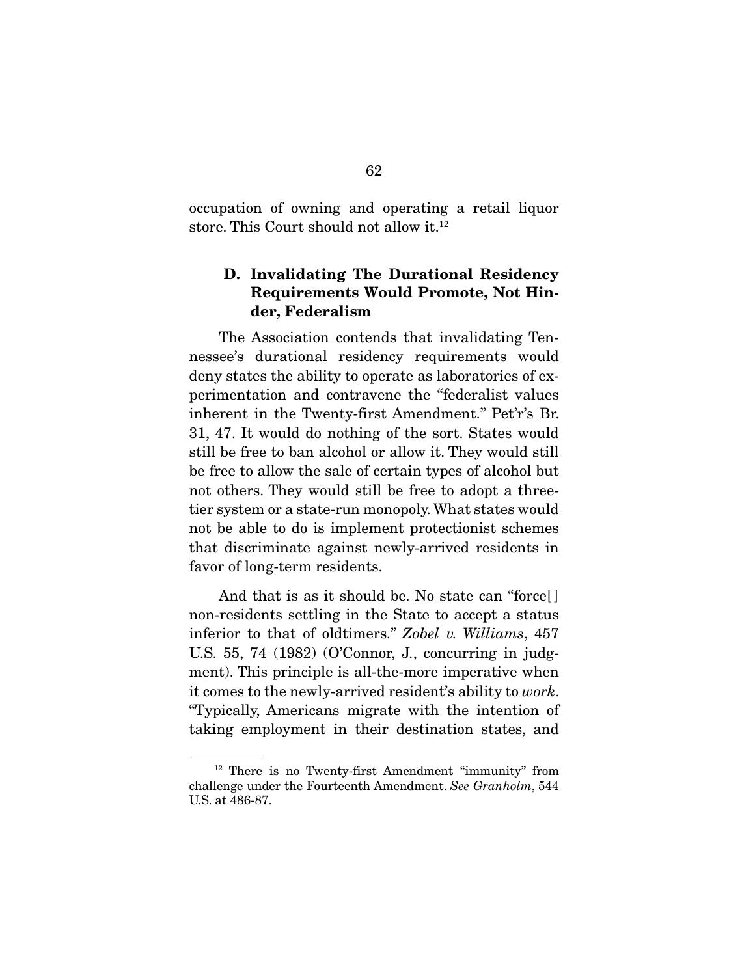occupation of owning and operating a retail liquor store. This Court should not allow it.12

## D. Invalidating The Durational Residency Requirements Would Promote, Not Hinder, Federalism

 The Association contends that invalidating Tennessee's durational residency requirements would deny states the ability to operate as laboratories of experimentation and contravene the "federalist values inherent in the Twenty-first Amendment." Pet'r's Br. 31, 47. It would do nothing of the sort. States would still be free to ban alcohol or allow it. They would still be free to allow the sale of certain types of alcohol but not others. They would still be free to adopt a threetier system or a state-run monopoly. What states would not be able to do is implement protectionist schemes that discriminate against newly-arrived residents in favor of long-term residents.

And that is as it should be. No state can "force[ ] non-residents settling in the State to accept a status inferior to that of oldtimers." *Zobel v. Williams*, 457 U.S. 55, 74 (1982) (O'Connor, J., concurring in judgment). This principle is all-the-more imperative when it comes to the newly-arrived resident's ability to *work*. "Typically, Americans migrate with the intention of taking employment in their destination states, and

<sup>12</sup> There is no Twenty-first Amendment "immunity" from challenge under the Fourteenth Amendment. *See Granholm*, 544 U.S. at 486-87.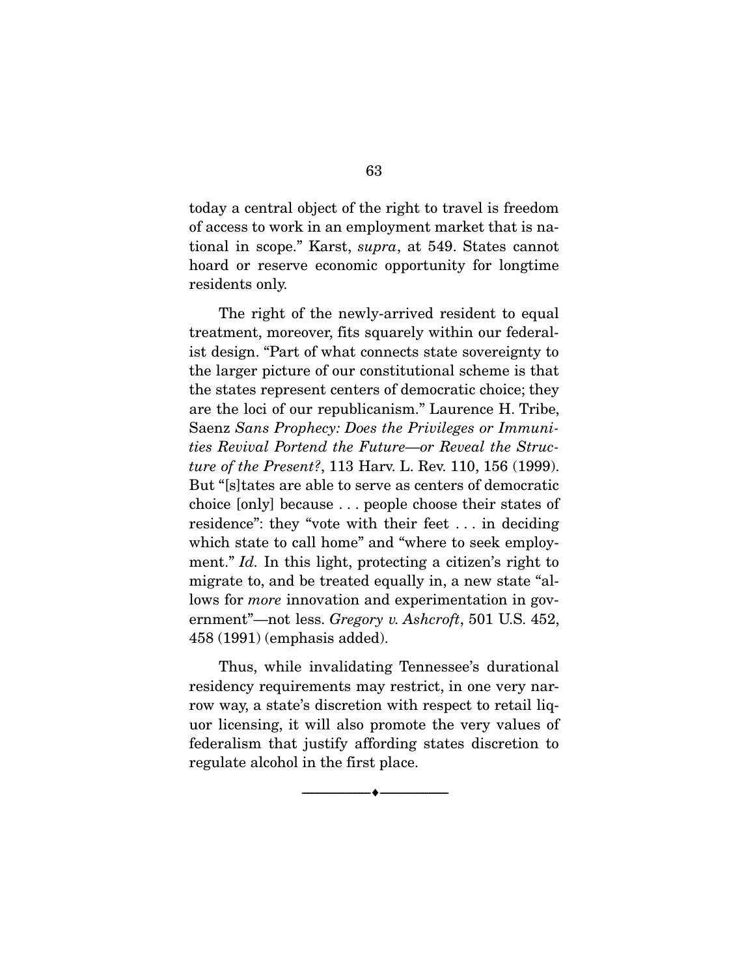today a central object of the right to travel is freedom of access to work in an employment market that is national in scope." Karst, *supra*, at 549. States cannot hoard or reserve economic opportunity for longtime residents only.

 The right of the newly-arrived resident to equal treatment, moreover, fits squarely within our federalist design. "Part of what connects state sovereignty to the larger picture of our constitutional scheme is that the states represent centers of democratic choice; they are the loci of our republicanism." Laurence H. Tribe, Saenz *Sans Prophecy: Does the Privileges or Immunities Revival Portend the Future—or Reveal the Structure of the Present?*, 113 Harv. L. Rev. 110, 156 (1999). But "[s]tates are able to serve as centers of democratic choice [only] because . . . people choose their states of residence": they "vote with their feet . . . in deciding which state to call home" and "where to seek employment." *Id.* In this light, protecting a citizen's right to migrate to, and be treated equally in, a new state "allows for *more* innovation and experimentation in government"—not less. *Gregory v. Ashcroft*, 501 U.S. 452, 458 (1991) (emphasis added).

 Thus, while invalidating Tennessee's durational residency requirements may restrict, in one very narrow way, a state's discretion with respect to retail liquor licensing, it will also promote the very values of federalism that justify affording states discretion to regulate alcohol in the first place.

--------------------------------- ---------------------------------